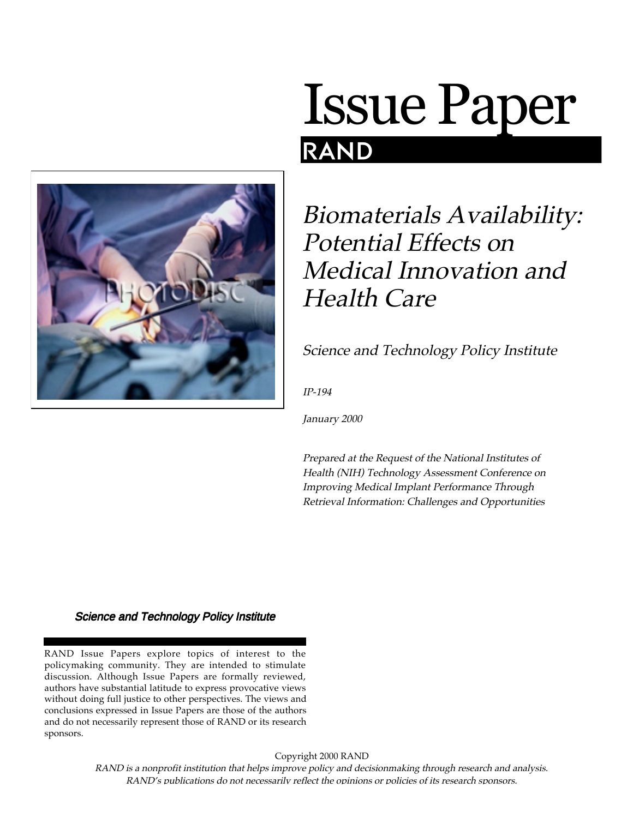

# **Issue Paper** RAND

# Biomaterials Availability: Potential Effects on Medical Innovation and Health Care

# Science and Technology Policy Institute

IP-194

January 2000

Prepared at the Request of the National Institutes of Health (NIH) Technology Assessment Conference on Improving Medical Implant Performance Through Retrieval Information: Challenges and Opportunities

#### Science and Technology Policy Institute

RAND Issue Papers explore topics of interest to the policymaking community. They are intended to stimulate discussion. Although Issue Papers are formally reviewed, authors have substantial latitude to express provocative views without doing full justice to other perspectives. The views and conclusions expressed in Issue Papers are those of the authors and do not necessarily represent those of RAND or its research sponsors.

Copyright 2000 RAND

RAND is a nonprofit institution that helps improve policy and decisionmaking through research and analysis. RAND's publications do not necessarily reflect the opinions or policies of its research sponsors.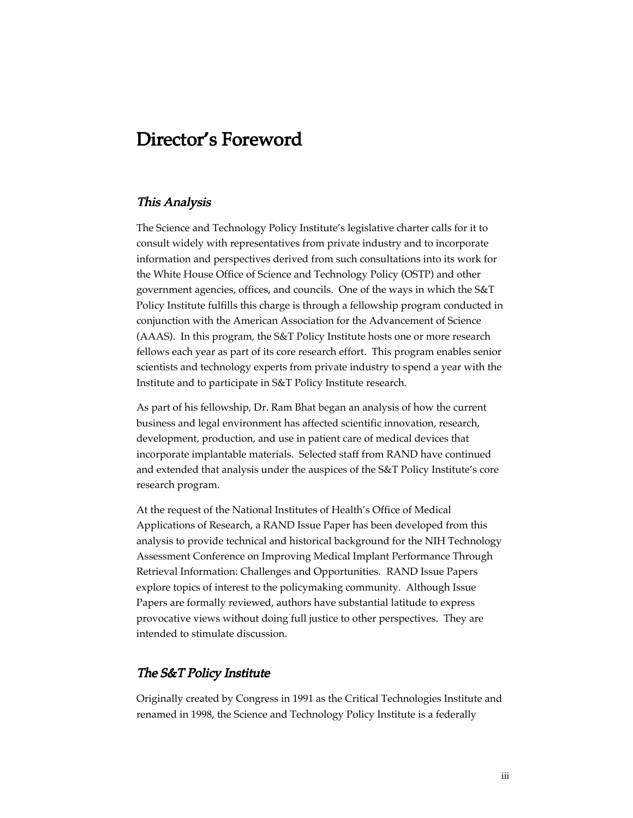## Director's Foreword

#### This Analysis

The Science and Technology Policy Institute's legislative charter calls for it to consult widely with representatives from private industry and to incorporate information and perspectives derived from such consultations into its work for the White House Office of Science and Technology Policy (OSTP) and other government agencies, offices, and councils. One of the ways in which the S&T Policy Institute fulfills this charge is through a fellowship program conducted in conjunction with the American Association for the Advancement of Science (AAAS). In this program, the S&T Policy Institute hosts one or more research fellows each year as part of its core research effort. This program enables senior scientists and technology experts from private industry to spend a year with the Institute and to participate in S&T Policy Institute research.

As part of his fellowship, Dr. Ram Bhat began an analysis of how the current business and legal environment has affected scientific innovation, research, development, production, and use in patient care of medical devices that incorporate implantable materials. Selected staff from RAND have continued and extended that analysis under the auspices of the S&T Policy Institute's core research program.

At the request of the National Institutes of Health's Office of Medical Applications of Research, a RAND Issue Paper has been developed from this analysis to provide technical and historical background for the NIH Technology Assessment Conference on Improving Medical Implant Performance Through Retrieval Information: Challenges and Opportunities. RAND Issue Papers explore topics of interest to the policymaking community. Although Issue Papers are formally reviewed, authors have substantial latitude to express provocative views without doing full justice to other perspectives. They are intended to stimulate discussion.

#### The S&T Policy Institute

Originally created by Congress in 1991 as the Critical Technologies Institute and renamed in 1998, the Science and Technology Policy Institute is a federally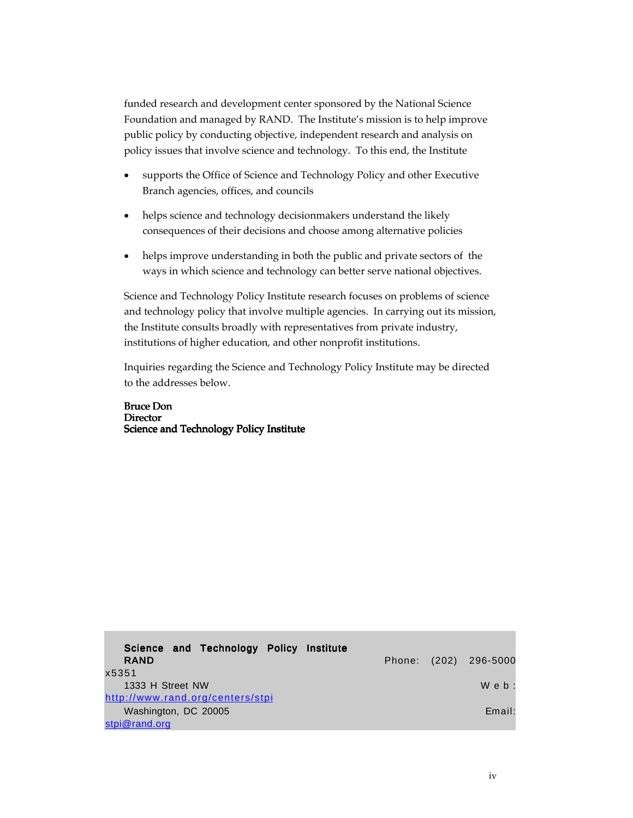funded research and development center sponsored by the National Science Foundation and managed by RAND. The Institute's mission is to help improve public policy by conducting objective, independent research and analysis on policy issues that involve science and technology. To this end, the Institute

- supports the Office of Science and Technology Policy and other Executive Branch agencies, offices, and councils
- helps science and technology decisionmakers understand the likely consequences of their decisions and choose among alternative policies
- helps improve understanding in both the public and private sectors of the ways in which science and technology can better serve national objectives.

Science and Technology Policy Institute research focuses on problems of science and technology policy that involve multiple agencies. In carrying out its mission, the Institute consults broadly with representatives from private industry, institutions of higher education, and other nonprofit institutions.

Inquiries regarding the Science and Technology Policy Institute may be directed to the addresses below.

Bruce Don **Director** Science and Technology Policy Institute

| Science and Technology Policy Institute<br><b>RAND</b> |  | Phone: (202) 296-5000 |
|--------------------------------------------------------|--|-----------------------|
| x5351                                                  |  |                       |
| 1333 H Street NW                                       |  | $W$ e $b$ :           |
| http://www.rand.org/centers/stpi                       |  |                       |
| Washington, DC 20005                                   |  | Email:                |
| stpi@rand.org                                          |  |                       |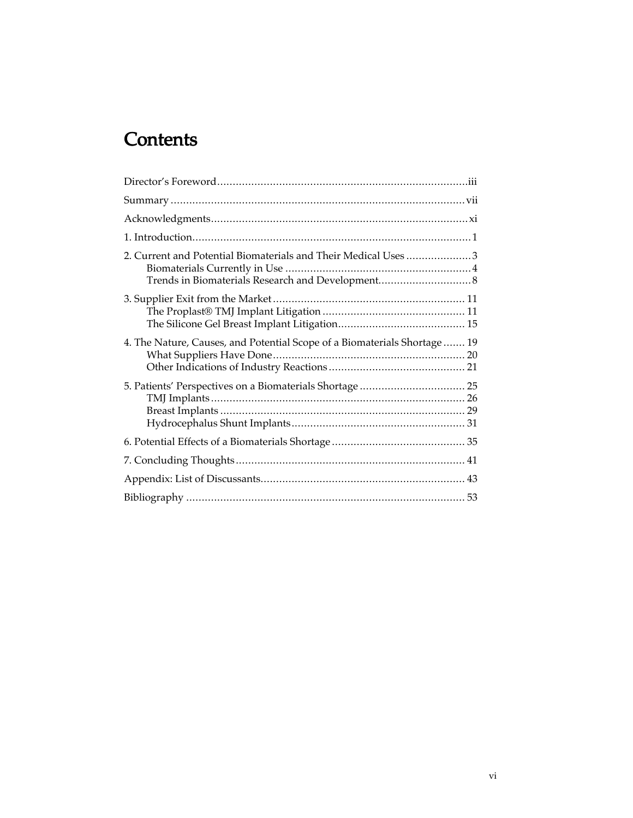# **Contents**

| 2. Current and Potential Biomaterials and Their Medical Uses 3           |    |
|--------------------------------------------------------------------------|----|
|                                                                          |    |
| 4. The Nature, Causes, and Potential Scope of a Biomaterials Shortage 19 |    |
|                                                                          |    |
|                                                                          |    |
|                                                                          |    |
|                                                                          | 43 |
|                                                                          |    |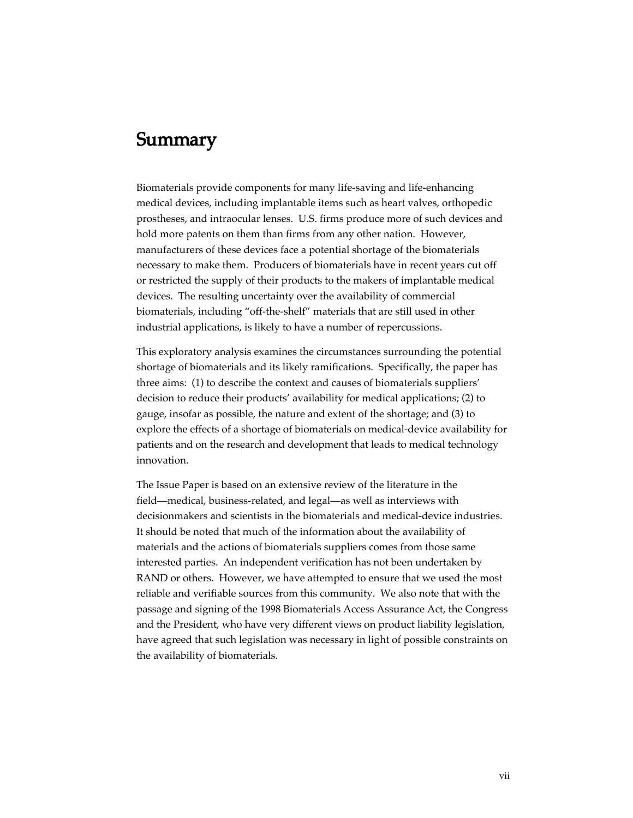## Summary

Biomaterials provide components for many life-saving and life-enhancing medical devices, including implantable items such as heart valves, orthopedic prostheses, and intraocular lenses. U.S. firms produce more of such devices and hold more patents on them than firms from any other nation. However, manufacturers of these devices face a potential shortage of the biomaterials necessary to make them. Producers of biomaterials have in recent years cut off or restricted the supply of their products to the makers of implantable medical devices. The resulting uncertainty over the availability of commercial biomaterials, including "off-the-shelf" materials that are still used in other industrial applications, is likely to have a number of repercussions.

This exploratory analysis examines the circumstances surrounding the potential shortage of biomaterials and its likely ramifications. Specifically, the paper has three aims: (1) to describe the context and causes of biomaterials suppliers' decision to reduce their products' availability for medical applications; (2) to gauge, insofar as possible, the nature and extent of the shortage; and (3) to explore the effects of a shortage of biomaterials on medical-device availability for patients and on the research and development that leads to medical technology innovation.

The Issue Paper is based on an extensive review of the literature in the field—medical, business-related, and legal—as well as interviews with decisionmakers and scientists in the biomaterials and medical-device industries. It should be noted that much of the information about the availability of materials and the actions of biomaterials suppliers comes from those same interested parties. An independent verification has not been undertaken by RAND or others. However, we have attempted to ensure that we used the most reliable and verifiable sources from this community. We also note that with the passage and signing of the 1998 Biomaterials Access Assurance Act, the Congress and the President, who have very different views on product liability legislation, have agreed that such legislation was necessary in light of possible constraints on the availability of biomaterials.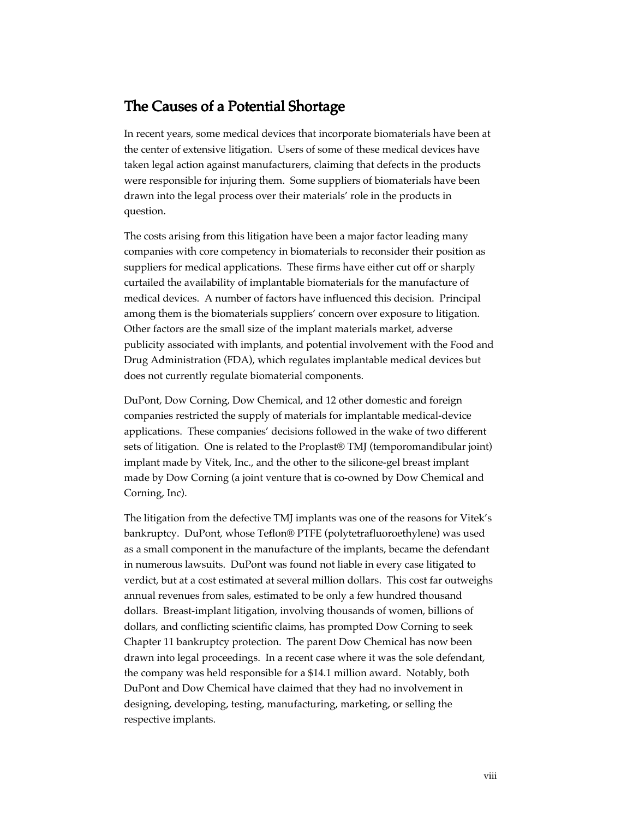## The Causes of a Potential Shortage

In recent years, some medical devices that incorporate biomaterials have been at the center of extensive litigation. Users of some of these medical devices have taken legal action against manufacturers, claiming that defects in the products were responsible for injuring them. Some suppliers of biomaterials have been drawn into the legal process over their materials' role in the products in question.

The costs arising from this litigation have been a major factor leading many companies with core competency in biomaterials to reconsider their position as suppliers for medical applications. These firms have either cut off or sharply curtailed the availability of implantable biomaterials for the manufacture of medical devices. A number of factors have influenced this decision. Principal among them is the biomaterials suppliers' concern over exposure to litigation. Other factors are the small size of the implant materials market, adverse publicity associated with implants, and potential involvement with the Food and Drug Administration (FDA), which regulates implantable medical devices but does not currently regulate biomaterial components.

DuPont, Dow Corning, Dow Chemical, and 12 other domestic and foreign companies restricted the supply of materials for implantable medical-device applications. These companies' decisions followed in the wake of two different sets of litigation. One is related to the Proplast® TMJ (temporomandibular joint) implant made by Vitek, Inc., and the other to the silicone-gel breast implant made by Dow Corning (a joint venture that is co-owned by Dow Chemical and Corning, Inc).

The litigation from the defective TMJ implants was one of the reasons for Vitek's bankruptcy. DuPont, whose Teflon® PTFE (polytetrafluoroethylene) was used as a small component in the manufacture of the implants, became the defendant in numerous lawsuits. DuPont was found not liable in every case litigated to verdict, but at a cost estimated at several million dollars. This cost far outweighs annual revenues from sales, estimated to be only a few hundred thousand dollars. Breast-implant litigation, involving thousands of women, billions of dollars, and conflicting scientific claims, has prompted Dow Corning to seek Chapter 11 bankruptcy protection. The parent Dow Chemical has now been drawn into legal proceedings. In a recent case where it was the sole defendant, the company was held responsible for a \$14.1 million award. Notably, both DuPont and Dow Chemical have claimed that they had no involvement in designing, developing, testing, manufacturing, marketing, or selling the respective implants.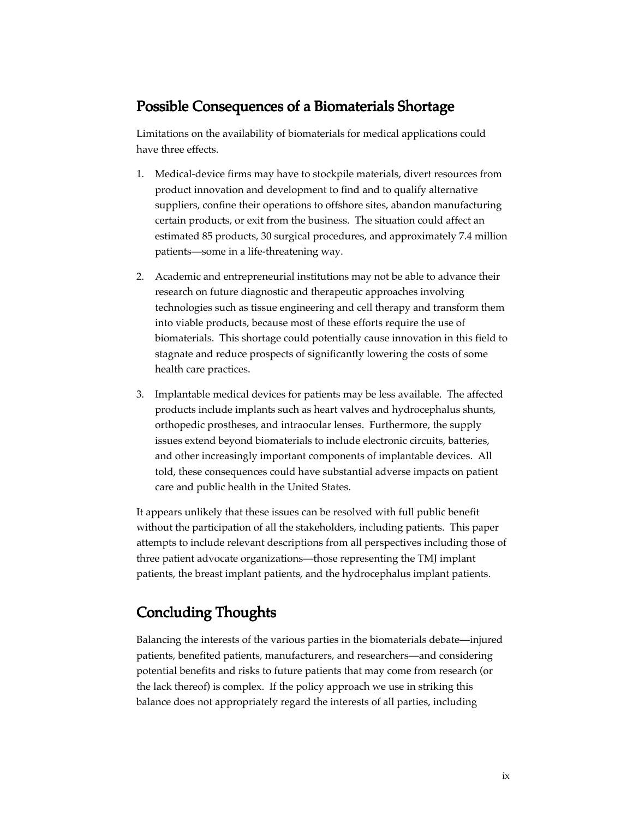## Possible Consequences of a Biomaterials Shortage

Limitations on the availability of biomaterials for medical applications could have three effects.

- 1. Medical-device firms may have to stockpile materials, divert resources from product innovation and development to find and to qualify alternative suppliers, confine their operations to offshore sites, abandon manufacturing certain products, or exit from the business. The situation could affect an estimated 85 products, 30 surgical procedures, and approximately 7.4 million patients—some in a life-threatening way.
- 2. Academic and entrepreneurial institutions may not be able to advance their research on future diagnostic and therapeutic approaches involving technologies such as tissue engineering and cell therapy and transform them into viable products, because most of these efforts require the use of biomaterials. This shortage could potentially cause innovation in this field to stagnate and reduce prospects of significantly lowering the costs of some health care practices.
- 3. Implantable medical devices for patients may be less available. The affected products include implants such as heart valves and hydrocephalus shunts, orthopedic prostheses, and intraocular lenses. Furthermore, the supply issues extend beyond biomaterials to include electronic circuits, batteries, and other increasingly important components of implantable devices. All told, these consequences could have substantial adverse impacts on patient care and public health in the United States.

It appears unlikely that these issues can be resolved with full public benefit without the participation of all the stakeholders, including patients. This paper attempts to include relevant descriptions from all perspectives including those of three patient advocate organizations—those representing the TMJ implant patients, the breast implant patients, and the hydrocephalus implant patients.

## Concluding Thoughts

Balancing the interests of the various parties in the biomaterials debate—injured patients, benefited patients, manufacturers, and researchers—and considering potential benefits and risks to future patients that may come from research (or the lack thereof) is complex. If the policy approach we use in striking this balance does not appropriately regard the interests of all parties, including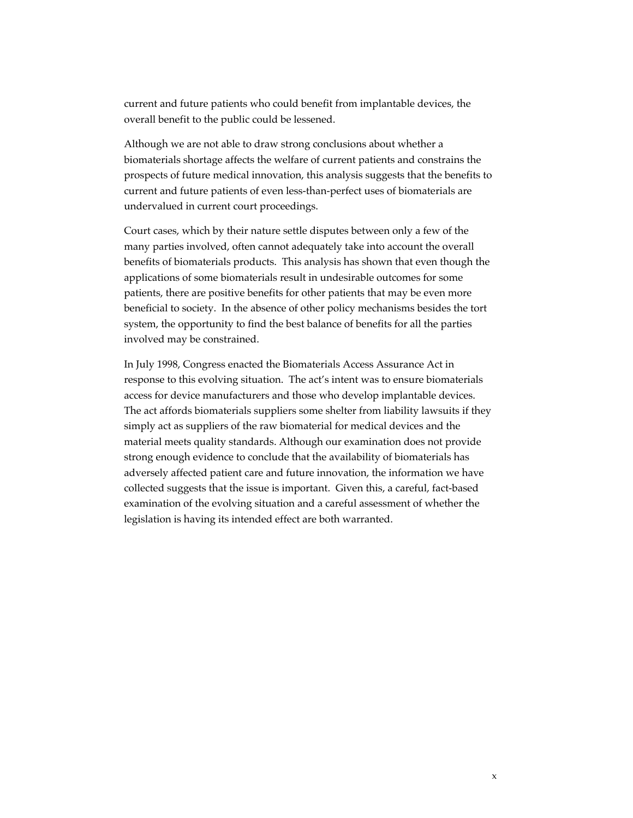current and future patients who could benefit from implantable devices, the overall benefit to the public could be lessened.

Although we are not able to draw strong conclusions about whether a biomaterials shortage affects the welfare of current patients and constrains the prospects of future medical innovation, this analysis suggests that the benefits to current and future patients of even less-than-perfect uses of biomaterials are undervalued in current court proceedings.

Court cases, which by their nature settle disputes between only a few of the many parties involved, often cannot adequately take into account the overall benefits of biomaterials products. This analysis has shown that even though the applications of some biomaterials result in undesirable outcomes for some patients, there are positive benefits for other patients that may be even more beneficial to society. In the absence of other policy mechanisms besides the tort system, the opportunity to find the best balance of benefits for all the parties involved may be constrained.

In July 1998, Congress enacted the Biomaterials Access Assurance Act in response to this evolving situation. The act's intent was to ensure biomaterials access for device manufacturers and those who develop implantable devices. The act affords biomaterials suppliers some shelter from liability lawsuits if they simply act as suppliers of the raw biomaterial for medical devices and the material meets quality standards. Although our examination does not provide strong enough evidence to conclude that the availability of biomaterials has adversely affected patient care and future innovation, the information we have collected suggests that the issue is important. Given this, a careful, fact-based examination of the evolving situation and a careful assessment of whether the legislation is having its intended effect are both warranted.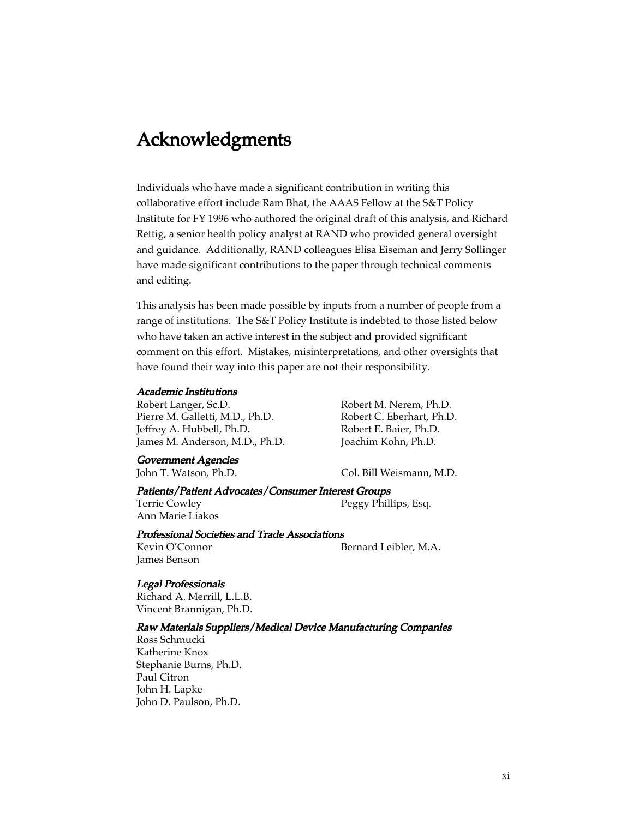# Acknowledgments

Individuals who have made a significant contribution in writing this collaborative effort include Ram Bhat, the AAAS Fellow at the S&T Policy Institute for FY 1996 who authored the original draft of this analysis, and Richard Rettig, a senior health policy analyst at RAND who provided general oversight and guidance. Additionally, RAND colleagues Elisa Eiseman and Jerry Sollinger have made significant contributions to the paper through technical comments and editing.

This analysis has been made possible by inputs from a number of people from a range of institutions. The S&T Policy Institute is indebted to those listed below who have taken an active interest in the subject and provided significant comment on this effort. Mistakes, misinterpretations, and other oversights that have found their way into this paper are not their responsibility.

#### Academic Institutions

Robert Langer, Sc.D. Pierre M. Galletti, M.D., Ph.D. Jeffrey A. Hubbell, Ph.D. James M. Anderson, M.D., Ph.D.

Government Agencies

Robert M. Nerem, Ph.D. Robert C. Eberhart, Ph.D. Robert E. Baier, Ph.D. Joachim Kohn, Ph.D.

John T. Watson, Ph.D. Col. Bill Weismann, M.D.

#### Patients/Patient Advocates/Consumer Interest Groups

Terrie Cowley Ann Marie Liakos Peggy Phillips, Esq.

#### Professional Societies and Trade Associations

Kevin O'Connor James Benson

Bernard Leibler, M.A.

#### Legal Professionals

Richard A. Merrill, L.L.B. Vincent Brannigan, Ph.D.

#### Raw Materials Suppliers/Medical Device Manufacturing Companies

Ross Schmucki Katherine Knox Stephanie Burns, Ph.D. Paul Citron John H. Lapke John D. Paulson, Ph.D.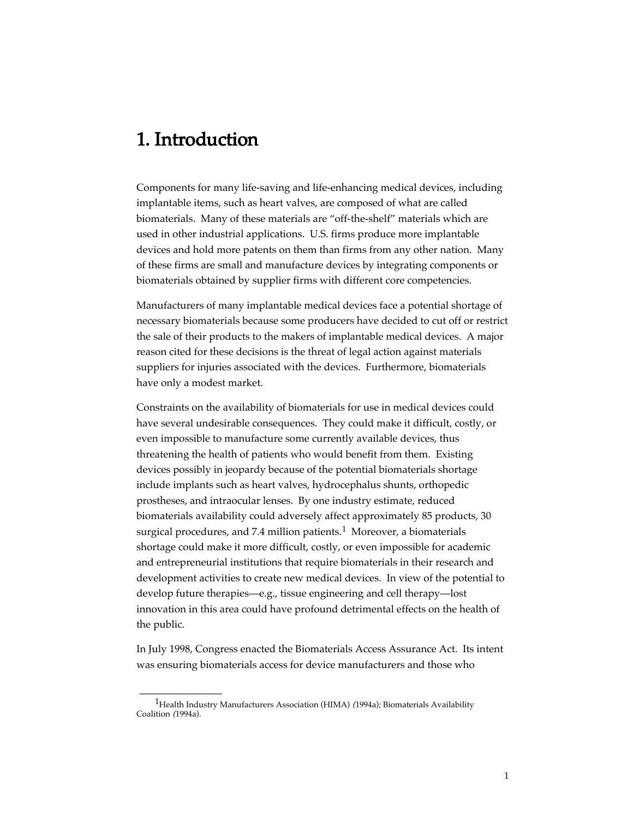# 1. Introduction

\_\_\_\_\_\_\_\_\_\_\_\_\_\_\_\_

Components for many life-saving and life-enhancing medical devices, including implantable items, such as heart valves, are composed of what are called biomaterials. Many of these materials are "off-the-shelf" materials which are used in other industrial applications. U.S. firms produce more implantable devices and hold more patents on them than firms from any other nation. Many of these firms are small and manufacture devices by integrating components or biomaterials obtained by supplier firms with different core competencies.

Manufacturers of many implantable medical devices face a potential shortage of necessary biomaterials because some producers have decided to cut off or restrict the sale of their products to the makers of implantable medical devices. A major reason cited for these decisions is the threat of legal action against materials suppliers for injuries associated with the devices. Furthermore, biomaterials have only a modest market.

Constraints on the availability of biomaterials for use in medical devices could have several undesirable consequences. They could make it difficult, costly, or even impossible to manufacture some currently available devices, thus threatening the health of patients who would benefit from them. Existing devices possibly in jeopardy because of the potential biomaterials shortage include implants such as heart valves, hydrocephalus shunts, orthopedic prostheses, and intraocular lenses. By one industry estimate, reduced biomaterials availability could adversely affect approximately 85 products, 30 surgical procedures, and 7.4 million patients.<sup>1</sup> Moreover, a biomaterials shortage could make it more difficult, costly, or even impossible for academic and entrepreneurial institutions that require biomaterials in their research and development activities to create new medical devices. In view of the potential to develop future therapies—e.g., tissue engineering and cell therapy—lost innovation in this area could have profound detrimental effects on the health of the public.

In July 1998, Congress enacted the Biomaterials Access Assurance Act. Its intent was ensuring biomaterials access for device manufacturers and those who

<sup>&</sup>lt;sup>1</sup>Health Industry Manufacturers Association (HIMA) (1994a); Biomaterials Availability Coalition (1994a).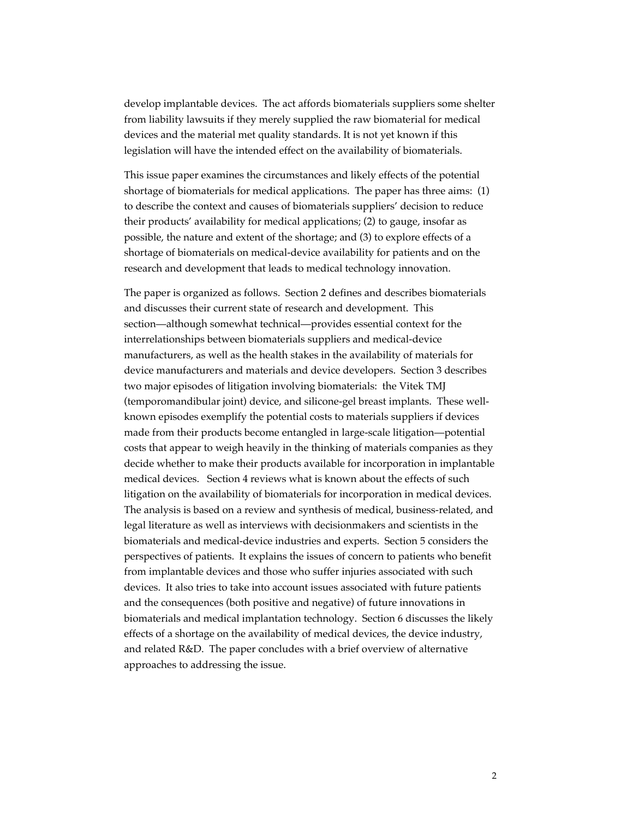develop implantable devices. The act affords biomaterials suppliers some shelter from liability lawsuits if they merely supplied the raw biomaterial for medical devices and the material met quality standards. It is not yet known if this legislation will have the intended effect on the availability of biomaterials.

This issue paper examines the circumstances and likely effects of the potential shortage of biomaterials for medical applications. The paper has three aims: (1) to describe the context and causes of biomaterials suppliers' decision to reduce their products' availability for medical applications; (2) to gauge, insofar as possible, the nature and extent of the shortage; and (3) to explore effects of a shortage of biomaterials on medical-device availability for patients and on the research and development that leads to medical technology innovation.

The paper is organized as follows. Section 2 defines and describes biomaterials and discusses their current state of research and development. This section—although somewhat technical—provides essential context for the interrelationships between biomaterials suppliers and medical-device manufacturers, as well as the health stakes in the availability of materials for device manufacturers and materials and device developers. Section 3 describes two major episodes of litigation involving biomaterials: the Vitek TMJ (temporomandibular joint) device, and silicone-gel breast implants. These wellknown episodes exemplify the potential costs to materials suppliers if devices made from their products become entangled in large-scale litigation—potential costs that appear to weigh heavily in the thinking of materials companies as they decide whether to make their products available for incorporation in implantable medical devices. Section 4 reviews what is known about the effects of such litigation on the availability of biomaterials for incorporation in medical devices. The analysis is based on a review and synthesis of medical, business-related, and legal literature as well as interviews with decisionmakers and scientists in the biomaterials and medical-device industries and experts. Section 5 considers the perspectives of patients. It explains the issues of concern to patients who benefit from implantable devices and those who suffer injuries associated with such devices. It also tries to take into account issues associated with future patients and the consequences (both positive and negative) of future innovations in biomaterials and medical implantation technology. Section 6 discusses the likely effects of a shortage on the availability of medical devices, the device industry, and related R&D. The paper concludes with a brief overview of alternative approaches to addressing the issue.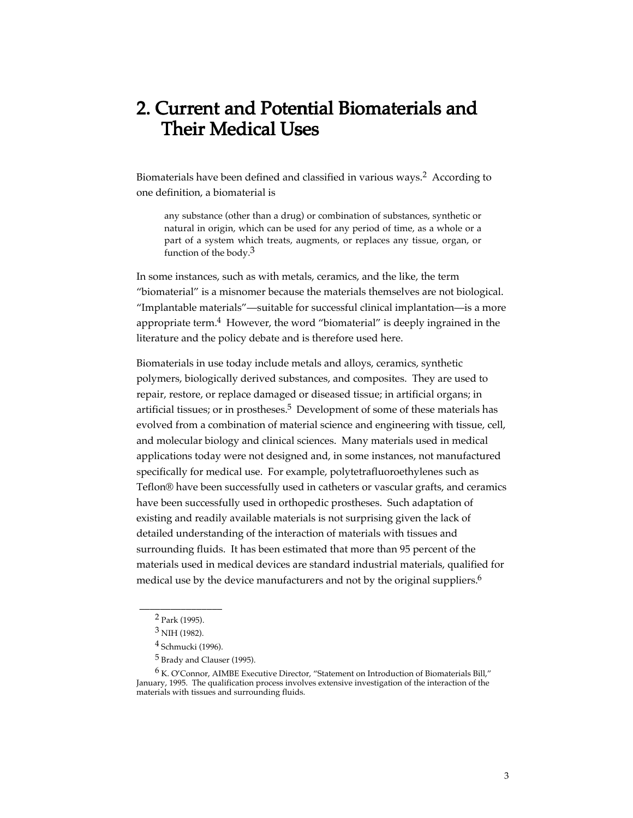# 2. Current and Potential Biomaterials and Their Medical Uses

Biomaterials have been defined and classified in various ways.<sup>2</sup> According to one definition, a biomaterial is

any substance (other than a drug) or combination of substances, synthetic or natural in origin, which can be used for any period of time, as a whole or a part of a system which treats, augments, or replaces any tissue, organ, or function of the body. $3$ 

In some instances, such as with metals, ceramics, and the like, the term "biomaterial" is a misnomer because the materials themselves are not biological. "Implantable materials"—suitable for successful clinical implantation—is a more appropriate term. $4$  However, the word "biomaterial" is deeply ingrained in the literature and the policy debate and is therefore used here.

Biomaterials in use today include metals and alloys, ceramics, synthetic polymers, biologically derived substances, and composites. They are used to repair, restore, or replace damaged or diseased tissue; in artificial organs; in artificial tissues; or in prostheses.<sup>5</sup> Development of some of these materials has evolved from a combination of material science and engineering with tissue, cell, and molecular biology and clinical sciences. Many materials used in medical applications today were not designed and, in some instances, not manufactured specifically for medical use. For example, polytetrafluoroethylenes such as Teflon® have been successfully used in catheters or vascular grafts, and ceramics have been successfully used in orthopedic prostheses. Such adaptation of existing and readily available materials is not surprising given the lack of detailed understanding of the interaction of materials with tissues and surrounding fluids. It has been estimated that more than 95 percent of the materials used in medical devices are standard industrial materials, qualified for medical use by the device manufacturers and not by the original suppliers.<sup>6</sup>

\_\_\_\_\_\_\_\_\_\_\_\_\_\_\_\_ 2 Park (1995).

<sup>3</sup> NIH (1982).

<sup>4</sup> Schmucki (1996).

<sup>5</sup> Brady and Clauser (1995).

 $6$  K. O'Connor, AIMBE Executive Director, "Statement on Introduction of Biomaterials Bill," January, 1995. The qualification process involves extensive investigation of the interaction of the materials with tissues and surrounding fluids.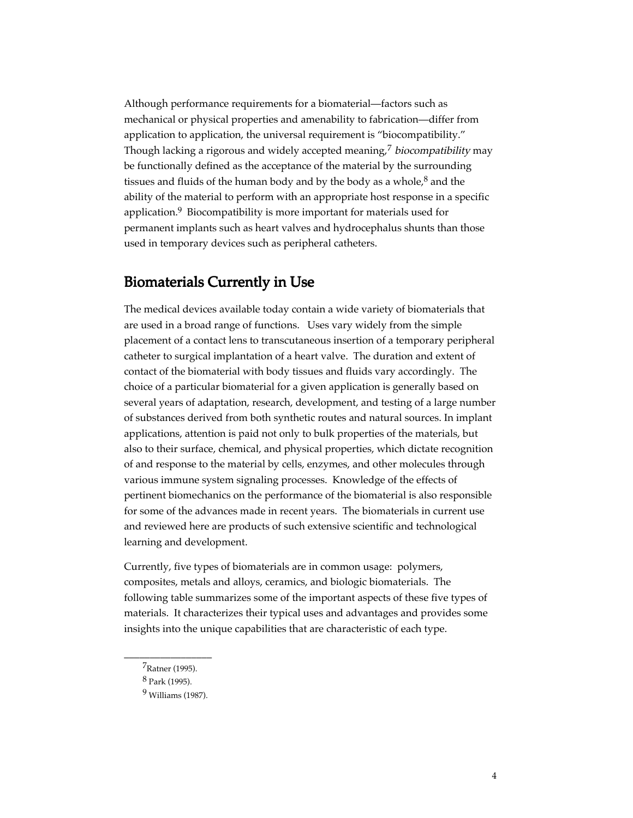Although performance requirements for a biomaterial—factors such as mechanical or physical properties and amenability to fabrication—differ from application to application, the universal requirement is "biocompatibility." Though lacking a rigorous and widely accepted meaning,<sup>7</sup> biocompatibility may be functionally defined as the acceptance of the material by the surrounding tissues and fluids of the human body and by the body as a whole, $8$  and the ability of the material to perform with an appropriate host response in a specific application.<sup>9</sup> Biocompatibility is more important for materials used for permanent implants such as heart valves and hydrocephalus shunts than those used in temporary devices such as peripheral catheters.

## Biomaterials Currently in Use

The medical devices available today contain a wide variety of biomaterials that are used in a broad range of functions. Uses vary widely from the simple placement of a contact lens to transcutaneous insertion of a temporary peripheral catheter to surgical implantation of a heart valve. The duration and extent of contact of the biomaterial with body tissues and fluids vary accordingly. The choice of a particular biomaterial for a given application is generally based on several years of adaptation, research, development, and testing of a large number of substances derived from both synthetic routes and natural sources. In implant applications, attention is paid not only to bulk properties of the materials, but also to their surface, chemical, and physical properties, which dictate recognition of and response to the material by cells, enzymes, and other molecules through various immune system signaling processes. Knowledge of the effects of pertinent biomechanics on the performance of the biomaterial is also responsible for some of the advances made in recent years. The biomaterials in current use and reviewed here are products of such extensive scientific and technological learning and development.

Currently, five types of biomaterials are in common usage: polymers, composites, metals and alloys, ceramics, and biologic biomaterials. The following table summarizes some of the important aspects of these five types of materials. It characterizes their typical uses and advantages and provides some insights into the unique capabilities that are characteristic of each type.

\_\_\_\_\_\_\_\_\_\_\_\_\_\_\_\_\_ 7Ratner (1995).

<sup>8</sup> Park (1995).

<sup>9</sup> Williams (1987).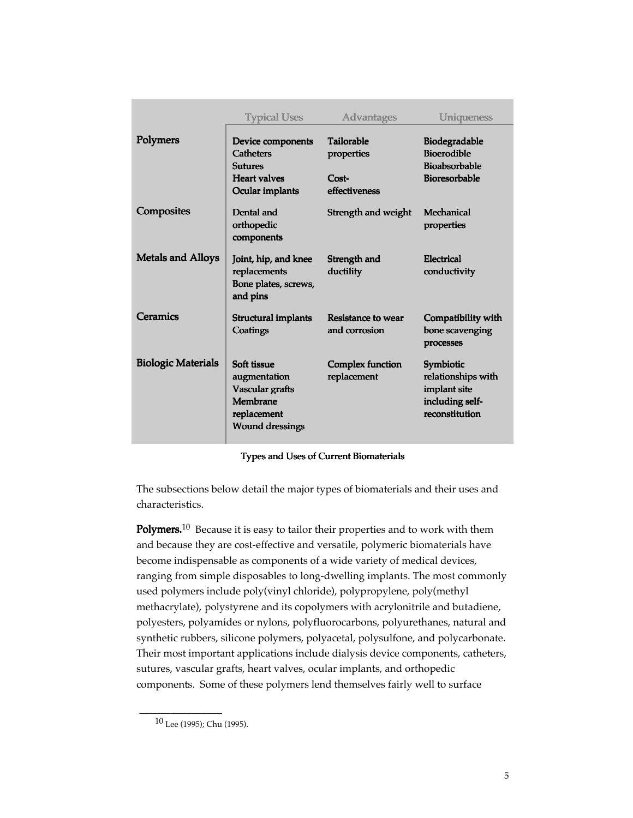|                           | <b>Typical Uses</b>                                                                                 | <b>Advantages</b>                                           | Uniqueness                                                                           |
|---------------------------|-----------------------------------------------------------------------------------------------------|-------------------------------------------------------------|--------------------------------------------------------------------------------------|
| Polymers                  | Device components<br><b>Catheters</b><br><b>Sutures</b><br><b>Heart valves</b><br>Ocular implants   | <b>Tailorable</b><br>properties<br>$Cost-$<br>effectiveness | <b>Biodegradable</b><br><b>Bioerodible</b><br><b>Bioabsorbable</b><br>Bioresorbable  |
| Composites                | Dental and<br>orthopedic<br>components                                                              | Strength and weight                                         | Mechanical<br>properties                                                             |
| <b>Metals and Alloys</b>  | Joint, hip, and knee<br>replacements<br>Bone plates, screws,<br>and pins                            | Strength and<br>ductility                                   | Electrical<br>conductivity                                                           |
| Ceramics                  | <b>Structural implants</b><br>Coatings                                                              | Resistance to wear<br>and corrosion                         | Compatibility with<br>bone scavenging<br>processes                                   |
| <b>Biologic Materials</b> | Soft tissue<br>augmentation<br>Vascular grafts<br>Membrane<br>replacement<br><b>Wound dressings</b> | Complex function<br>replacement                             | Symbiotic<br>relationships with<br>implant site<br>including self-<br>reconstitution |

#### Types and Uses of Current Biomaterials

The subsections below detail the major types of biomaterials and their uses and characteristics.

**Polymers.**<sup>10</sup> Because it is easy to tailor their properties and to work with them and because they are cost-effective and versatile, polymeric biomaterials have become indispensable as components of a wide variety of medical devices, ranging from simple disposables to long-dwelling implants. The most commonly used polymers include poly(vinyl chloride), polypropylene, poly(methyl methacrylate), polystyrene and its copolymers with acrylonitrile and butadiene, polyesters, polyamides or nylons, polyfluorocarbons, polyurethanes, natural and synthetic rubbers, silicone polymers, polyacetal, polysulfone, and polycarbonate. Their most important applications include dialysis device components, catheters, sutures, vascular grafts, heart valves, ocular implants, and orthopedic components. Some of these polymers lend themselves fairly well to surface

\_\_\_\_\_\_\_\_\_\_\_\_\_\_\_\_

<sup>10</sup> Lee (1995); Chu (1995).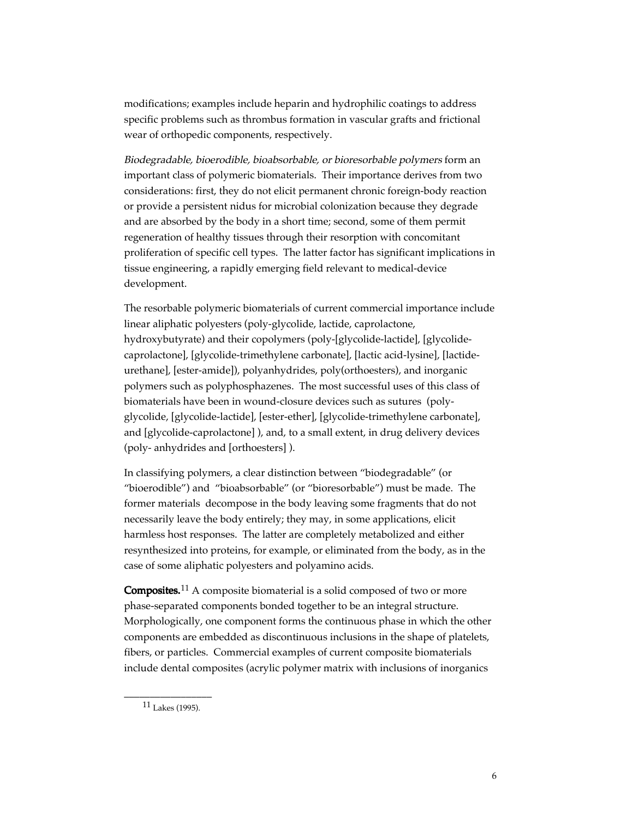modifications; examples include heparin and hydrophilic coatings to address specific problems such as thrombus formation in vascular grafts and frictional wear of orthopedic components, respectively.

Biodegradable, bioerodible, bioabsorbable, or bioresorbable polymers form an important class of polymeric biomaterials. Their importance derives from two considerations: first, they do not elicit permanent chronic foreign-body reaction or provide a persistent nidus for microbial colonization because they degrade and are absorbed by the body in a short time; second, some of them permit regeneration of healthy tissues through their resorption with concomitant proliferation of specific cell types. The latter factor has significant implications in tissue engineering, a rapidly emerging field relevant to medical-device development.

The resorbable polymeric biomaterials of current commercial importance include linear aliphatic polyesters (poly-glycolide, lactide, caprolactone, hydroxybutyrate) and their copolymers (poly-[glycolide-lactide], [glycolidecaprolactone], [glycolide-trimethylene carbonate], [lactic acid-lysine], [lactideurethane], [ester-amide]), polyanhydrides, poly(orthoesters), and inorganic polymers such as polyphosphazenes. The most successful uses of this class of biomaterials have been in wound-closure devices such as sutures (polyglycolide, [glycolide-lactide], [ester-ether], [glycolide-trimethylene carbonate], and [glycolide-caprolactone] ), and, to a small extent, in drug delivery devices (poly- anhydrides and [orthoesters] ).

In classifying polymers, a clear distinction between "biodegradable" (or "bioerodible") and "bioabsorbable" (or "bioresorbable") must be made. The former materials decompose in the body leaving some fragments that do not necessarily leave the body entirely; they may, in some applications, elicit harmless host responses. The latter are completely metabolized and either resynthesized into proteins, for example, or eliminated from the body, as in the case of some aliphatic polyesters and polyamino acids.

Composites.<sup>11</sup> A composite biomaterial is a solid composed of two or more phase-separated components bonded together to be an integral structure. Morphologically, one component forms the continuous phase in which the other components are embedded as discontinuous inclusions in the shape of platelets, fibers, or particles. Commercial examples of current composite biomaterials include dental composites (acrylic polymer matrix with inclusions of inorganics

\_\_\_\_\_\_\_\_\_\_\_\_\_\_\_\_\_ 11 Lakes (1995).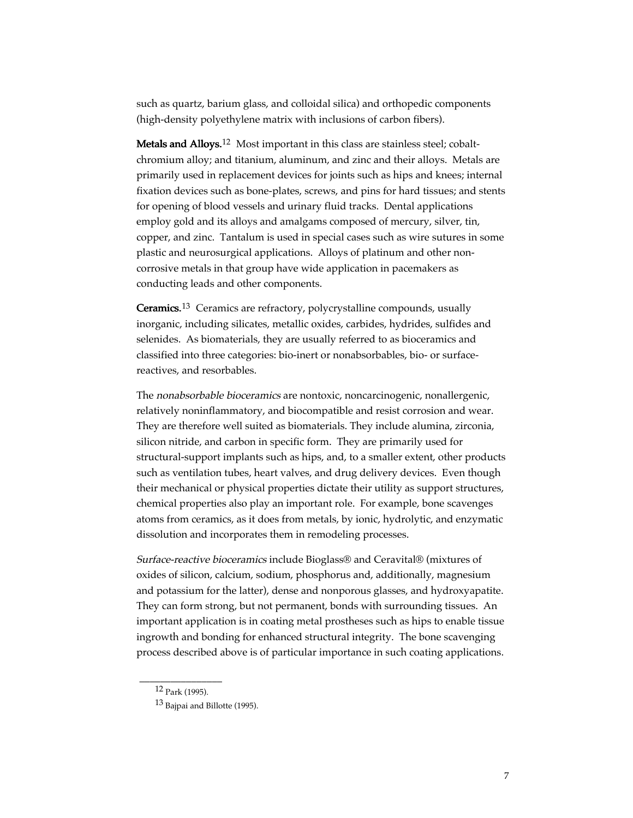such as quartz, barium glass, and colloidal silica) and orthopedic components (high-density polyethylene matrix with inclusions of carbon fibers).

Metals and Alloys.<sup>12</sup> Most important in this class are stainless steel; cobaltchromium alloy; and titanium, aluminum, and zinc and their alloys. Metals are primarily used in replacement devices for joints such as hips and knees; internal fixation devices such as bone-plates, screws, and pins for hard tissues; and stents for opening of blood vessels and urinary fluid tracks. Dental applications employ gold and its alloys and amalgams composed of mercury, silver, tin, copper, and zinc. Tantalum is used in special cases such as wire sutures in some plastic and neurosurgical applications. Alloys of platinum and other noncorrosive metals in that group have wide application in pacemakers as conducting leads and other components.

Ceramics.<sup>13</sup> Ceramics are refractory, polycrystalline compounds, usually inorganic, including silicates, metallic oxides, carbides, hydrides, sulfides and selenides. As biomaterials, they are usually referred to as bioceramics and classified into three categories: bio-inert or nonabsorbables, bio- or surfacereactives, and resorbables.

The nonabsorbable bioceramics are nontoxic, noncarcinogenic, nonallergenic, relatively noninflammatory, and biocompatible and resist corrosion and wear. They are therefore well suited as biomaterials. They include alumina, zirconia, silicon nitride, and carbon in specific form. They are primarily used for structural-support implants such as hips, and, to a smaller extent, other products such as ventilation tubes, heart valves, and drug delivery devices. Even though their mechanical or physical properties dictate their utility as support structures, chemical properties also play an important role. For example, bone scavenges atoms from ceramics, as it does from metals, by ionic, hydrolytic, and enzymatic dissolution and incorporates them in remodeling processes.

Surface-reactive bioceramics include Bioglass® and Ceravital® (mixtures of oxides of silicon, calcium, sodium, phosphorus and, additionally, magnesium and potassium for the latter), dense and nonporous glasses, and hydroxyapatite. They can form strong, but not permanent, bonds with surrounding tissues. An important application is in coating metal prostheses such as hips to enable tissue ingrowth and bonding for enhanced structural integrity. The bone scavenging process described above is of particular importance in such coating applications.

\_\_\_\_\_\_\_\_\_\_\_\_\_\_\_\_ 12 Park (1995).

<sup>13</sup> Bajpai and Billotte (1995).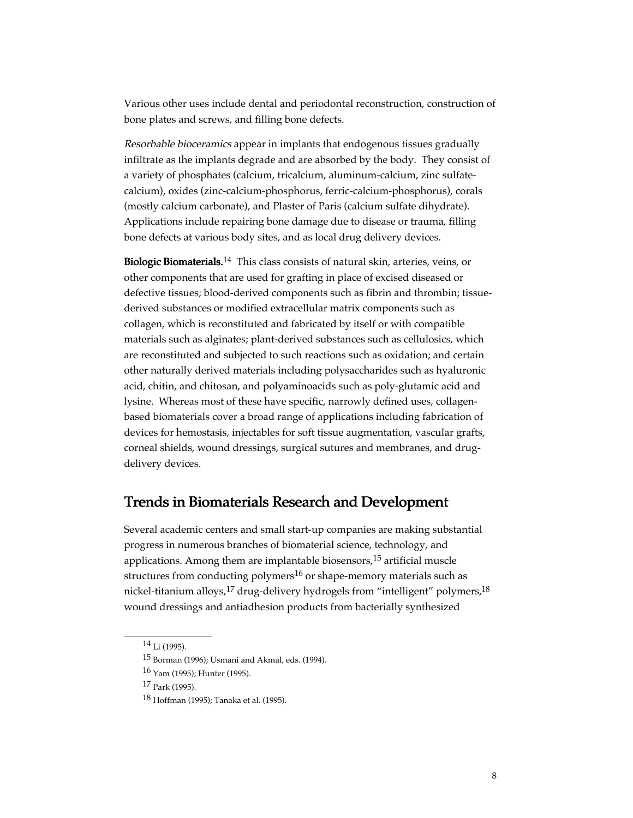Various other uses include dental and periodontal reconstruction, construction of bone plates and screws, and filling bone defects.

Resorbable bioceramics appear in implants that endogenous tissues gradually infiltrate as the implants degrade and are absorbed by the body. They consist of a variety of phosphates (calcium, tricalcium, aluminum-calcium, zinc sulfatecalcium), oxides (zinc-calcium-phosphorus, ferric-calcium-phosphorus), corals (mostly calcium carbonate), and Plaster of Paris (calcium sulfate dihydrate). Applications include repairing bone damage due to disease or trauma, filling bone defects at various body sites, and as local drug delivery devices.

**Biologic Biomaterials.**<sup>14</sup> This class consists of natural skin, arteries, veins, or other components that are used for grafting in place of excised diseased or defective tissues; blood-derived components such as fibrin and thrombin; tissuederived substances or modified extracellular matrix components such as collagen, which is reconstituted and fabricated by itself or with compatible materials such as alginates; plant-derived substances such as cellulosics, which are reconstituted and subjected to such reactions such as oxidation; and certain other naturally derived materials including polysaccharides such as hyaluronic acid, chitin, and chitosan, and polyaminoacids such as poly-glutamic acid and lysine. Whereas most of these have specific, narrowly defined uses, collagenbased biomaterials cover a broad range of applications including fabrication of devices for hemostasis, injectables for soft tissue augmentation, vascular grafts, corneal shields, wound dressings, surgical sutures and membranes, and drugdelivery devices.

## Trends in Biomaterials Research and Development

Several academic centers and small start-up companies are making substantial progress in numerous branches of biomaterial science, technology, and applications. Among them are implantable biosensors,  $15$  artificial muscle structures from conducting polymers<sup>16</sup> or shape-memory materials such as nickel-titanium alloys,<sup>17</sup> drug-delivery hydrogels from "intelligent" polymers,<sup>18</sup> wound dressings and antiadhesion products from bacterially synthesized

\_\_\_\_\_\_\_\_\_\_\_\_\_\_\_\_\_  $14$  Li (1995).

<sup>15</sup> Borman (1996); Usmani and Akmal, eds. (1994).

<sup>16</sup> Yam (1995); Hunter (1995).

 $17$  Park (1995).

<sup>18</sup> Hoffman (1995); Tanaka et al. (1995).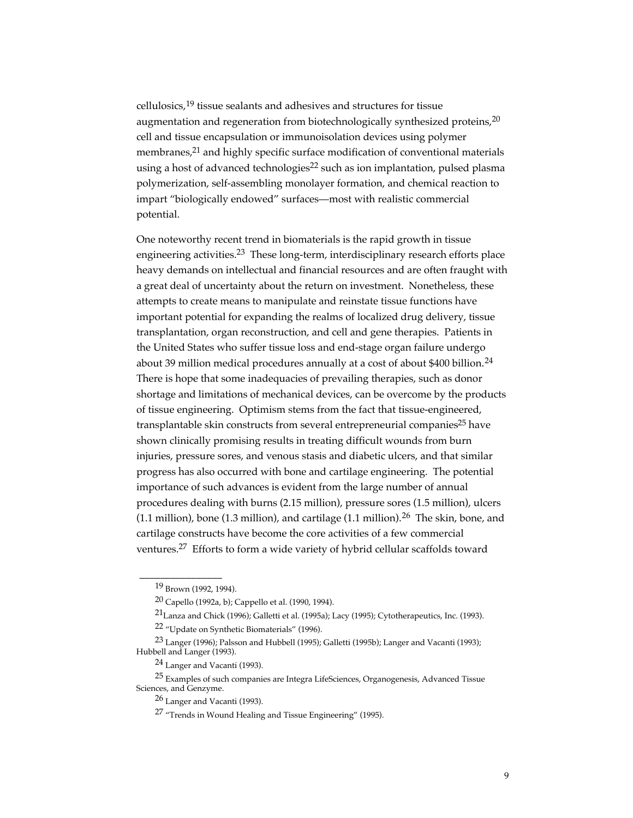cellulosics,19 tissue sealants and adhesives and structures for tissue augmentation and regeneration from biotechnologically synthesized proteins,<sup>20</sup> cell and tissue encapsulation or immunoisolation devices using polymer membranes, $21$  and highly specific surface modification of conventional materials using a host of advanced technologies<sup>22</sup> such as ion implantation, pulsed plasma polymerization, self-assembling monolayer formation, and chemical reaction to impart "biologically endowed" surfaces—most with realistic commercial potential.

One noteworthy recent trend in biomaterials is the rapid growth in tissue engineering activities.23 These long-term, interdisciplinary research efforts place heavy demands on intellectual and financial resources and are often fraught with a great deal of uncertainty about the return on investment. Nonetheless, these attempts to create means to manipulate and reinstate tissue functions have important potential for expanding the realms of localized drug delivery, tissue transplantation, organ reconstruction, and cell and gene therapies. Patients in the United States who suffer tissue loss and end-stage organ failure undergo about 39 million medical procedures annually at a cost of about \$400 billion.<sup>24</sup> There is hope that some inadequacies of prevailing therapies, such as donor shortage and limitations of mechanical devices, can be overcome by the products of tissue engineering. Optimism stems from the fact that tissue-engineered, transplantable skin constructs from several entrepreneurial companies<sup>25</sup> have shown clinically promising results in treating difficult wounds from burn injuries, pressure sores, and venous stasis and diabetic ulcers, and that similar progress has also occurred with bone and cartilage engineering. The potential importance of such advances is evident from the large number of annual procedures dealing with burns (2.15 million), pressure sores (1.5 million), ulcers  $(1.1$  million), bone  $(1.3$  million), and cartilage  $(1.1$  million).<sup>26</sup> The skin, bone, and cartilage constructs have become the core activities of a few commercial ventures.27 Efforts to form a wide variety of hybrid cellular scaffolds toward

\_\_\_\_\_\_\_\_\_\_\_\_\_\_\_\_

<sup>19</sup> Brown (1992, 1994).

<sup>20</sup> Capello (1992a, b); Cappello et al. (1990, 1994).

<sup>21</sup>Lanza and Chick (1996); Galletti et al. (1995a); Lacy (1995); Cytotherapeutics, Inc. (1993). 22 "Update on Synthetic Biomaterials" (1996).

<sup>23</sup> Langer (1996); Palsson and Hubbell (1995); Galletti (1995b); Langer and Vacanti (1993); Hubbell and Langer (1993).

<sup>24</sup> Langer and Vacanti (1993).

<sup>25</sup> Examples of such companies are Integra LifeSciences, Organogenesis, Advanced Tissue Sciences, and Genzyme.

<sup>26</sup> Langer and Vacanti (1993).

<sup>27 &</sup>quot;Trends in Wound Healing and Tissue Engineering" (1995).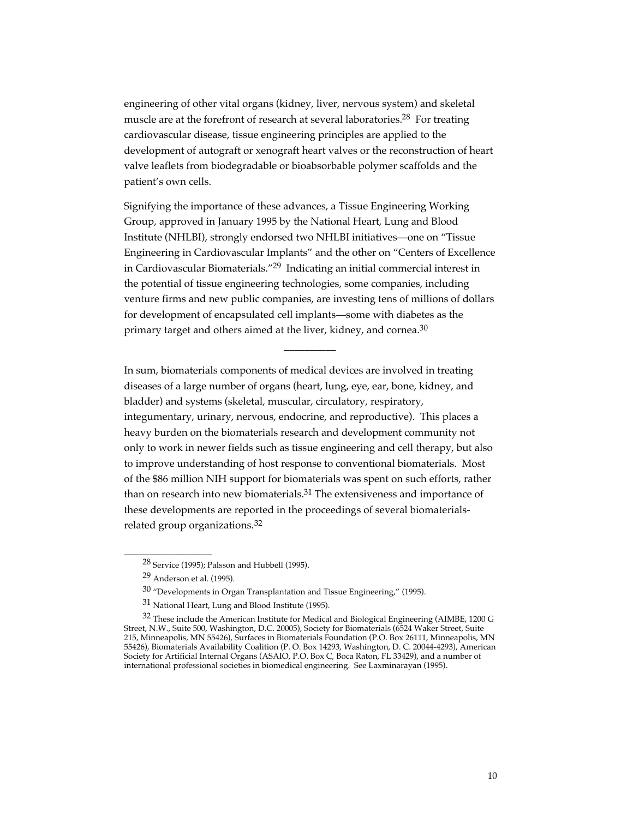engineering of other vital organs (kidney, liver, nervous system) and skeletal muscle are at the forefront of research at several laboratories.<sup>28</sup> For treating cardiovascular disease, tissue engineering principles are applied to the development of autograft or xenograft heart valves or the reconstruction of heart valve leaflets from biodegradable or bioabsorbable polymer scaffolds and the patient's own cells.

Signifying the importance of these advances, a Tissue Engineering Working Group, approved in January 1995 by the National Heart, Lung and Blood Institute (NHLBI), strongly endorsed two NHLBI initiatives—one on "Tissue Engineering in Cardiovascular Implants" and the other on "Centers of Excellence in Cardiovascular Biomaterials."29 Indicating an initial commercial interest in the potential of tissue engineering technologies, some companies, including venture firms and new public companies, are investing tens of millions of dollars for development of encapsulated cell implants—some with diabetes as the primary target and others aimed at the liver, kidney, and cornea. $30$ 

 $\overline{\phantom{a}}$ 

In sum, biomaterials components of medical devices are involved in treating diseases of a large number of organs (heart, lung, eye, ear, bone, kidney, and bladder) and systems (skeletal, muscular, circulatory, respiratory, integumentary, urinary, nervous, endocrine, and reproductive). This places a heavy burden on the biomaterials research and development community not only to work in newer fields such as tissue engineering and cell therapy, but also to improve understanding of host response to conventional biomaterials. Most of the \$86 million NIH support for biomaterials was spent on such efforts, rather than on research into new biomaterials.<sup>31</sup> The extensiveness and importance of these developments are reported in the proceedings of several biomaterialsrelated group organizations.<sup>32</sup>

\_\_\_\_\_\_\_\_\_\_\_\_\_\_\_\_\_

<sup>28</sup> Service (1995); Palsson and Hubbell (1995).

<sup>29</sup> Anderson et al. (1995).

 $30$  "Developments in Organ Transplantation and Tissue Engineering," (1995).

<sup>31</sup> National Heart, Lung and Blood Institute (1995).

 $32$  These include the American Institute for Medical and Biological Engineering (AIMBE, 1200 G Street, N.W., Suite 500, Washington, D.C. 20005), Society for Biomaterials (6524 Waker Street, Suite 215, Minneapolis, MN 55426), Surfaces in Biomaterials Foundation (P.O. Box 26111, Minneapolis, MN 55426), Biomaterials Availability Coalition (P. O. Box 14293, Washington, D. C. 20044-4293), American Society for Artificial Internal Organs (ASAIO, P.O. Box C, Boca Raton, FL 33429), and a number of international professional societies in biomedical engineering. See Laxminarayan (1995).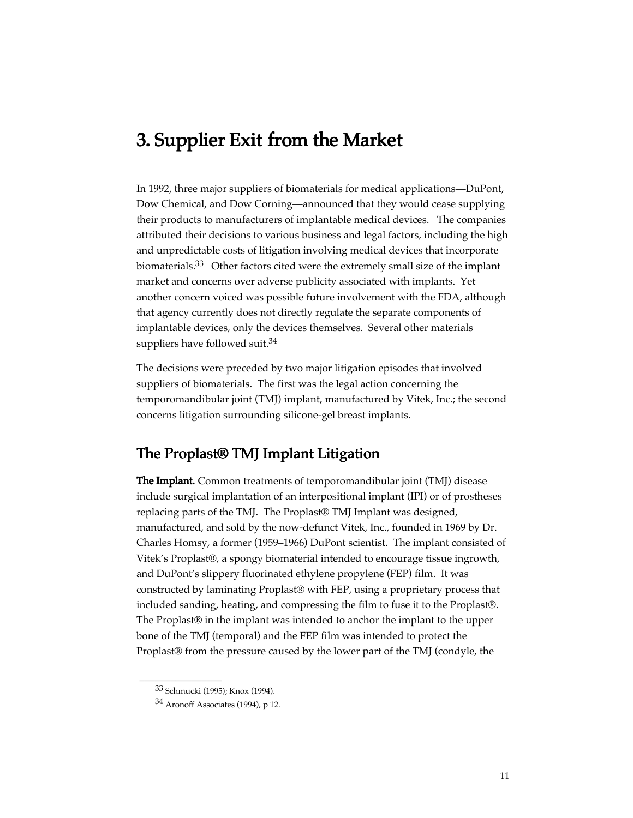# 3. Supplier Exit from the Market

In 1992, three major suppliers of biomaterials for medical applications—DuPont, Dow Chemical, and Dow Corning—announced that they would cease supplying their products to manufacturers of implantable medical devices. The companies attributed their decisions to various business and legal factors, including the high and unpredictable costs of litigation involving medical devices that incorporate biomaterials.<sup>33</sup> Other factors cited were the extremely small size of the implant market and concerns over adverse publicity associated with implants. Yet another concern voiced was possible future involvement with the FDA, although that agency currently does not directly regulate the separate components of implantable devices, only the devices themselves. Several other materials suppliers have followed suit.<sup>34</sup>

The decisions were preceded by two major litigation episodes that involved suppliers of biomaterials. The first was the legal action concerning the temporomandibular joint (TMJ) implant, manufactured by Vitek, Inc.; the second concerns litigation surrounding silicone-gel breast implants.

## The Proplast® TMJ Implant Litigation

**The Implant.** Common treatments of temporomandibular joint (TMJ) disease include surgical implantation of an interpositional implant (IPI) or of prostheses replacing parts of the TMJ. The Proplast® TMJ Implant was designed, manufactured, and sold by the now-defunct Vitek, Inc., founded in 1969 by Dr. Charles Homsy, a former (1959–1966) DuPont scientist. The implant consisted of Vitek's Proplast®, a spongy biomaterial intended to encourage tissue ingrowth, and DuPont's slippery fluorinated ethylene propylene (FEP) film. It was constructed by laminating Proplast® with FEP, using a proprietary process that included sanding, heating, and compressing the film to fuse it to the Proplast®. The Proplast® in the implant was intended to anchor the implant to the upper bone of the TMJ (temporal) and the FEP film was intended to protect the Proplast® from the pressure caused by the lower part of the TMJ (condyle, the

\_\_\_\_\_\_\_\_\_\_\_\_\_\_\_\_

<sup>33</sup> Schmucki (1995); Knox (1994).

<sup>34</sup> Aronoff Associates (1994), p 12.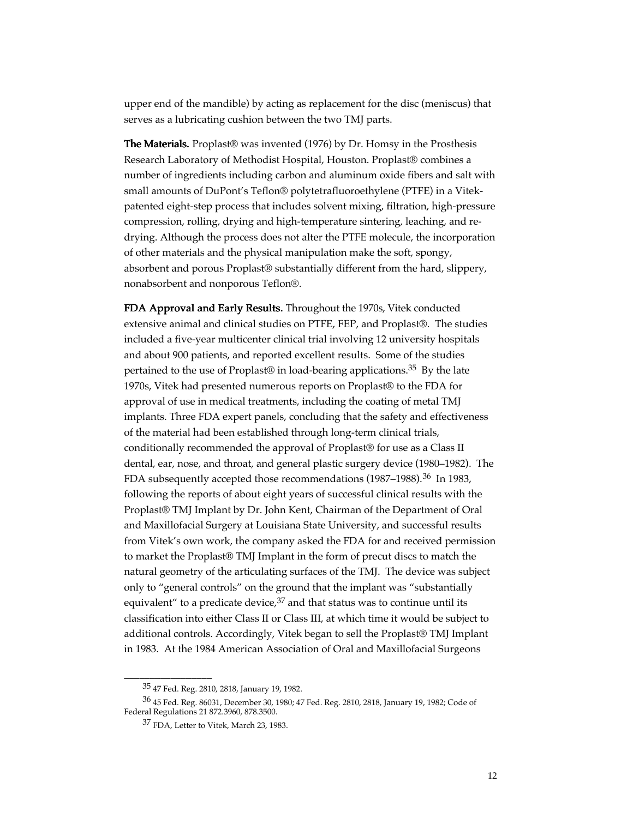upper end of the mandible) by acting as replacement for the disc (meniscus) that serves as a lubricating cushion between the two TMJ parts.

**The Materials.** Proplast<sup>®</sup> was invented (1976) by Dr. Homsy in the Prosthesis Research Laboratory of Methodist Hospital, Houston. Proplast® combines a number of ingredients including carbon and aluminum oxide fibers and salt with small amounts of DuPont's Teflon® polytetrafluoroethylene (PTFE) in a Vitekpatented eight-step process that includes solvent mixing, filtration, high-pressure compression, rolling, drying and high-temperature sintering, leaching, and redrying. Although the process does not alter the PTFE molecule, the incorporation of other materials and the physical manipulation make the soft, spongy, absorbent and porous Proplast® substantially different from the hard, slippery, nonabsorbent and nonporous Teflon®.

FDA Approval and Early Results. Throughout the 1970s, Vitek conducted extensive animal and clinical studies on PTFE, FEP, and Proplast®. The studies included a five-year multicenter clinical trial involving 12 university hospitals and about 900 patients, and reported excellent results. Some of the studies pertained to the use of Proplast® in load-bearing applications.35 By the late 1970s, Vitek had presented numerous reports on Proplast® to the FDA for approval of use in medical treatments, including the coating of metal TMJ implants. Three FDA expert panels, concluding that the safety and effectiveness of the material had been established through long-term clinical trials, conditionally recommended the approval of Proplast® for use as a Class II dental, ear, nose, and throat, and general plastic surgery device (1980–1982). The FDA subsequently accepted those recommendations (1987–1988).<sup>36</sup> In 1983, following the reports of about eight years of successful clinical results with the Proplast® TMJ Implant by Dr. John Kent, Chairman of the Department of Oral and Maxillofacial Surgery at Louisiana State University, and successful results from Vitek's own work, the company asked the FDA for and received permission to market the Proplast® TMJ Implant in the form of precut discs to match the natural geometry of the articulating surfaces of the TMJ. The device was subject only to "general controls" on the ground that the implant was "substantially equivalent" to a predicate device,  $37$  and that status was to continue until its classification into either Class II or Class III, at which time it would be subject to additional controls. Accordingly, Vitek began to sell the Proplast® TMJ Implant in 1983. At the 1984 American Association of Oral and Maxillofacial Surgeons

\_\_\_\_\_\_\_\_\_\_\_\_\_\_\_\_\_

<sup>35 47</sup> Fed. Reg. 2810, 2818, January 19, 1982.

<sup>36 45</sup> Fed. Reg. 86031, December 30, 1980; 47 Fed. Reg. 2810, 2818, January 19, 1982; Code of Federal Regulations 21 872.3960, 878.3500.

<sup>37</sup> FDA, Letter to Vitek, March 23, 1983.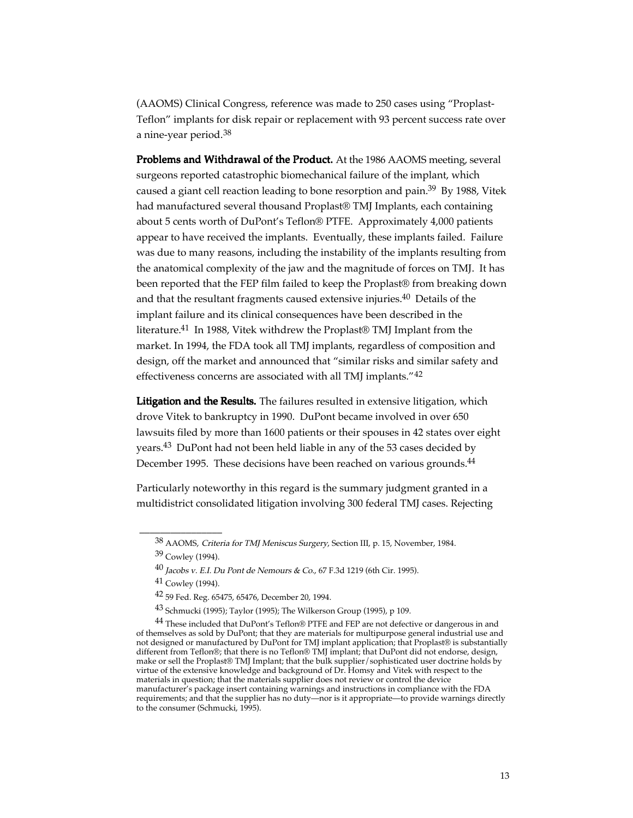(AAOMS) Clinical Congress, reference was made to 250 cases using "Proplast-Teflon" implants for disk repair or replacement with 93 percent success rate over a nine-year period.<sup>38</sup>

Problems and Withdrawal of the Product. At the 1986 AAOMS meeting, several surgeons reported catastrophic biomechanical failure of the implant, which caused a giant cell reaction leading to bone resorption and pain.<sup>39</sup> By 1988, Vitek had manufactured several thousand Proplast® TMJ Implants, each containing about 5 cents worth of DuPont's Teflon® PTFE. Approximately 4,000 patients appear to have received the implants. Eventually, these implants failed. Failure was due to many reasons, including the instability of the implants resulting from the anatomical complexity of the jaw and the magnitude of forces on TMJ. It has been reported that the FEP film failed to keep the Proplast® from breaking down and that the resultant fragments caused extensive injuries.<sup>40</sup> Details of the implant failure and its clinical consequences have been described in the literature.41 In 1988, Vitek withdrew the Proplast® TMJ Implant from the market. In 1994, the FDA took all TMJ implants, regardless of composition and design, off the market and announced that "similar risks and similar safety and effectiveness concerns are associated with all TMJ implants."<sup>42</sup>

Litigation and the Results. The failures resulted in extensive litigation, which drove Vitek to bankruptcy in 1990. DuPont became involved in over 650 lawsuits filed by more than 1600 patients or their spouses in 42 states over eight years.43 DuPont had not been held liable in any of the 53 cases decided by December 1995. These decisions have been reached on various grounds.<sup>44</sup>

Particularly noteworthy in this regard is the summary judgment granted in a multidistrict consolidated litigation involving 300 federal TMJ cases. Rejecting

\_\_\_\_\_\_\_\_\_\_\_\_\_\_\_\_

<sup>38</sup> AAOMS, Criteria for TMJ Meniscus Surgery, Section III, p. 15, November, 1984.

<sup>39</sup> Cowley (1994).

<sup>40</sup> Jacobs v. E.I. Du Pont de Nemours & Co., 67 F.3d 1219 (6th Cir. 1995).

 $41$  Cowley (1994).

<sup>42 59</sup> Fed. Reg. 65475, 65476, December 20, 1994.

<sup>43</sup> Schmucki (1995); Taylor (1995); The Wilkerson Group (1995), p 109.

<sup>44</sup> These included that DuPont's Teflon® PTFE and FEP are not defective or dangerous in and of themselves as sold by DuPont; that they are materials for multipurpose general industrial use and not designed or manufactured by DuPont for TMJ implant application; that Proplast® is substantially different from Teflon®; that there is no Teflon® TMJ implant; that DuPont did not endorse, design, make or sell the Proplast® TMJ Implant; that the bulk supplier/sophisticated user doctrine holds by virtue of the extensive knowledge and background of Dr. Homsy and Vitek with respect to the materials in question; that the materials supplier does not review or control the device manufacturer's package insert containing warnings and instructions in compliance with the FDA requirements; and that the supplier has no duty—nor is it appropriate—to provide warnings directly to the consumer (Schmucki, 1995).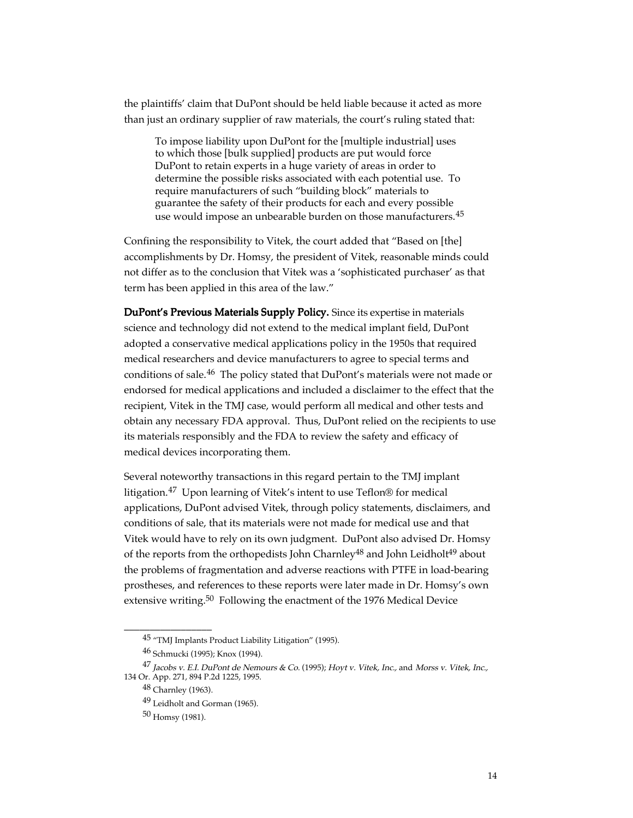the plaintiffs' claim that DuPont should be held liable because it acted as more than just an ordinary supplier of raw materials, the court's ruling stated that:

To impose liability upon DuPont for the [multiple industrial] uses to which those [bulk supplied] products are put would force DuPont to retain experts in a huge variety of areas in order to determine the possible risks associated with each potential use. To require manufacturers of such "building block" materials to guarantee the safety of their products for each and every possible use would impose an unbearable burden on those manufacturers.<sup>45</sup>

Confining the responsibility to Vitek, the court added that "Based on [the] accomplishments by Dr. Homsy, the president of Vitek, reasonable minds could not differ as to the conclusion that Vitek was a 'sophisticated purchaser' as that term has been applied in this area of the law."

DuPont's Previous Materials Supply Policy. Since its expertise in materials science and technology did not extend to the medical implant field, DuPont adopted a conservative medical applications policy in the 1950s that required medical researchers and device manufacturers to agree to special terms and conditions of sale.46 The policy stated that DuPont's materials were not made or endorsed for medical applications and included a disclaimer to the effect that the recipient, Vitek in the TMJ case, would perform all medical and other tests and obtain any necessary FDA approval. Thus, DuPont relied on the recipients to use its materials responsibly and the FDA to review the safety and efficacy of medical devices incorporating them.

Several noteworthy transactions in this regard pertain to the TMJ implant litigation.47 Upon learning of Vitek's intent to use Teflon® for medical applications, DuPont advised Vitek, through policy statements, disclaimers, and conditions of sale, that its materials were not made for medical use and that Vitek would have to rely on its own judgment. DuPont also advised Dr. Homsy of the reports from the orthopedists John Charnley<sup>48</sup> and John Leidholt<sup>49</sup> about the problems of fragmentation and adverse reactions with PTFE in load-bearing prostheses, and references to these reports were later made in Dr. Homsy's own extensive writing.<sup>50</sup> Following the enactment of the 1976 Medical Device

\_\_\_\_\_\_\_\_\_\_\_\_\_\_\_\_\_

<sup>&</sup>lt;sup>45</sup> "TMJ Implants Product Liability Litigation" (1995).

<sup>46</sup> Schmucki (1995); Knox (1994).

<sup>47</sup> Jacobs v. E.I. DuPont de Nemours & Co. (1995); Hoyt v. Vitek, Inc., and Morss v. Vitek, Inc., 134 Or. App. 271, 894 P.2d 1225, 1995.

<sup>48</sup> Charnley (1963).

<sup>49</sup> Leidholt and Gorman (1965).

<sup>50</sup> Homsy (1981).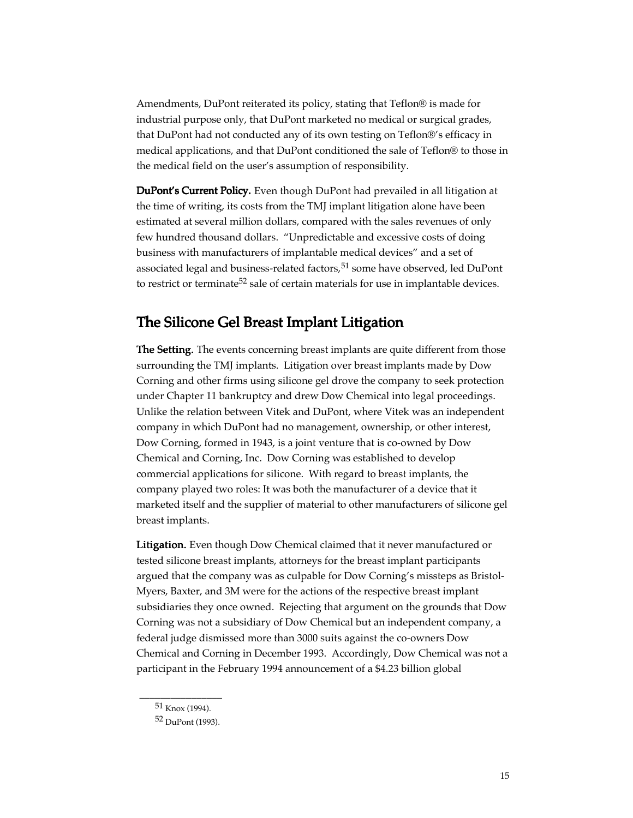Amendments, DuPont reiterated its policy, stating that Teflon® is made for industrial purpose only, that DuPont marketed no medical or surgical grades, that DuPont had not conducted any of its own testing on Teflon®'s efficacy in medical applications, and that DuPont conditioned the sale of Teflon® to those in the medical field on the user's assumption of responsibility.

DuPont's Current Policy. Even though DuPont had prevailed in all litigation at the time of writing, its costs from the TMJ implant litigation alone have been estimated at several million dollars, compared with the sales revenues of only few hundred thousand dollars. "Unpredictable and excessive costs of doing business with manufacturers of implantable medical devices" and a set of associated legal and business-related factors,<sup>51</sup> some have observed, led DuPont to restrict or terminate<sup>52</sup> sale of certain materials for use in implantable devices.

## The Silicone Gel Breast Implant Litigation

The Setting. The events concerning breast implants are quite different from those surrounding the TMJ implants. Litigation over breast implants made by Dow Corning and other firms using silicone gel drove the company to seek protection under Chapter 11 bankruptcy and drew Dow Chemical into legal proceedings. Unlike the relation between Vitek and DuPont, where Vitek was an independent company in which DuPont had no management, ownership, or other interest, Dow Corning, formed in 1943, is a joint venture that is co-owned by Dow Chemical and Corning, Inc. Dow Corning was established to develop commercial applications for silicone. With regard to breast implants, the company played two roles: It was both the manufacturer of a device that it marketed itself and the supplier of material to other manufacturers of silicone gel breast implants.

Litigation. Even though Dow Chemical claimed that it never manufactured or tested silicone breast implants, attorneys for the breast implant participants argued that the company was as culpable for Dow Corning's missteps as Bristol-Myers, Baxter, and 3M were for the actions of the respective breast implant subsidiaries they once owned. Rejecting that argument on the grounds that Dow Corning was not a subsidiary of Dow Chemical but an independent company, a federal judge dismissed more than 3000 suits against the co-owners Dow Chemical and Corning in December 1993. Accordingly, Dow Chemical was not a participant in the February 1994 announcement of a \$4.23 billion global

\_\_\_\_\_\_\_\_\_\_\_\_\_\_\_\_  $51$  Knox (1994).

<sup>52</sup> DuPont (1993).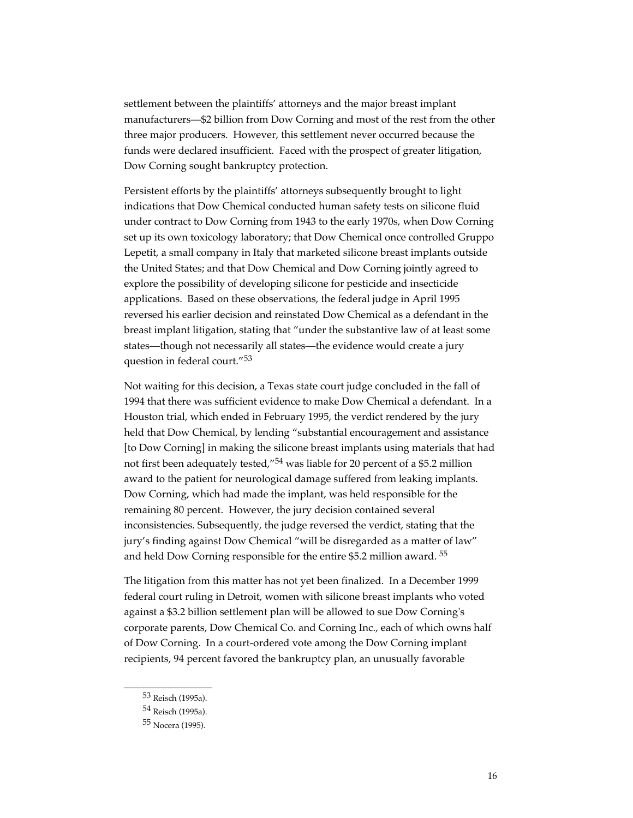settlement between the plaintiffs' attorneys and the major breast implant manufacturers—\$2 billion from Dow Corning and most of the rest from the other three major producers. However, this settlement never occurred because the funds were declared insufficient. Faced with the prospect of greater litigation, Dow Corning sought bankruptcy protection.

Persistent efforts by the plaintiffs' attorneys subsequently brought to light indications that Dow Chemical conducted human safety tests on silicone fluid under contract to Dow Corning from 1943 to the early 1970s, when Dow Corning set up its own toxicology laboratory; that Dow Chemical once controlled Gruppo Lepetit, a small company in Italy that marketed silicone breast implants outside the United States; and that Dow Chemical and Dow Corning jointly agreed to explore the possibility of developing silicone for pesticide and insecticide applications. Based on these observations, the federal judge in April 1995 reversed his earlier decision and reinstated Dow Chemical as a defendant in the breast implant litigation, stating that "under the substantive law of at least some states—though not necessarily all states—the evidence would create a jury question in federal court."<sup>53</sup>

Not waiting for this decision, a Texas state court judge concluded in the fall of 1994 that there was sufficient evidence to make Dow Chemical a defendant. In a Houston trial, which ended in February 1995, the verdict rendered by the jury held that Dow Chemical, by lending "substantial encouragement and assistance [to Dow Corning] in making the silicone breast implants using materials that had not first been adequately tested,"<sup>54</sup> was liable for 20 percent of a \$5.2 million award to the patient for neurological damage suffered from leaking implants. Dow Corning, which had made the implant, was held responsible for the remaining 80 percent. However, the jury decision contained several inconsistencies. Subsequently, the judge reversed the verdict, stating that the jury's finding against Dow Chemical "will be disregarded as a matter of law" and held Dow Corning responsible for the entire \$5.2 million award.<sup>55</sup>

The litigation from this matter has not yet been finalized. In a December 1999 federal court ruling in Detroit, women with silicone breast implants who voted against a \$3.2 billion settlement plan will be allowed to sue Dow Corning's corporate parents, Dow Chemical Co. and Corning Inc., each of which owns half of Dow Corning. In a court-ordered vote among the Dow Corning implant recipients, 94 percent favored the bankruptcy plan, an unusually favorable

\_\_\_\_\_\_\_\_\_\_\_\_\_\_\_\_\_ 53 Reisch (1995a).

<sup>54</sup> Reisch (1995a).

<sup>55</sup> Nocera (1995).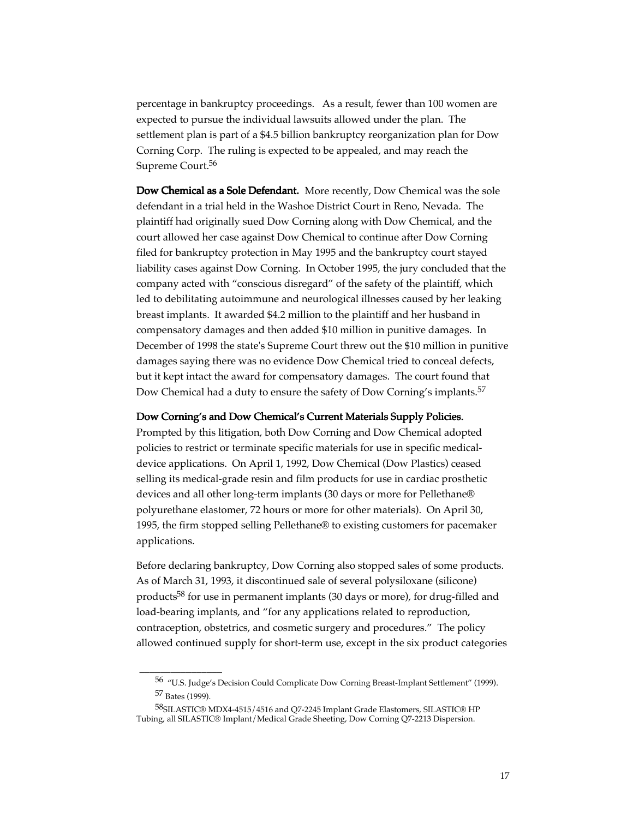percentage in bankruptcy proceedings. As a result, fewer than 100 women are expected to pursue the individual lawsuits allowed under the plan. The settlement plan is part of a \$4.5 billion bankruptcy reorganization plan for Dow Corning Corp. The ruling is expected to be appealed, and may reach the Supreme Court.<sup>56</sup>

Dow Chemical as a Sole Defendant. More recently, Dow Chemical was the sole defendant in a trial held in the Washoe District Court in Reno, Nevada. The plaintiff had originally sued Dow Corning along with Dow Chemical, and the court allowed her case against Dow Chemical to continue after Dow Corning filed for bankruptcy protection in May 1995 and the bankruptcy court stayed liability cases against Dow Corning. In October 1995, the jury concluded that the company acted with "conscious disregard" of the safety of the plaintiff, which led to debilitating autoimmune and neurological illnesses caused by her leaking breast implants. It awarded \$4.2 million to the plaintiff and her husband in compensatory damages and then added \$10 million in punitive damages. In December of 1998 the state's Supreme Court threw out the \$10 million in punitive damages saying there was no evidence Dow Chemical tried to conceal defects, but it kept intact the award for compensatory damages. The court found that Dow Chemical had a duty to ensure the safety of Dow Corning's implants.<sup>57</sup>

#### Dow Corning's and Dow Chemical's Current Materials Supply Policies.

Prompted by this litigation, both Dow Corning and Dow Chemical adopted policies to restrict or terminate specific materials for use in specific medicaldevice applications. On April 1, 1992, Dow Chemical (Dow Plastics) ceased selling its medical-grade resin and film products for use in cardiac prosthetic devices and all other long-term implants (30 days or more for Pellethane® polyurethane elastomer, 72 hours or more for other materials). On April 30, 1995, the firm stopped selling Pellethane® to existing customers for pacemaker applications.

Before declaring bankruptcy, Dow Corning also stopped sales of some products. As of March 31, 1993, it discontinued sale of several polysiloxane (silicone) products<sup>58</sup> for use in permanent implants (30 days or more), for drug-filled and load-bearing implants, and "for any applications related to reproduction, contraception, obstetrics, and cosmetic surgery and procedures." The policy allowed continued supply for short-term use, except in the six product categories

\_\_\_\_\_\_\_\_\_\_\_\_\_\_\_\_

<sup>56 &</sup>quot;U.S. Judge's Decision Could Complicate Dow Corning Breast-Implant Settlement" (1999). 57 Bates (1999).

<sup>58</sup>SILASTIC® MDX4-4515/4516 and Q7-2245 Implant Grade Elastomers, SILASTIC® HP Tubing, all SILASTIC® Implant/Medical Grade Sheeting, Dow Corning Q7-2213 Dispersion.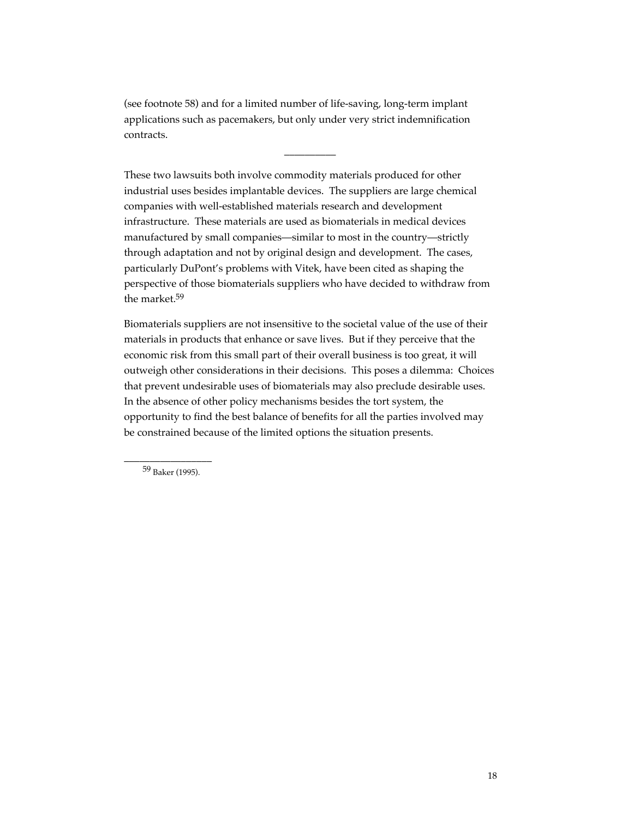(see footnote 58) and for a limited number of life-saving, long-term implant applications such as pacemakers, but only under very strict indemnification contracts.

 $\overline{\phantom{a}}$ 

These two lawsuits both involve commodity materials produced for other industrial uses besides implantable devices. The suppliers are large chemical companies with well-established materials research and development infrastructure. These materials are used as biomaterials in medical devices manufactured by small companies—similar to most in the country—strictly through adaptation and not by original design and development. The cases, particularly DuPont's problems with Vitek, have been cited as shaping the perspective of those biomaterials suppliers who have decided to withdraw from the market.59

Biomaterials suppliers are not insensitive to the societal value of the use of their materials in products that enhance or save lives. But if they perceive that the economic risk from this small part of their overall business is too great, it will outweigh other considerations in their decisions. This poses a dilemma: Choices that prevent undesirable uses of biomaterials may also preclude desirable uses. In the absence of other policy mechanisms besides the tort system, the opportunity to find the best balance of benefits for all the parties involved may be constrained because of the limited options the situation presents.

\_\_\_\_\_\_\_\_\_\_\_\_\_\_\_\_\_ 59 Baker (1995).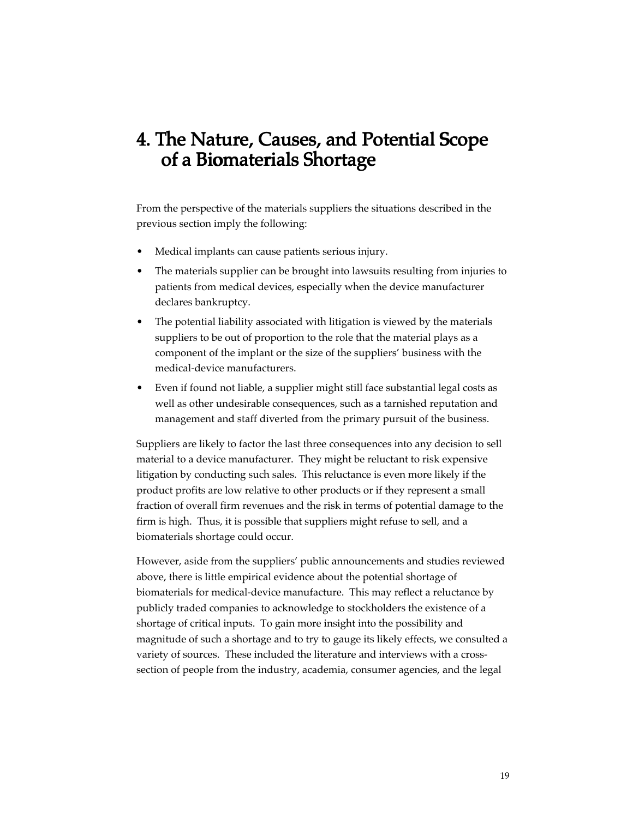# 4. The Nature, Causes, and Potential Scope of a Biomaterials Shortage

From the perspective of the materials suppliers the situations described in the previous section imply the following:

- Medical implants can cause patients serious injury.
- The materials supplier can be brought into lawsuits resulting from injuries to patients from medical devices, especially when the device manufacturer declares bankruptcy.
- The potential liability associated with litigation is viewed by the materials suppliers to be out of proportion to the role that the material plays as a component of the implant or the size of the suppliers' business with the medical-device manufacturers.
- Even if found not liable, a supplier might still face substantial legal costs as well as other undesirable consequences, such as a tarnished reputation and management and staff diverted from the primary pursuit of the business.

Suppliers are likely to factor the last three consequences into any decision to sell material to a device manufacturer. They might be reluctant to risk expensive litigation by conducting such sales. This reluctance is even more likely if the product profits are low relative to other products or if they represent a small fraction of overall firm revenues and the risk in terms of potential damage to the firm is high. Thus, it is possible that suppliers might refuse to sell, and a biomaterials shortage could occur.

However, aside from the suppliers' public announcements and studies reviewed above, there is little empirical evidence about the potential shortage of biomaterials for medical-device manufacture. This may reflect a reluctance by publicly traded companies to acknowledge to stockholders the existence of a shortage of critical inputs. To gain more insight into the possibility and magnitude of such a shortage and to try to gauge its likely effects, we consulted a variety of sources. These included the literature and interviews with a crosssection of people from the industry, academia, consumer agencies, and the legal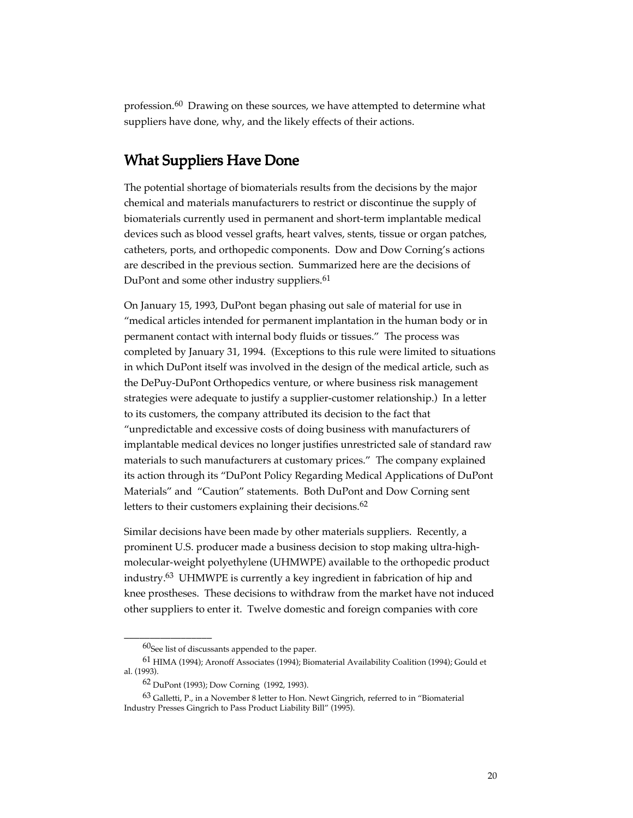profession.60 Drawing on these sources, we have attempted to determine what suppliers have done, why, and the likely effects of their actions.

## What Suppliers Have Done

The potential shortage of biomaterials results from the decisions by the major chemical and materials manufacturers to restrict or discontinue the supply of biomaterials currently used in permanent and short-term implantable medical devices such as blood vessel grafts, heart valves, stents, tissue or organ patches, catheters, ports, and orthopedic components. Dow and Dow Corning's actions are described in the previous section. Summarized here are the decisions of DuPont and some other industry suppliers.<sup>61</sup>

On January 15, 1993, DuPont began phasing out sale of material for use in "medical articles intended for permanent implantation in the human body or in permanent contact with internal body fluids or tissues." The process was completed by January 31, 1994. (Exceptions to this rule were limited to situations in which DuPont itself was involved in the design of the medical article, such as the DePuy-DuPont Orthopedics venture, or where business risk management strategies were adequate to justify a supplier-customer relationship.) In a letter to its customers, the company attributed its decision to the fact that "unpredictable and excessive costs of doing business with manufacturers of implantable medical devices no longer justifies unrestricted sale of standard raw materials to such manufacturers at customary prices." The company explained its action through its "DuPont Policy Regarding Medical Applications of DuPont Materials" and "Caution" statements. Both DuPont and Dow Corning sent letters to their customers explaining their decisions.<sup>62</sup>

Similar decisions have been made by other materials suppliers. Recently, a prominent U.S. producer made a business decision to stop making ultra-highmolecular-weight polyethylene (UHMWPE) available to the orthopedic product industry.63 UHMWPE is currently a key ingredient in fabrication of hip and knee prostheses. These decisions to withdraw from the market have not induced other suppliers to enter it. Twelve domestic and foreign companies with core

\_\_\_\_\_\_\_\_\_\_\_\_\_\_\_\_\_

 $60$ See list of discussants appended to the paper.

<sup>61</sup> HIMA (1994); Aronoff Associates (1994); Biomaterial Availability Coalition (1994); Gould et al. (1993).

<sup>62</sup> DuPont (1993); Dow Corning (1992, 1993).

<sup>63</sup> Galletti, P., in a November 8 letter to Hon. Newt Gingrich, referred to in "Biomaterial Industry Presses Gingrich to Pass Product Liability Bill" (1995).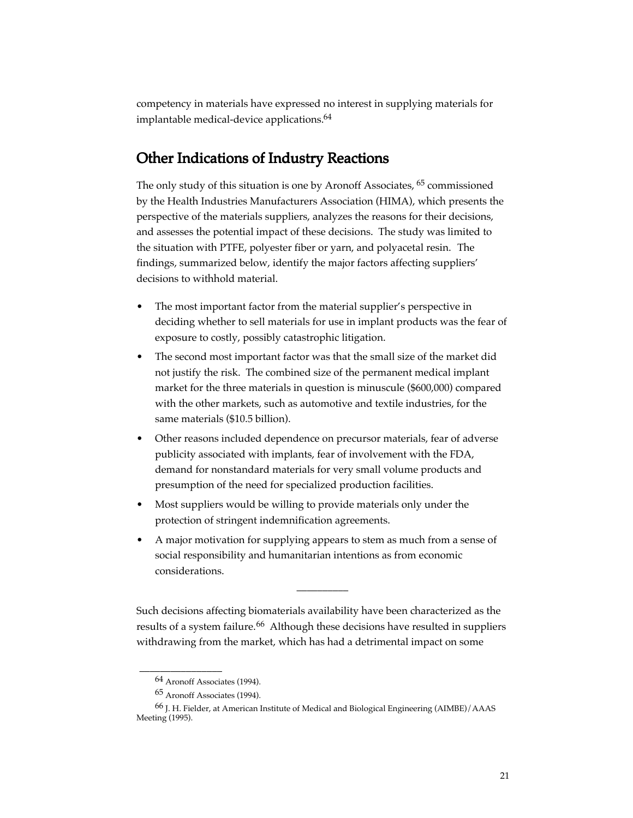competency in materials have expressed no interest in supplying materials for implantable medical-device applications.<sup>64</sup>

## Other Indications of Industry Reactions

The only study of this situation is one by Aronoff Associates, <sup>65</sup> commissioned by the Health Industries Manufacturers Association (HIMA), which presents the perspective of the materials suppliers, analyzes the reasons for their decisions, and assesses the potential impact of these decisions. The study was limited to the situation with PTFE, polyester fiber or yarn, and polyacetal resin. The findings, summarized below, identify the major factors affecting suppliers' decisions to withhold material.

- The most important factor from the material supplier's perspective in deciding whether to sell materials for use in implant products was the fear of exposure to costly, possibly catastrophic litigation.
- The second most important factor was that the small size of the market did not justify the risk. The combined size of the permanent medical implant market for the three materials in question is minuscule (\$600,000) compared with the other markets, such as automotive and textile industries, for the same materials (\$10.5 billion).
- Other reasons included dependence on precursor materials, fear of adverse publicity associated with implants, fear of involvement with the FDA, demand for nonstandard materials for very small volume products and presumption of the need for specialized production facilities.
- Most suppliers would be willing to provide materials only under the protection of stringent indemnification agreements.
- A major motivation for supplying appears to stem as much from a sense of social responsibility and humanitarian intentions as from economic considerations.

Such decisions affecting biomaterials availability have been characterized as the results of a system failure.<sup>66</sup> Although these decisions have resulted in suppliers withdrawing from the market, which has had a detrimental impact on some

\_\_\_\_\_\_\_\_\_\_

\_\_\_\_\_\_\_\_\_\_\_\_\_\_\_\_

<sup>64</sup> Aronoff Associates (1994).

<sup>65</sup> Aronoff Associates (1994).

<sup>66</sup> J. H. Fielder, at American Institute of Medical and Biological Engineering (AIMBE)/AAAS Meeting (1995).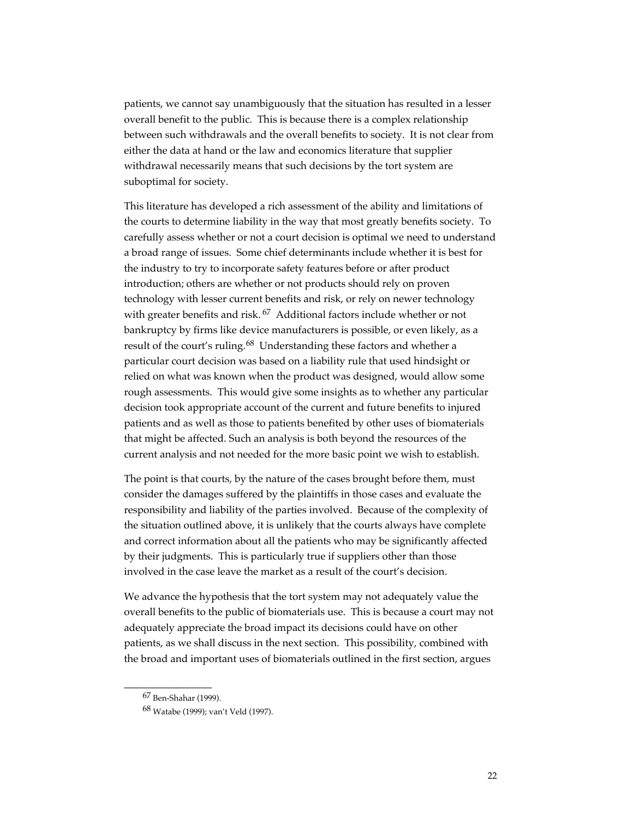patients, we cannot say unambiguously that the situation has resulted in a lesser overall benefit to the public. This is because there is a complex relationship between such withdrawals and the overall benefits to society. It is not clear from either the data at hand or the law and economics literature that supplier withdrawal necessarily means that such decisions by the tort system are suboptimal for society.

This literature has developed a rich assessment of the ability and limitations of the courts to determine liability in the way that most greatly benefits society. To carefully assess whether or not a court decision is optimal we need to understand a broad range of issues. Some chief determinants include whether it is best for the industry to try to incorporate safety features before or after product introduction; others are whether or not products should rely on proven technology with lesser current benefits and risk, or rely on newer technology with greater benefits and risk.<sup>67</sup> Additional factors include whether or not bankruptcy by firms like device manufacturers is possible, or even likely, as a result of the court's ruling.<sup>68</sup> Understanding these factors and whether a particular court decision was based on a liability rule that used hindsight or relied on what was known when the product was designed, would allow some rough assessments. This would give some insights as to whether any particular decision took appropriate account of the current and future benefits to injured patients and as well as those to patients benefited by other uses of biomaterials that might be affected. Such an analysis is both beyond the resources of the current analysis and not needed for the more basic point we wish to establish.

The point is that courts, by the nature of the cases brought before them, must consider the damages suffered by the plaintiffs in those cases and evaluate the responsibility and liability of the parties involved. Because of the complexity of the situation outlined above, it is unlikely that the courts always have complete and correct information about all the patients who may be significantly affected by their judgments. This is particularly true if suppliers other than those involved in the case leave the market as a result of the court's decision.

We advance the hypothesis that the tort system may not adequately value the overall benefits to the public of biomaterials use. This is because a court may not adequately appreciate the broad impact its decisions could have on other patients, as we shall discuss in the next section. This possibility, combined with the broad and important uses of biomaterials outlined in the first section, argues

\_\_\_\_\_\_\_\_\_\_\_\_\_\_\_\_\_

<sup>67</sup> Ben-Shahar (1999).

<sup>68</sup> Watabe (1999); van't Veld (1997).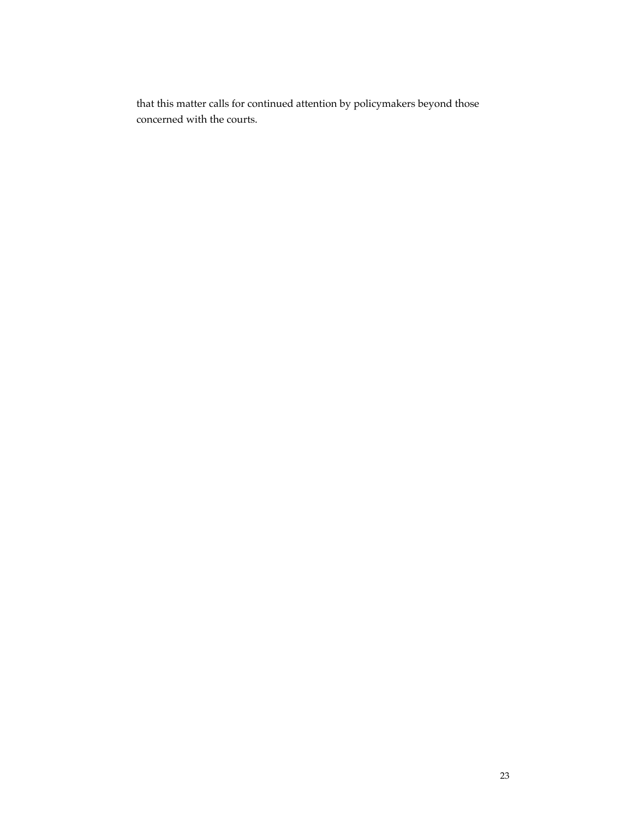that this matter calls for continued attention by policymakers beyond those concerned with the courts.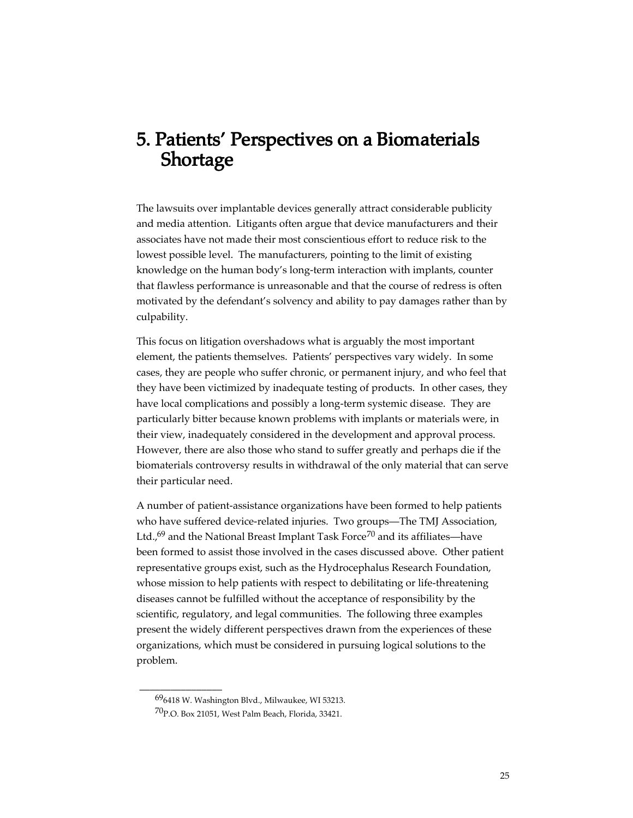# 5. Patients' Perspectives on a Biomaterials **Shortage**

The lawsuits over implantable devices generally attract considerable publicity and media attention. Litigants often argue that device manufacturers and their associates have not made their most conscientious effort to reduce risk to the lowest possible level. The manufacturers, pointing to the limit of existing knowledge on the human body's long-term interaction with implants, counter that flawless performance is unreasonable and that the course of redress is often motivated by the defendant's solvency and ability to pay damages rather than by culpability.

This focus on litigation overshadows what is arguably the most important element, the patients themselves. Patients' perspectives vary widely. In some cases, they are people who suffer chronic, or permanent injury, and who feel that they have been victimized by inadequate testing of products. In other cases, they have local complications and possibly a long-term systemic disease. They are particularly bitter because known problems with implants or materials were, in their view, inadequately considered in the development and approval process. However, there are also those who stand to suffer greatly and perhaps die if the biomaterials controversy results in withdrawal of the only material that can serve their particular need.

A number of patient-assistance organizations have been formed to help patients who have suffered device-related injuries. Two groups—The TMJ Association, Ltd., $^{69}$  and the National Breast Implant Task Force<sup>70</sup> and its affiliates—have been formed to assist those involved in the cases discussed above. Other patient representative groups exist, such as the Hydrocephalus Research Foundation, whose mission to help patients with respect to debilitating or life-threatening diseases cannot be fulfilled without the acceptance of responsibility by the scientific, regulatory, and legal communities. The following three examples present the widely different perspectives drawn from the experiences of these organizations, which must be considered in pursuing logical solutions to the problem.

\_\_\_\_\_\_\_\_\_\_\_\_\_\_\_\_

<sup>696418</sup> W. Washington Blvd., Milwaukee, WI 53213.

<sup>70</sup>P.O. Box 21051, West Palm Beach, Florida, 33421.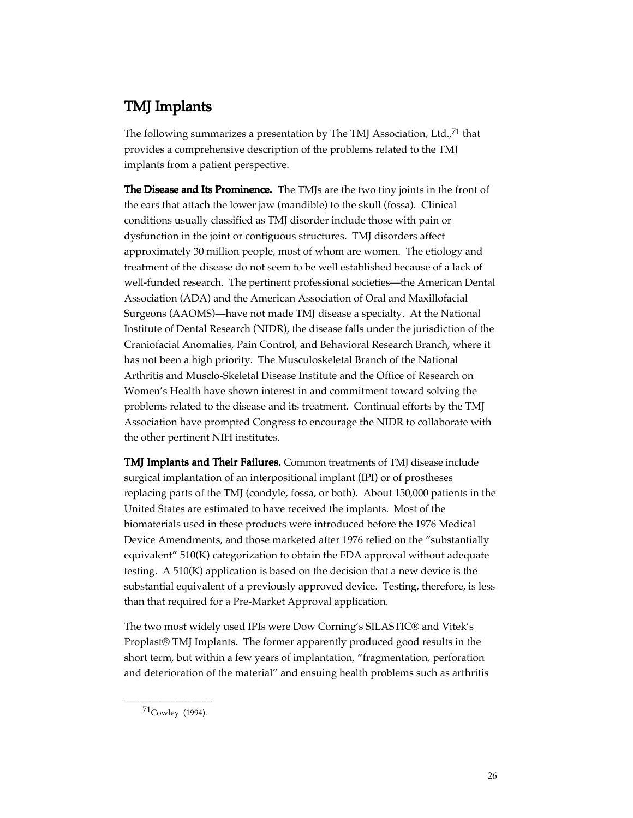## TMJ Implants

The following summarizes a presentation by The TMJ Association, Ltd.,<sup>71</sup> that provides a comprehensive description of the problems related to the TMJ implants from a patient perspective.

The Disease and Its Prominence. The TMJs are the two tiny joints in the front of the ears that attach the lower jaw (mandible) to the skull (fossa). Clinical conditions usually classified as TMJ disorder include those with pain or dysfunction in the joint or contiguous structures. TMJ disorders affect approximately 30 million people, most of whom are women. The etiology and treatment of the disease do not seem to be well established because of a lack of well-funded research. The pertinent professional societies—the American Dental Association (ADA) and the American Association of Oral and Maxillofacial Surgeons (AAOMS)—have not made TMJ disease a specialty. At the National Institute of Dental Research (NIDR), the disease falls under the jurisdiction of the Craniofacial Anomalies, Pain Control, and Behavioral Research Branch, where it has not been a high priority. The Musculoskeletal Branch of the National Arthritis and Musclo-Skeletal Disease Institute and the Office of Research on Women's Health have shown interest in and commitment toward solving the problems related to the disease and its treatment. Continual efforts by the TMJ Association have prompted Congress to encourage the NIDR to collaborate with the other pertinent NIH institutes.

TMJ Implants and Their Failures. Common treatments of TMJ disease include surgical implantation of an interpositional implant (IPI) or of prostheses replacing parts of the TMJ (condyle, fossa, or both). About 150,000 patients in the United States are estimated to have received the implants. Most of the biomaterials used in these products were introduced before the 1976 Medical Device Amendments, and those marketed after 1976 relied on the "substantially equivalent" 510(K) categorization to obtain the FDA approval without adequate testing. A 510(K) application is based on the decision that a new device is the substantial equivalent of a previously approved device. Testing, therefore, is less than that required for a Pre-Market Approval application.

The two most widely used IPIs were Dow Corning's SILASTIC® and Vitek's Proplast® TMJ Implants. The former apparently produced good results in the short term, but within a few years of implantation, "fragmentation, perforation and deterioration of the material" and ensuing health problems such as arthritis

\_\_\_\_\_\_\_\_\_\_\_\_\_\_\_\_\_ 71Cowley (1994).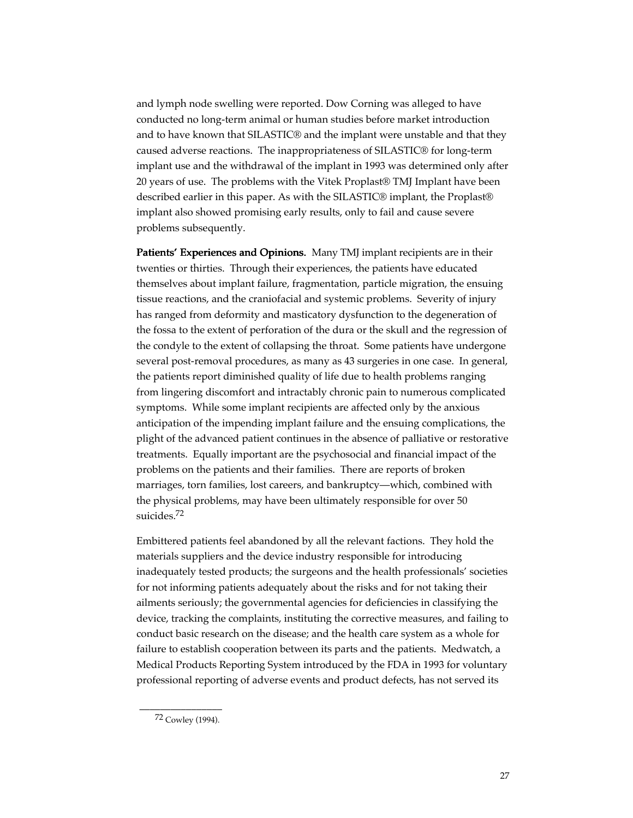and lymph node swelling were reported. Dow Corning was alleged to have conducted no long-term animal or human studies before market introduction and to have known that SILASTIC® and the implant were unstable and that they caused adverse reactions. The inappropriateness of SILASTIC® for long-term implant use and the withdrawal of the implant in 1993 was determined only after 20 years of use. The problems with the Vitek Proplast® TMJ Implant have been described earlier in this paper. As with the SILASTIC® implant, the Proplast® implant also showed promising early results, only to fail and cause severe problems subsequently.

Patients' Experiences and Opinions. Many TMJ implant recipients are in their twenties or thirties. Through their experiences, the patients have educated themselves about implant failure, fragmentation, particle migration, the ensuing tissue reactions, and the craniofacial and systemic problems. Severity of injury has ranged from deformity and masticatory dysfunction to the degeneration of the fossa to the extent of perforation of the dura or the skull and the regression of the condyle to the extent of collapsing the throat. Some patients have undergone several post-removal procedures, as many as 43 surgeries in one case. In general, the patients report diminished quality of life due to health problems ranging from lingering discomfort and intractably chronic pain to numerous complicated symptoms. While some implant recipients are affected only by the anxious anticipation of the impending implant failure and the ensuing complications, the plight of the advanced patient continues in the absence of palliative or restorative treatments. Equally important are the psychosocial and financial impact of the problems on the patients and their families. There are reports of broken marriages, torn families, lost careers, and bankruptcy—which, combined with the physical problems, may have been ultimately responsible for over 50 suicides.72

Embittered patients feel abandoned by all the relevant factions. They hold the materials suppliers and the device industry responsible for introducing inadequately tested products; the surgeons and the health professionals' societies for not informing patients adequately about the risks and for not taking their ailments seriously; the governmental agencies for deficiencies in classifying the device, tracking the complaints, instituting the corrective measures, and failing to conduct basic research on the disease; and the health care system as a whole for failure to establish cooperation between its parts and the patients. Medwatch, a Medical Products Reporting System introduced by the FDA in 1993 for voluntary professional reporting of adverse events and product defects, has not served its

\_\_\_\_\_\_\_\_\_\_\_\_\_\_\_\_ 72 Cowley (1994).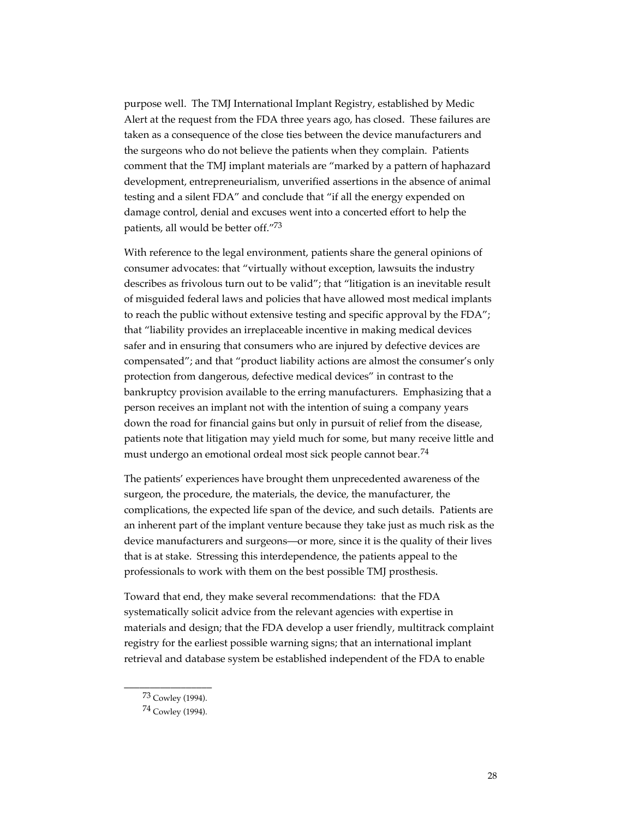purpose well. The TMJ International Implant Registry, established by Medic Alert at the request from the FDA three years ago, has closed. These failures are taken as a consequence of the close ties between the device manufacturers and the surgeons who do not believe the patients when they complain. Patients comment that the TMJ implant materials are "marked by a pattern of haphazard development, entrepreneurialism, unverified assertions in the absence of animal testing and a silent FDA" and conclude that "if all the energy expended on damage control, denial and excuses went into a concerted effort to help the patients, all would be better off."73

With reference to the legal environment, patients share the general opinions of consumer advocates: that "virtually without exception, lawsuits the industry describes as frivolous turn out to be valid"; that "litigation is an inevitable result of misguided federal laws and policies that have allowed most medical implants to reach the public without extensive testing and specific approval by the FDA"; that "liability provides an irreplaceable incentive in making medical devices safer and in ensuring that consumers who are injured by defective devices are compensated"; and that "product liability actions are almost the consumer's only protection from dangerous, defective medical devices" in contrast to the bankruptcy provision available to the erring manufacturers. Emphasizing that a person receives an implant not with the intention of suing a company years down the road for financial gains but only in pursuit of relief from the disease, patients note that litigation may yield much for some, but many receive little and must undergo an emotional ordeal most sick people cannot bear.<sup>74</sup>

The patients' experiences have brought them unprecedented awareness of the surgeon, the procedure, the materials, the device, the manufacturer, the complications, the expected life span of the device, and such details. Patients are an inherent part of the implant venture because they take just as much risk as the device manufacturers and surgeons—or more, since it is the quality of their lives that is at stake. Stressing this interdependence, the patients appeal to the professionals to work with them on the best possible TMJ prosthesis.

Toward that end, they make several recommendations: that the FDA systematically solicit advice from the relevant agencies with expertise in materials and design; that the FDA develop a user friendly, multitrack complaint registry for the earliest possible warning signs; that an international implant retrieval and database system be established independent of the FDA to enable

\_\_\_\_\_\_\_\_\_\_\_\_\_\_\_\_\_ 73 Cowley (1994).

<sup>74</sup> Cowley (1994).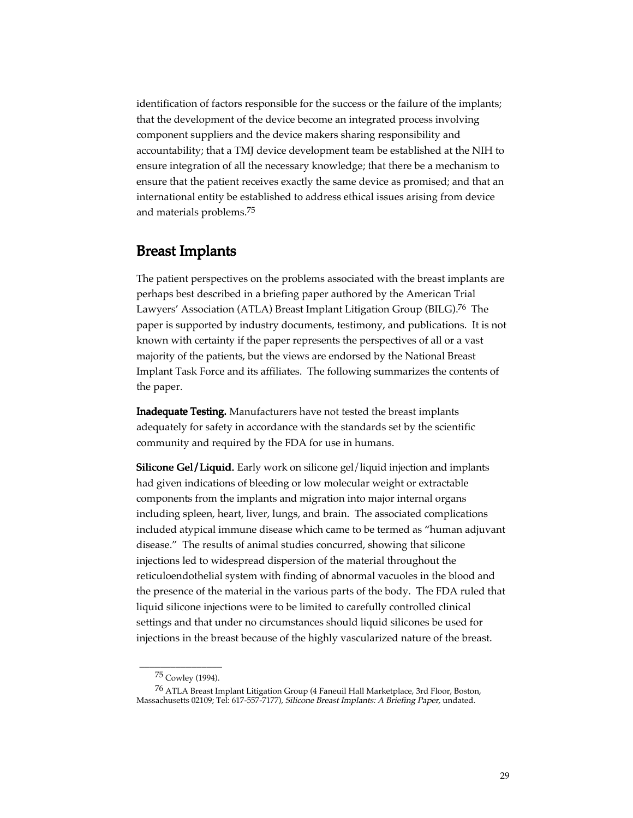identification of factors responsible for the success or the failure of the implants; that the development of the device become an integrated process involving component suppliers and the device makers sharing responsibility and accountability; that a TMJ device development team be established at the NIH to ensure integration of all the necessary knowledge; that there be a mechanism to ensure that the patient receives exactly the same device as promised; and that an international entity be established to address ethical issues arising from device and materials problems.75

## Breast Implants

The patient perspectives on the problems associated with the breast implants are perhaps best described in a briefing paper authored by the American Trial Lawyers' Association (ATLA) Breast Implant Litigation Group (BILG).76 The paper is supported by industry documents, testimony, and publications. It is not known with certainty if the paper represents the perspectives of all or a vast majority of the patients, but the views are endorsed by the National Breast Implant Task Force and its affiliates. The following summarizes the contents of the paper.

Inadequate Testing. Manufacturers have not tested the breast implants adequately for safety in accordance with the standards set by the scientific community and required by the FDA for use in humans.

Silicone Gel/Liquid. Early work on silicone gel/liquid injection and implants had given indications of bleeding or low molecular weight or extractable components from the implants and migration into major internal organs including spleen, heart, liver, lungs, and brain. The associated complications included atypical immune disease which came to be termed as "human adjuvant disease." The results of animal studies concurred, showing that silicone injections led to widespread dispersion of the material throughout the reticuloendothelial system with finding of abnormal vacuoles in the blood and the presence of the material in the various parts of the body. The FDA ruled that liquid silicone injections were to be limited to carefully controlled clinical settings and that under no circumstances should liquid silicones be used for injections in the breast because of the highly vascularized nature of the breast.

\_\_\_\_\_\_\_\_\_\_\_\_\_\_\_\_ 75 Cowley (1994).

<sup>76</sup> ATLA Breast Implant Litigation Group (4 Faneuil Hall Marketplace, 3rd Floor, Boston, Massachusetts 02109; Tel: 617-557-7177), Silicone Breast Implants: A Briefing Paper, undated.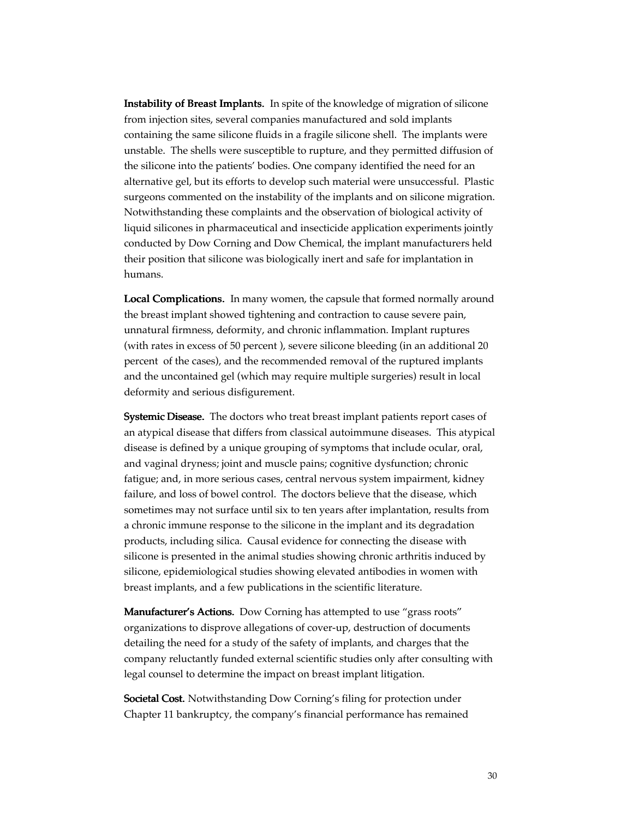Instability of Breast Implants. In spite of the knowledge of migration of silicone from injection sites, several companies manufactured and sold implants containing the same silicone fluids in a fragile silicone shell. The implants were unstable. The shells were susceptible to rupture, and they permitted diffusion of the silicone into the patients' bodies. One company identified the need for an alternative gel, but its efforts to develop such material were unsuccessful. Plastic surgeons commented on the instability of the implants and on silicone migration. Notwithstanding these complaints and the observation of biological activity of liquid silicones in pharmaceutical and insecticide application experiments jointly conducted by Dow Corning and Dow Chemical, the implant manufacturers held their position that silicone was biologically inert and safe for implantation in humans.

Local Complications. In many women, the capsule that formed normally around the breast implant showed tightening and contraction to cause severe pain, unnatural firmness, deformity, and chronic inflammation. Implant ruptures (with rates in excess of 50 percent ), severe silicone bleeding (in an additional 20 percent of the cases), and the recommended removal of the ruptured implants and the uncontained gel (which may require multiple surgeries) result in local deformity and serious disfigurement.

**Systemic Disease.** The doctors who treat breast implant patients report cases of an atypical disease that differs from classical autoimmune diseases. This atypical disease is defined by a unique grouping of symptoms that include ocular, oral, and vaginal dryness; joint and muscle pains; cognitive dysfunction; chronic fatigue; and, in more serious cases, central nervous system impairment, kidney failure, and loss of bowel control. The doctors believe that the disease, which sometimes may not surface until six to ten years after implantation, results from a chronic immune response to the silicone in the implant and its degradation products, including silica. Causal evidence for connecting the disease with silicone is presented in the animal studies showing chronic arthritis induced by silicone, epidemiological studies showing elevated antibodies in women with breast implants, and a few publications in the scientific literature.

Manufacturer's Actions. Dow Corning has attempted to use "grass roots" organizations to disprove allegations of cover-up, destruction of documents detailing the need for a study of the safety of implants, and charges that the company reluctantly funded external scientific studies only after consulting with legal counsel to determine the impact on breast implant litigation.

Societal Cost. Notwithstanding Dow Corning's filing for protection under Chapter 11 bankruptcy, the company's financial performance has remained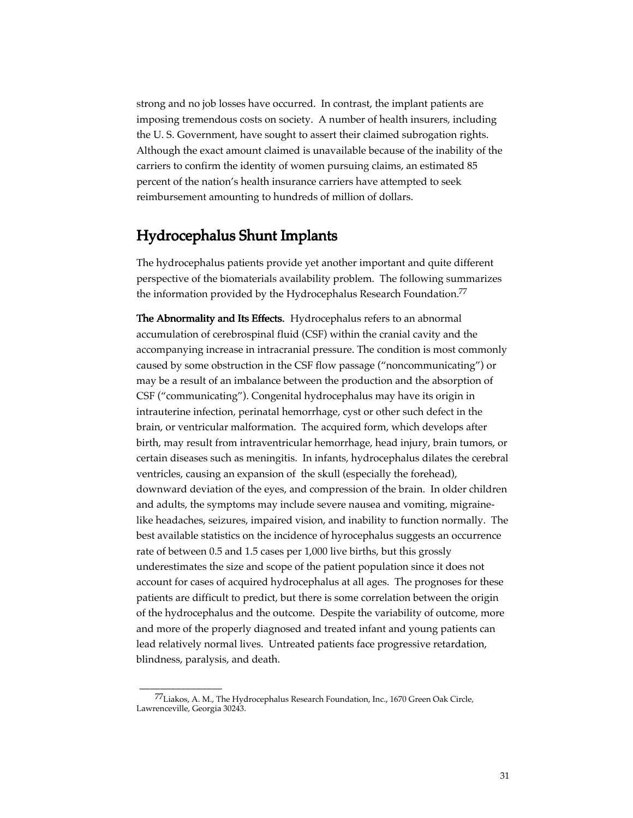strong and no job losses have occurred. In contrast, the implant patients are imposing tremendous costs on society. A number of health insurers, including the U. S. Government, have sought to assert their claimed subrogation rights. Although the exact amount claimed is unavailable because of the inability of the carriers to confirm the identity of women pursuing claims, an estimated 85 percent of the nation's health insurance carriers have attempted to seek reimbursement amounting to hundreds of million of dollars.

## Hydrocephalus Shunt Implants

The hydrocephalus patients provide yet another important and quite different perspective of the biomaterials availability problem. The following summarizes the information provided by the Hydrocephalus Research Foundation.<sup>77</sup>

The Abnormality and Its Effects. Hydrocephalus refers to an abnormal accumulation of cerebrospinal fluid (CSF) within the cranial cavity and the accompanying increase in intracranial pressure. The condition is most commonly caused by some obstruction in the CSF flow passage ("noncommunicating") or may be a result of an imbalance between the production and the absorption of CSF ("communicating"). Congenital hydrocephalus may have its origin in intrauterine infection, perinatal hemorrhage, cyst or other such defect in the brain, or ventricular malformation. The acquired form, which develops after birth, may result from intraventricular hemorrhage, head injury, brain tumors, or certain diseases such as meningitis. In infants, hydrocephalus dilates the cerebral ventricles, causing an expansion of the skull (especially the forehead), downward deviation of the eyes, and compression of the brain. In older children and adults, the symptoms may include severe nausea and vomiting, migrainelike headaches, seizures, impaired vision, and inability to function normally. The best available statistics on the incidence of hyrocephalus suggests an occurrence rate of between 0.5 and 1.5 cases per 1,000 live births, but this grossly underestimates the size and scope of the patient population since it does not account for cases of acquired hydrocephalus at all ages. The prognoses for these patients are difficult to predict, but there is some correlation between the origin of the hydrocephalus and the outcome. Despite the variability of outcome, more and more of the properly diagnosed and treated infant and young patients can lead relatively normal lives. Untreated patients face progressive retardation, blindness, paralysis, and death.

\_\_\_\_\_\_\_\_\_\_\_\_\_\_\_\_

<sup>77</sup>Liakos, A. M., The Hydrocephalus Research Foundation, Inc., 1670 Green Oak Circle, Lawrenceville, Georgia 30243.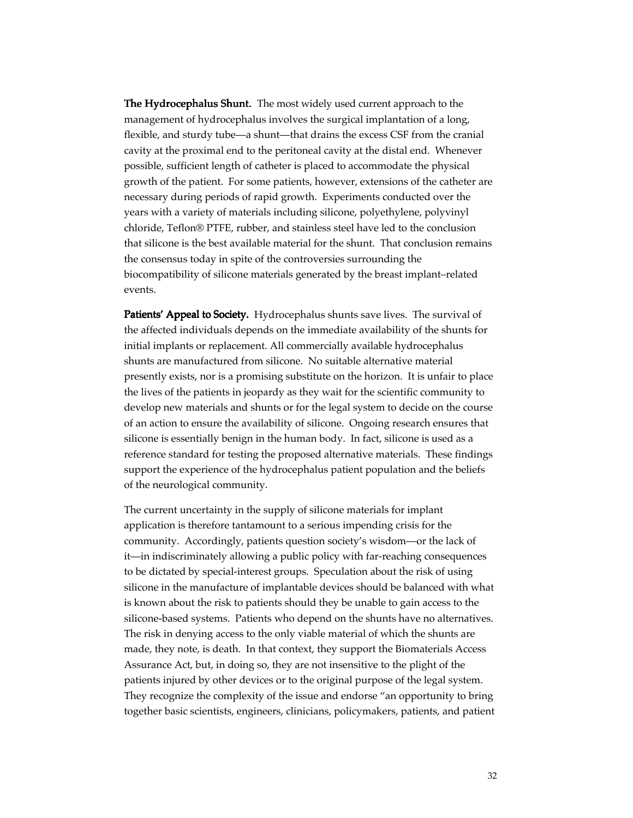The Hydrocephalus Shunt. The most widely used current approach to the management of hydrocephalus involves the surgical implantation of a long, flexible, and sturdy tube—a shunt—that drains the excess CSF from the cranial cavity at the proximal end to the peritoneal cavity at the distal end. Whenever possible, sufficient length of catheter is placed to accommodate the physical growth of the patient. For some patients, however, extensions of the catheter are necessary during periods of rapid growth. Experiments conducted over the years with a variety of materials including silicone, polyethylene, polyvinyl chloride, Teflon® PTFE, rubber, and stainless steel have led to the conclusion that silicone is the best available material for the shunt. That conclusion remains the consensus today in spite of the controversies surrounding the biocompatibility of silicone materials generated by the breast implant–related events.

Patients' Appeal to Society. Hydrocephalus shunts save lives. The survival of the affected individuals depends on the immediate availability of the shunts for initial implants or replacement. All commercially available hydrocephalus shunts are manufactured from silicone. No suitable alternative material presently exists, nor is a promising substitute on the horizon. It is unfair to place the lives of the patients in jeopardy as they wait for the scientific community to develop new materials and shunts or for the legal system to decide on the course of an action to ensure the availability of silicone. Ongoing research ensures that silicone is essentially benign in the human body. In fact, silicone is used as a reference standard for testing the proposed alternative materials. These findings support the experience of the hydrocephalus patient population and the beliefs of the neurological community.

The current uncertainty in the supply of silicone materials for implant application is therefore tantamount to a serious impending crisis for the community. Accordingly, patients question society's wisdom—or the lack of it—in indiscriminately allowing a public policy with far-reaching consequences to be dictated by special-interest groups. Speculation about the risk of using silicone in the manufacture of implantable devices should be balanced with what is known about the risk to patients should they be unable to gain access to the silicone-based systems. Patients who depend on the shunts have no alternatives. The risk in denying access to the only viable material of which the shunts are made, they note, is death. In that context, they support the Biomaterials Access Assurance Act, but, in doing so, they are not insensitive to the plight of the patients injured by other devices or to the original purpose of the legal system. They recognize the complexity of the issue and endorse "an opportunity to bring together basic scientists, engineers, clinicians, policymakers, patients, and patient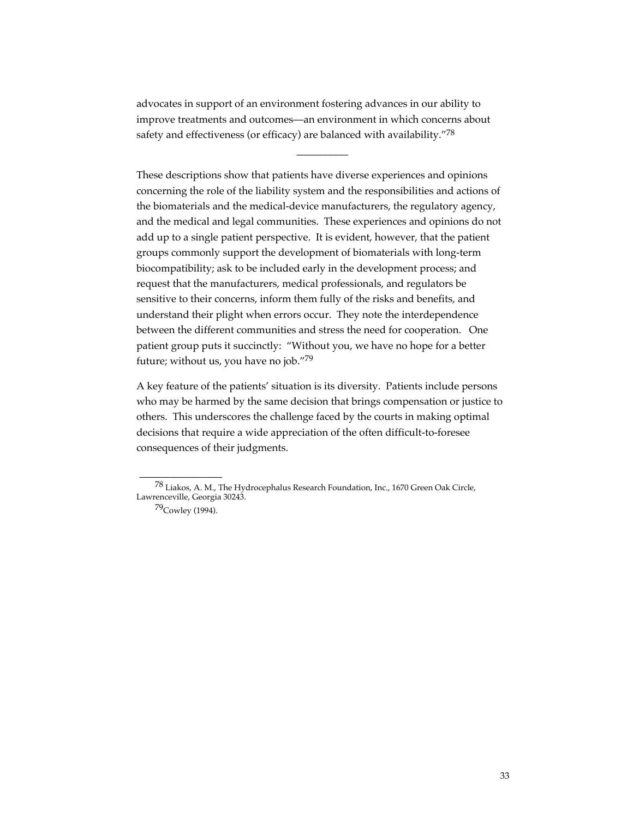advocates in support of an environment fostering advances in our ability to improve treatments and outcomes—an environment in which concerns about safety and effectiveness (or efficacy) are balanced with availability."78

 $\overline{\phantom{a}}$ 

These descriptions show that patients have diverse experiences and opinions concerning the role of the liability system and the responsibilities and actions of the biomaterials and the medical-device manufacturers, the regulatory agency, and the medical and legal communities. These experiences and opinions do not add up to a single patient perspective. It is evident, however, that the patient groups commonly support the development of biomaterials with long-term biocompatibility; ask to be included early in the development process; and request that the manufacturers, medical professionals, and regulators be sensitive to their concerns, inform them fully of the risks and benefits, and understand their plight when errors occur. They note the interdependence between the different communities and stress the need for cooperation. One patient group puts it succinctly: "Without you, we have no hope for a better future; without us, you have no job."79

A key feature of the patients' situation is its diversity. Patients include persons who may be harmed by the same decision that brings compensation or justice to others. This underscores the challenge faced by the courts in making optimal decisions that require a wide appreciation of the often difficult-to-foresee consequences of their judgments.

\_\_\_\_\_\_\_\_\_\_\_\_\_\_\_\_

<sup>78</sup> Liakos, A. M., The Hydrocephalus Research Foundation, Inc., 1670 Green Oak Circle, Lawrenceville, Georgia 30243.

<sup>79</sup>Cowley (1994).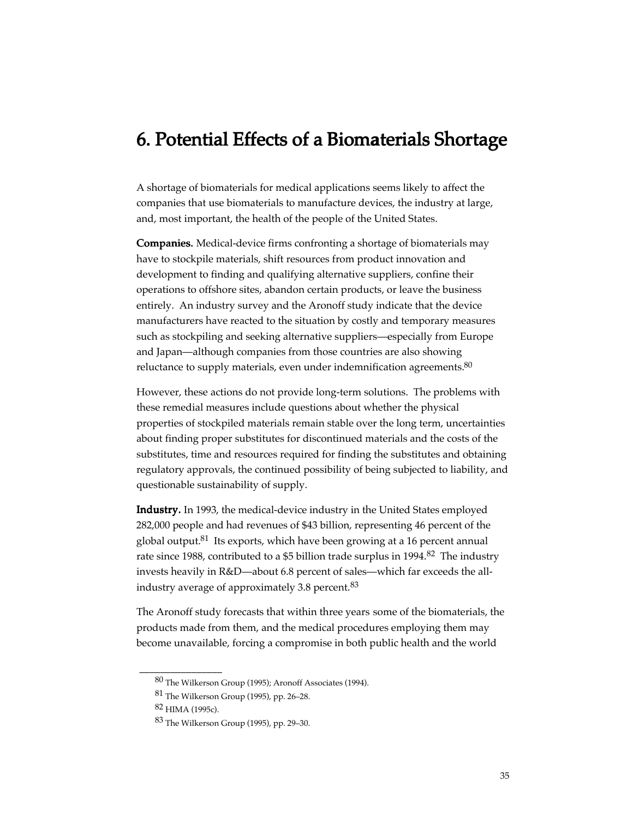## 6. Potential Effects of a Biomaterials Shortage

A shortage of biomaterials for medical applications seems likely to affect the companies that use biomaterials to manufacture devices, the industry at large, and, most important, the health of the people of the United States.

Companies. Medical-device firms confronting a shortage of biomaterials may have to stockpile materials, shift resources from product innovation and development to finding and qualifying alternative suppliers, confine their operations to offshore sites, abandon certain products, or leave the business entirely. An industry survey and the Aronoff study indicate that the device manufacturers have reacted to the situation by costly and temporary measures such as stockpiling and seeking alternative suppliers—especially from Europe and Japan—although companies from those countries are also showing reluctance to supply materials, even under indemnification agreements. $80$ 

However, these actions do not provide long-term solutions. The problems with these remedial measures include questions about whether the physical properties of stockpiled materials remain stable over the long term, uncertainties about finding proper substitutes for discontinued materials and the costs of the substitutes, time and resources required for finding the substitutes and obtaining regulatory approvals, the continued possibility of being subjected to liability, and questionable sustainability of supply.

Industry. In 1993, the medical-device industry in the United States employed 282,000 people and had revenues of \$43 billion, representing 46 percent of the global output.<sup>81</sup> Its exports, which have been growing at a 16 percent annual rate since 1988, contributed to a \$5 billion trade surplus in 1994.<sup>82</sup> The industry invests heavily in R&D—about 6.8 percent of sales—which far exceeds the allindustry average of approximately 3.8 percent. $83$ 

The Aronoff study forecasts that within three years some of the biomaterials, the products made from them, and the medical procedures employing them may become unavailable, forcing a compromise in both public health and the world

\_\_\_\_\_\_\_\_\_\_\_\_\_\_\_\_

<sup>80</sup> The Wilkerson Group (1995); Aronoff Associates (1994).

<sup>81</sup> The Wilkerson Group (1995), pp. 26–28.

<sup>82</sup> HIMA (1995c).

<sup>83</sup> The Wilkerson Group (1995), pp. 29–30.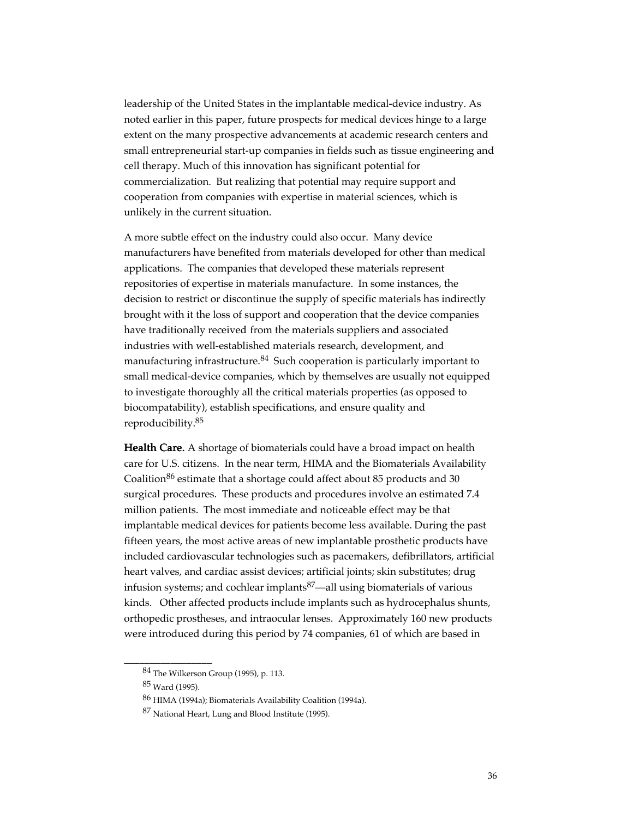leadership of the United States in the implantable medical-device industry. As noted earlier in this paper, future prospects for medical devices hinge to a large extent on the many prospective advancements at academic research centers and small entrepreneurial start-up companies in fields such as tissue engineering and cell therapy. Much of this innovation has significant potential for commercialization. But realizing that potential may require support and cooperation from companies with expertise in material sciences, which is unlikely in the current situation.

A more subtle effect on the industry could also occur. Many device manufacturers have benefited from materials developed for other than medical applications. The companies that developed these materials represent repositories of expertise in materials manufacture. In some instances, the decision to restrict or discontinue the supply of specific materials has indirectly brought with it the loss of support and cooperation that the device companies have traditionally received from the materials suppliers and associated industries with well-established materials research, development, and manufacturing infrastructure.<sup>84</sup> Such cooperation is particularly important to small medical-device companies, which by themselves are usually not equipped to investigate thoroughly all the critical materials properties (as opposed to biocompatability), establish specifications, and ensure quality and reproducibility.85

Health Care. A shortage of biomaterials could have a broad impact on health care for U.S. citizens. In the near term, HIMA and the Biomaterials Availability Coalition<sup>86</sup> estimate that a shortage could affect about 85 products and 30 surgical procedures. These products and procedures involve an estimated 7.4 million patients. The most immediate and noticeable effect may be that implantable medical devices for patients become less available. During the past fifteen years, the most active areas of new implantable prosthetic products have included cardiovascular technologies such as pacemakers, defibrillators, artificial heart valves, and cardiac assist devices; artificial joints; skin substitutes; drug infusion systems; and cochlear implants<sup>87</sup>—all using biomaterials of various kinds. Other affected products include implants such as hydrocephalus shunts, orthopedic prostheses, and intraocular lenses. Approximately 160 new products were introduced during this period by 74 companies, 61 of which are based in

\_\_\_\_\_\_\_\_\_\_\_\_\_\_\_\_\_

<sup>84</sup> The Wilkerson Group (1995), p. 113.

<sup>85</sup> Ward (1995).

<sup>86</sup> HIMA (1994a); Biomaterials Availability Coalition (1994a).

<sup>87</sup> National Heart, Lung and Blood Institute (1995).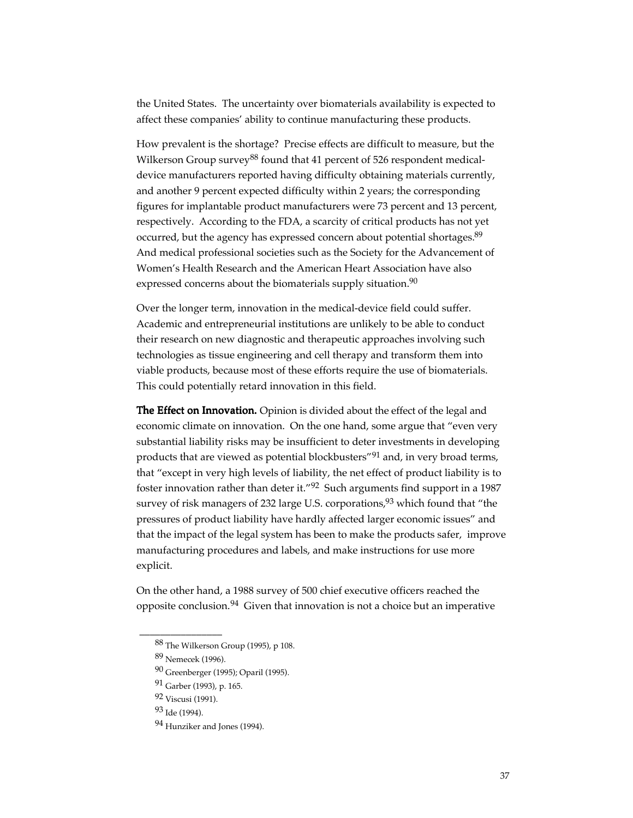the United States. The uncertainty over biomaterials availability is expected to affect these companies' ability to continue manufacturing these products.

How prevalent is the shortage? Precise effects are difficult to measure, but the Wilkerson Group survey<sup>88</sup> found that 41 percent of 526 respondent medicaldevice manufacturers reported having difficulty obtaining materials currently, and another 9 percent expected difficulty within 2 years; the corresponding figures for implantable product manufacturers were 73 percent and 13 percent, respectively. According to the FDA, a scarcity of critical products has not yet occurred, but the agency has expressed concern about potential shortages.<sup>89</sup> And medical professional societies such as the Society for the Advancement of Women's Health Research and the American Heart Association have also expressed concerns about the biomaterials supply situation. $90$ 

Over the longer term, innovation in the medical-device field could suffer. Academic and entrepreneurial institutions are unlikely to be able to conduct their research on new diagnostic and therapeutic approaches involving such technologies as tissue engineering and cell therapy and transform them into viable products, because most of these efforts require the use of biomaterials. This could potentially retard innovation in this field.

The Effect on Innovation. Opinion is divided about the effect of the legal and economic climate on innovation. On the one hand, some argue that "even very substantial liability risks may be insufficient to deter investments in developing products that are viewed as potential blockbusters"91 and, in very broad terms, that "except in very high levels of liability, the net effect of product liability is to foster innovation rather than deter it."92 Such arguments find support in a 1987 survey of risk managers of 232 large U.S. corporations, <sup>93</sup> which found that "the pressures of product liability have hardly affected larger economic issues" and that the impact of the legal system has been to make the products safer, improve manufacturing procedures and labels, and make instructions for use more explicit.

On the other hand, a 1988 survey of 500 chief executive officers reached the opposite conclusion. $94$  Given that innovation is not a choice but an imperative

\_\_\_\_\_\_\_\_\_\_\_\_\_\_\_\_

<sup>88</sup> The Wilkerson Group (1995), p 108.

<sup>89</sup> Nemecek (1996).

<sup>90</sup> Greenberger (1995); Oparil (1995).

<sup>91</sup> Garber (1993), p. 165.

<sup>92</sup> Viscusi (1991).

<sup>93</sup> Ide (1994).

<sup>94</sup> Hunziker and Jones (1994).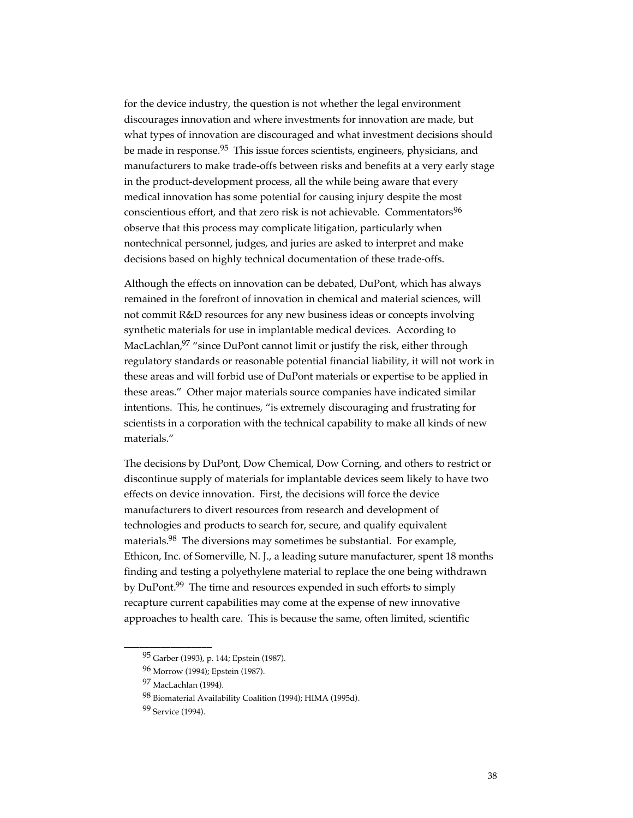for the device industry, the question is not whether the legal environment discourages innovation and where investments for innovation are made, but what types of innovation are discouraged and what investment decisions should be made in response.<sup>95</sup> This issue forces scientists, engineers, physicians, and manufacturers to make trade-offs between risks and benefits at a very early stage in the product-development process, all the while being aware that every medical innovation has some potential for causing injury despite the most conscientious effort, and that zero risk is not achievable. Commentators<sup>96</sup> observe that this process may complicate litigation, particularly when nontechnical personnel, judges, and juries are asked to interpret and make decisions based on highly technical documentation of these trade-offs.

Although the effects on innovation can be debated, DuPont, which has always remained in the forefront of innovation in chemical and material sciences, will not commit R&D resources for any new business ideas or concepts involving synthetic materials for use in implantable medical devices. According to MacLachlan,<sup>97</sup> "since DuPont cannot limit or justify the risk, either through regulatory standards or reasonable potential financial liability, it will not work in these areas and will forbid use of DuPont materials or expertise to be applied in these areas." Other major materials source companies have indicated similar intentions. This, he continues, "is extremely discouraging and frustrating for scientists in a corporation with the technical capability to make all kinds of new materials."

The decisions by DuPont, Dow Chemical, Dow Corning, and others to restrict or discontinue supply of materials for implantable devices seem likely to have two effects on device innovation. First, the decisions will force the device manufacturers to divert resources from research and development of technologies and products to search for, secure, and qualify equivalent materials.<sup>98</sup> The diversions may sometimes be substantial. For example, Ethicon, Inc. of Somerville, N. J., a leading suture manufacturer, spent 18 months finding and testing a polyethylene material to replace the one being withdrawn by DuPont.<sup>99</sup> The time and resources expended in such efforts to simply recapture current capabilities may come at the expense of new innovative approaches to health care. This is because the same, often limited, scientific

\_\_\_\_\_\_\_\_\_\_\_\_\_\_\_\_\_

<sup>95</sup> Garber (1993), p. 144; Epstein (1987).

<sup>96</sup> Morrow (1994); Epstein (1987).

<sup>97</sup> MacLachlan (1994).

<sup>98</sup> Biomaterial Availability Coalition (1994); HIMA (1995d).

<sup>&</sup>lt;sup>99</sup> Service (1994).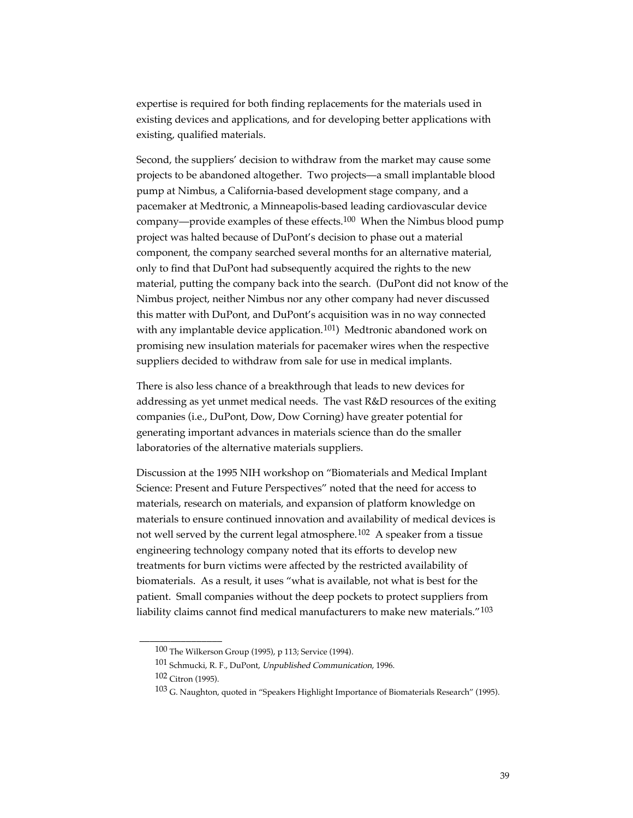expertise is required for both finding replacements for the materials used in existing devices and applications, and for developing better applications with existing, qualified materials.

Second, the suppliers' decision to withdraw from the market may cause some projects to be abandoned altogether. Two projects—a small implantable blood pump at Nimbus, a California-based development stage company, and a pacemaker at Medtronic, a Minneapolis-based leading cardiovascular device company—provide examples of these effects.100 When the Nimbus blood pump project was halted because of DuPont's decision to phase out a material component, the company searched several months for an alternative material, only to find that DuPont had subsequently acquired the rights to the new material, putting the company back into the search. (DuPont did not know of the Nimbus project, neither Nimbus nor any other company had never discussed this matter with DuPont, and DuPont's acquisition was in no way connected with any implantable device application.<sup>101</sup>) Medtronic abandoned work on promising new insulation materials for pacemaker wires when the respective suppliers decided to withdraw from sale for use in medical implants.

There is also less chance of a breakthrough that leads to new devices for addressing as yet unmet medical needs. The vast R&D resources of the exiting companies (i.e., DuPont, Dow, Dow Corning) have greater potential for generating important advances in materials science than do the smaller laboratories of the alternative materials suppliers.

Discussion at the 1995 NIH workshop on "Biomaterials and Medical Implant Science: Present and Future Perspectives" noted that the need for access to materials, research on materials, and expansion of platform knowledge on materials to ensure continued innovation and availability of medical devices is not well served by the current legal atmosphere.<sup>102</sup> A speaker from a tissue engineering technology company noted that its efforts to develop new treatments for burn victims were affected by the restricted availability of biomaterials. As a result, it uses "what is available, not what is best for the patient. Small companies without the deep pockets to protect suppliers from liability claims cannot find medical manufacturers to make new materials."<sup>103</sup>

\_\_\_\_\_\_\_\_\_\_\_\_\_\_\_\_

<sup>100</sup> The Wilkerson Group (1995), p 113; Service (1994).

<sup>101</sup> Schmucki, R. F., DuPont, Unpublished Communication, 1996.

<sup>102</sup> Citron (1995).

<sup>103</sup> G. Naughton, quoted in "Speakers Highlight Importance of Biomaterials Research" (1995).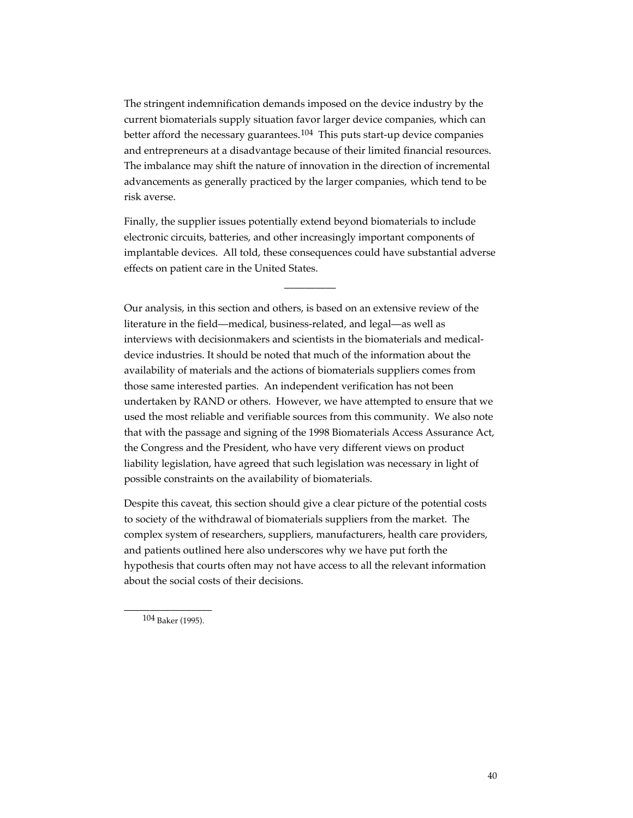The stringent indemnification demands imposed on the device industry by the current biomaterials supply situation favor larger device companies, which can better afford the necessary guarantees.<sup>104</sup> This puts start-up device companies and entrepreneurs at a disadvantage because of their limited financial resources. The imbalance may shift the nature of innovation in the direction of incremental advancements as generally practiced by the larger companies, which tend to be risk averse.

Finally, the supplier issues potentially extend beyond biomaterials to include electronic circuits, batteries, and other increasingly important components of implantable devices. All told, these consequences could have substantial adverse effects on patient care in the United States.

 $\overline{\phantom{a}}$ 

Our analysis, in this section and others, is based on an extensive review of the literature in the field—medical, business-related, and legal—as well as interviews with decisionmakers and scientists in the biomaterials and medicaldevice industries. It should be noted that much of the information about the availability of materials and the actions of biomaterials suppliers comes from those same interested parties. An independent verification has not been undertaken by RAND or others. However, we have attempted to ensure that we used the most reliable and verifiable sources from this community. We also note that with the passage and signing of the 1998 Biomaterials Access Assurance Act, the Congress and the President, who have very different views on product liability legislation, have agreed that such legislation was necessary in light of possible constraints on the availability of biomaterials.

Despite this caveat, this section should give a clear picture of the potential costs to society of the withdrawal of biomaterials suppliers from the market. The complex system of researchers, suppliers, manufacturers, health care providers, and patients outlined here also underscores why we have put forth the hypothesis that courts often may not have access to all the relevant information about the social costs of their decisions.

\_\_\_\_\_\_\_\_\_\_\_\_\_\_\_\_\_ 104 Baker (1995).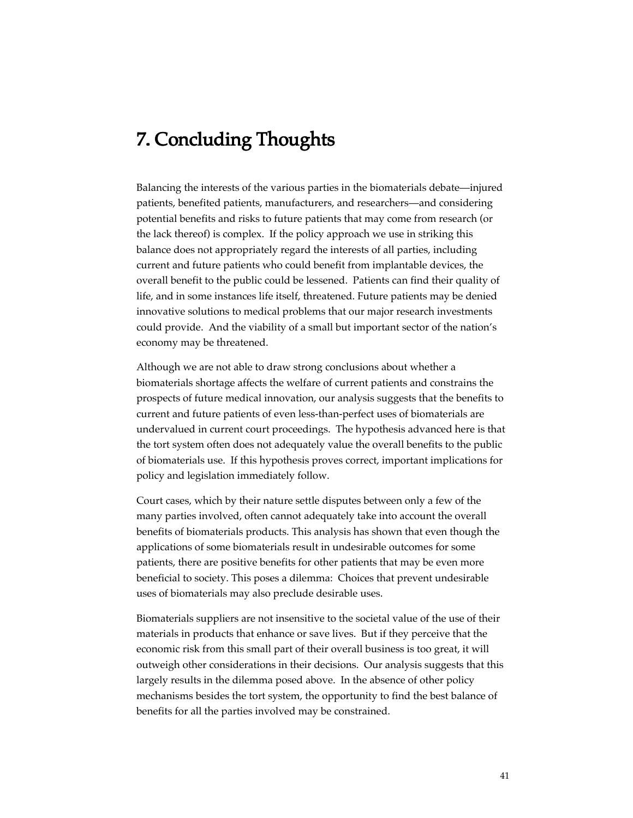# 7. Concluding Thoughts

Balancing the interests of the various parties in the biomaterials debate—injured patients, benefited patients, manufacturers, and researchers—and considering potential benefits and risks to future patients that may come from research (or the lack thereof) is complex. If the policy approach we use in striking this balance does not appropriately regard the interests of all parties, including current and future patients who could benefit from implantable devices, the overall benefit to the public could be lessened. Patients can find their quality of life, and in some instances life itself, threatened. Future patients may be denied innovative solutions to medical problems that our major research investments could provide. And the viability of a small but important sector of the nation's economy may be threatened.

Although we are not able to draw strong conclusions about whether a biomaterials shortage affects the welfare of current patients and constrains the prospects of future medical innovation, our analysis suggests that the benefits to current and future patients of even less-than-perfect uses of biomaterials are undervalued in current court proceedings. The hypothesis advanced here is that the tort system often does not adequately value the overall benefits to the public of biomaterials use. If this hypothesis proves correct, important implications for policy and legislation immediately follow.

Court cases, which by their nature settle disputes between only a few of the many parties involved, often cannot adequately take into account the overall benefits of biomaterials products. This analysis has shown that even though the applications of some biomaterials result in undesirable outcomes for some patients, there are positive benefits for other patients that may be even more beneficial to society. This poses a dilemma: Choices that prevent undesirable uses of biomaterials may also preclude desirable uses.

Biomaterials suppliers are not insensitive to the societal value of the use of their materials in products that enhance or save lives. But if they perceive that the economic risk from this small part of their overall business is too great, it will outweigh other considerations in their decisions. Our analysis suggests that this largely results in the dilemma posed above. In the absence of other policy mechanisms besides the tort system, the opportunity to find the best balance of benefits for all the parties involved may be constrained.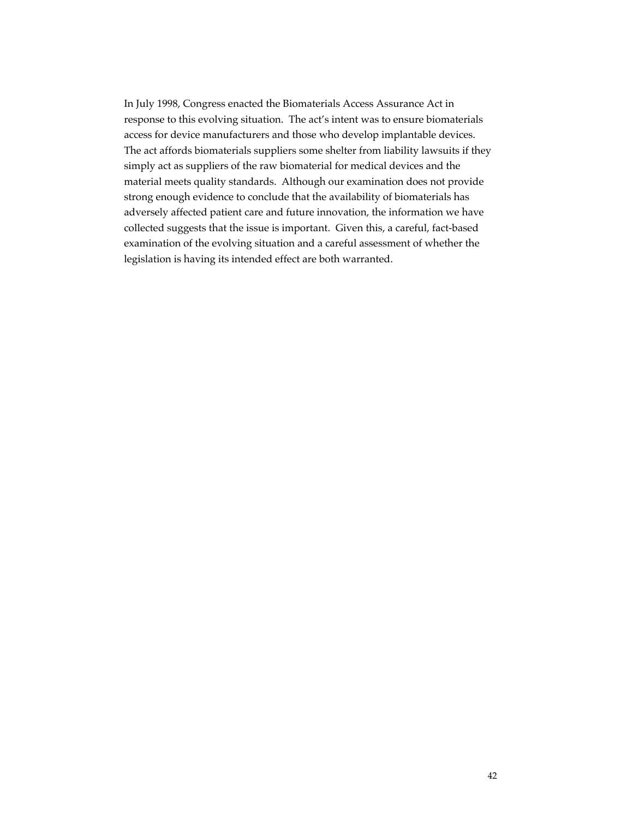In July 1998, Congress enacted the Biomaterials Access Assurance Act in response to this evolving situation. The act's intent was to ensure biomaterials access for device manufacturers and those who develop implantable devices. The act affords biomaterials suppliers some shelter from liability lawsuits if they simply act as suppliers of the raw biomaterial for medical devices and the material meets quality standards. Although our examination does not provide strong enough evidence to conclude that the availability of biomaterials has adversely affected patient care and future innovation, the information we have collected suggests that the issue is important. Given this, a careful, fact-based examination of the evolving situation and a careful assessment of whether the legislation is having its intended effect are both warranted.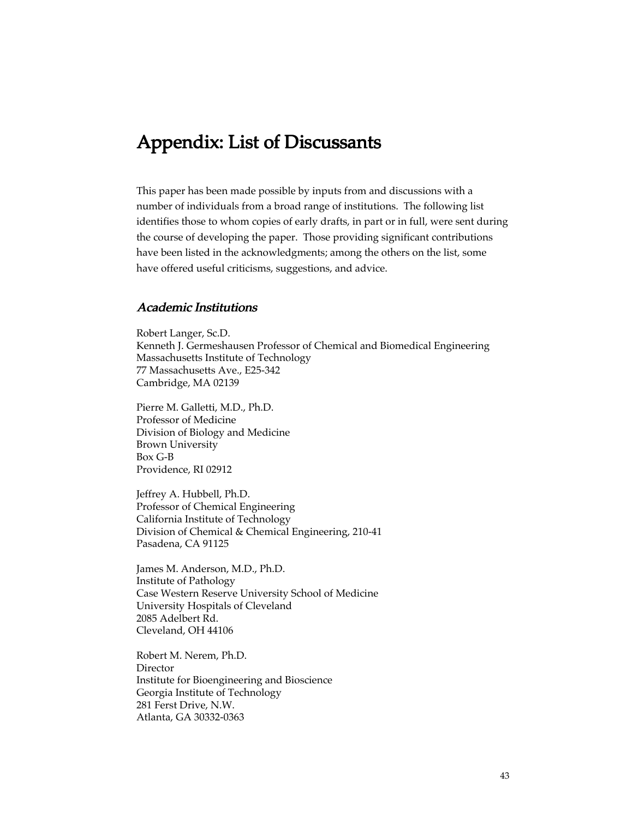# Appendix: List of Discussants

This paper has been made possible by inputs from and discussions with a number of individuals from a broad range of institutions. The following list identifies those to whom copies of early drafts, in part or in full, were sent during the course of developing the paper. Those providing significant contributions have been listed in the acknowledgments; among the others on the list, some have offered useful criticisms, suggestions, and advice.

#### Academic Institutions

Robert Langer, Sc.D. Kenneth J. Germeshausen Professor of Chemical and Biomedical Engineering Massachusetts Institute of Technology 77 Massachusetts Ave., E25-342 Cambridge, MA 02139

Pierre M. Galletti, M.D., Ph.D. Professor of Medicine Division of Biology and Medicine Brown University Box G-B Providence, RI 02912

Jeffrey A. Hubbell, Ph.D. Professor of Chemical Engineering California Institute of Technology Division of Chemical & Chemical Engineering, 210-41 Pasadena, CA 91125

James M. Anderson, M.D., Ph.D. Institute of Pathology Case Western Reserve University School of Medicine University Hospitals of Cleveland 2085 Adelbert Rd. Cleveland, OH 44106

Robert M. Nerem, Ph.D. Director Institute for Bioengineering and Bioscience Georgia Institute of Technology 281 Ferst Drive, N.W. Atlanta, GA 30332-0363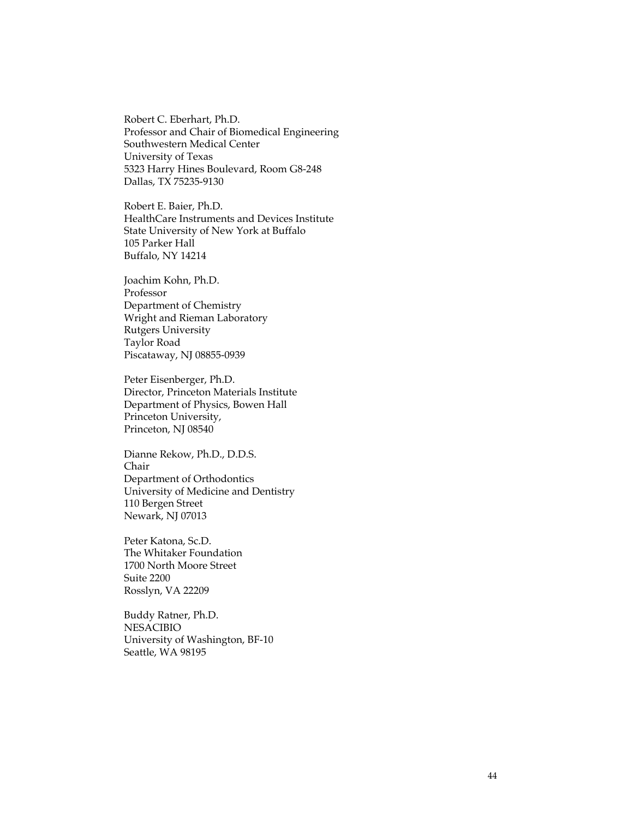Robert C. Eberhart, Ph.D. Professor and Chair of Biomedical Engineering Southwestern Medical Center University of Texas 5323 Harry Hines Boulevard, Room G8-248 Dallas, TX 75235-9130

Robert E. Baier, Ph.D. HealthCare Instruments and Devices Institute State University of New York at Buffalo 105 Parker Hall Buffalo, NY 14214

Joachim Kohn, Ph.D. Professor Department of Chemistry Wright and Rieman Laboratory Rutgers University Taylor Road Piscataway, NJ 08855-0939

Peter Eisenberger, Ph.D. Director, Princeton Materials Institute Department of Physics, Bowen Hall Princeton University, Princeton, NJ 08540

Dianne Rekow, Ph.D., D.D.S. Chair Department of Orthodontics University of Medicine and Dentistry 110 Bergen Street Newark, NJ 07013

Peter Katona, Sc.D. The Whitaker Foundation 1700 North Moore Street Suite 2200 Rosslyn, VA 22209

Buddy Ratner, Ph.D. NESACIBIO University of Washington, BF-10 Seattle, WA 98195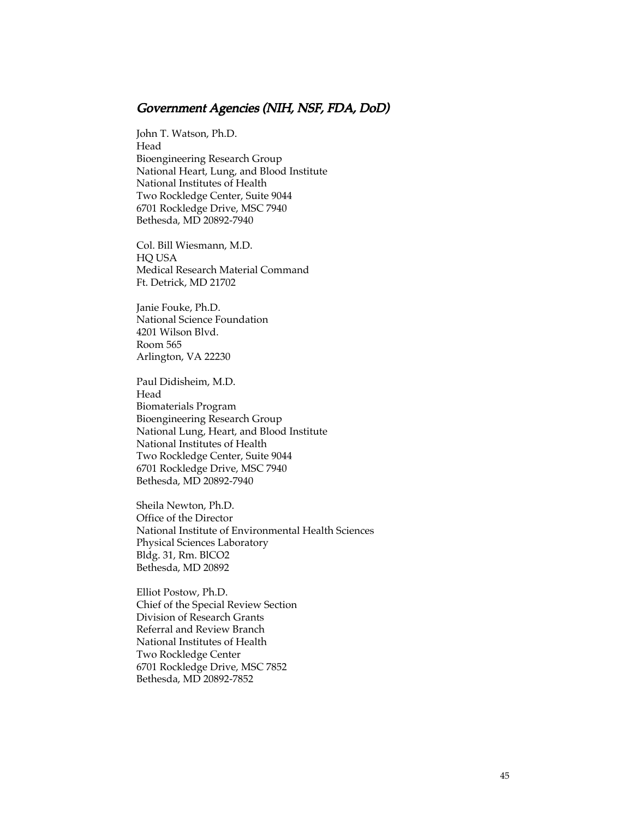#### Government Agencies (NIH, NSF, FDA, DoD)

John T. Watson, Ph.D. Head Bioengineering Research Group National Heart, Lung, and Blood Institute National Institutes of Health Two Rockledge Center, Suite 9044 6701 Rockledge Drive, MSC 7940 Bethesda, MD 20892-7940

Col. Bill Wiesmann, M.D. HQ USA Medical Research Material Command Ft. Detrick, MD 21702

Janie Fouke, Ph.D. National Science Foundation 4201 Wilson Blvd. Room 565 Arlington, VA 22230

Paul Didisheim, M.D. Head Biomaterials Program Bioengineering Research Group National Lung, Heart, and Blood Institute National Institutes of Health Two Rockledge Center, Suite 9044 6701 Rockledge Drive, MSC 7940 Bethesda, MD 20892-7940

Sheila Newton, Ph.D. Office of the Director National Institute of Environmental Health Sciences Physical Sciences Laboratory Bldg. 31, Rm. BlCO2 Bethesda, MD 20892

Elliot Postow, Ph.D. Chief of the Special Review Section Division of Research Grants Referral and Review Branch National Institutes of Health Two Rockledge Center 6701 Rockledge Drive, MSC 7852 Bethesda, MD 20892-7852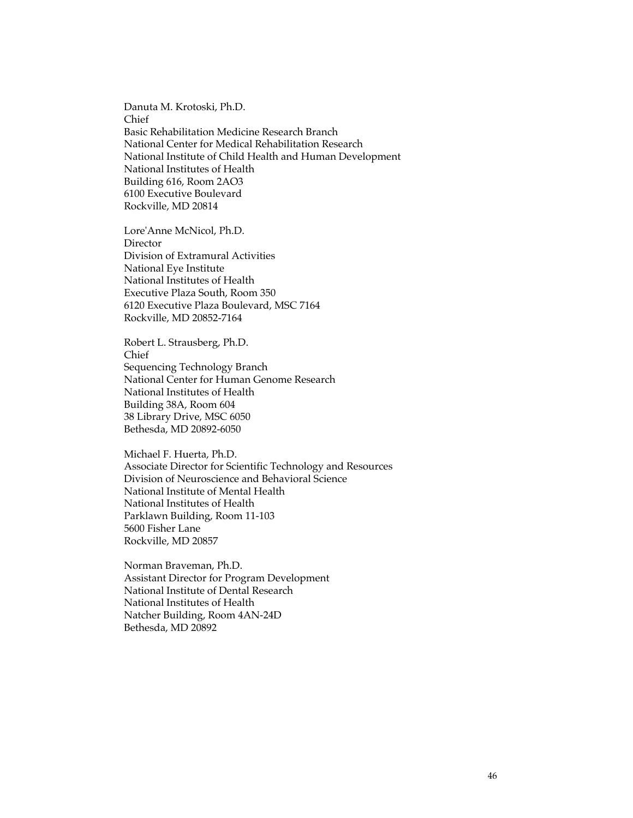Danuta M. Krotoski, Ph.D. Chief Basic Rehabilitation Medicine Research Branch National Center for Medical Rehabilitation Research National Institute of Child Health and Human Development National Institutes of Health Building 616, Room 2AO3 6100 Executive Boulevard Rockville, MD 20814

Lore'Anne McNicol, Ph.D. **Director** Division of Extramural Activities National Eye Institute National Institutes of Health Executive Plaza South, Room 350 6120 Executive Plaza Boulevard, MSC 7164 Rockville, MD 20852-7164

Robert L. Strausberg, Ph.D. Chief Sequencing Technology Branch National Center for Human Genome Research National Institutes of Health Building 38A, Room 604 38 Library Drive, MSC 6050 Bethesda, MD 20892-6050

Michael F. Huerta, Ph.D. Associate Director for Scientific Technology and Resources Division of Neuroscience and Behavioral Science National Institute of Mental Health National Institutes of Health Parklawn Building, Room 11-103 5600 Fisher Lane Rockville, MD 20857

Norman Braveman, Ph.D. Assistant Director for Program Development National Institute of Dental Research National Institutes of Health Natcher Building, Room 4AN-24D Bethesda, MD 20892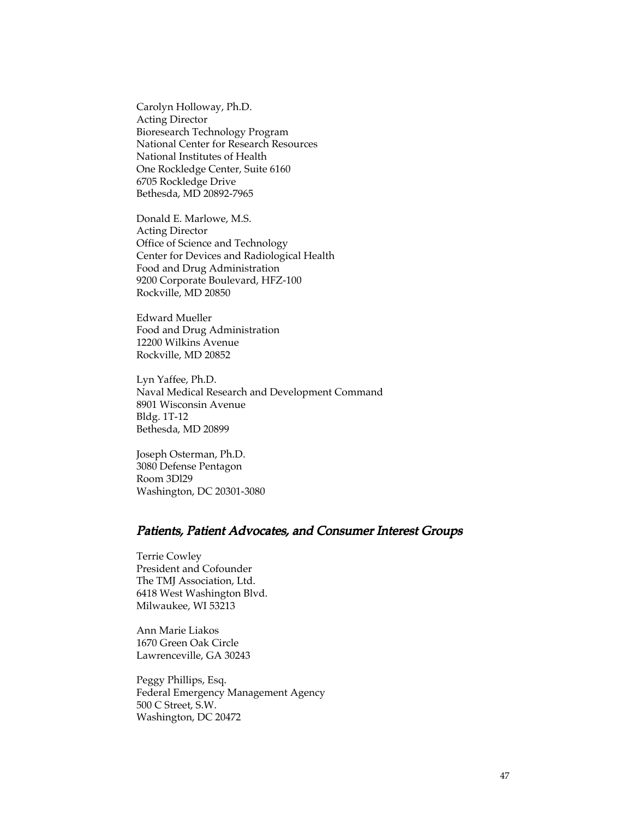Carolyn Holloway, Ph.D. Acting Director Bioresearch Technology Program National Center for Research Resources National Institutes of Health One Rockledge Center, Suite 6160 6705 Rockledge Drive Bethesda, MD 20892-7965

Donald E. Marlowe, M.S. Acting Director Office of Science and Technology Center for Devices and Radiological Health Food and Drug Administration 9200 Corporate Boulevard, HFZ-100 Rockville, MD 20850

Edward Mueller Food and Drug Administration 12200 Wilkins Avenue Rockville, MD 20852

Lyn Yaffee, Ph.D. Naval Medical Research and Development Command 8901 Wisconsin Avenue Bldg. 1T-12 Bethesda, MD 20899

Joseph Osterman, Ph.D. 3080 Defense Pentagon Room 3Dl29 Washington, DC 20301-3080

#### Patients, Patient Advocates, and Consumer Interest Groups

Terrie Cowley President and Cofounder The TMJ Association, Ltd. 6418 West Washington Blvd. Milwaukee, WI 53213

Ann Marie Liakos 1670 Green Oak Circle Lawrenceville, GA 30243

Peggy Phillips, Esq. Federal Emergency Management Agency 500 C Street, S.W. Washington, DC 20472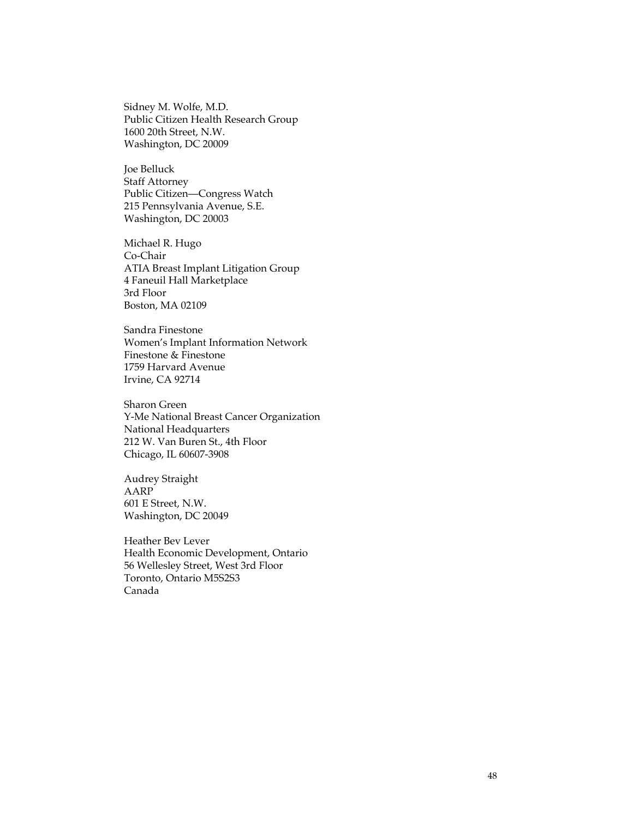Sidney M. Wolfe, M.D. Public Citizen Health Research Group 1600 20th Street, N.W. Washington, DC 20009

Joe Belluck Staff Attorney Public Citizen—Congress Watch 215 Pennsylvania Avenue, S.E. Washington, DC 20003

Michael R. Hugo Co-Chair ATIA Breast Implant Litigation Group 4 Faneuil Hall Marketplace 3rd Floor Boston, MA 02109

Sandra Finestone Women's Implant Information Network Finestone & Finestone 1759 Harvard Avenue Irvine, CA 92714

Sharon Green Y-Me National Breast Cancer Organization National Headquarters 212 W. Van Buren St., 4th Floor Chicago, IL 60607-3908

Audrey Straight AARP 601 E Street, N.W. Washington, DC 20049

Heather Bev Lever Health Economic Development, Ontario 56 Wellesley Street, West 3rd Floor Toronto, Ontario M5S2S3 Canada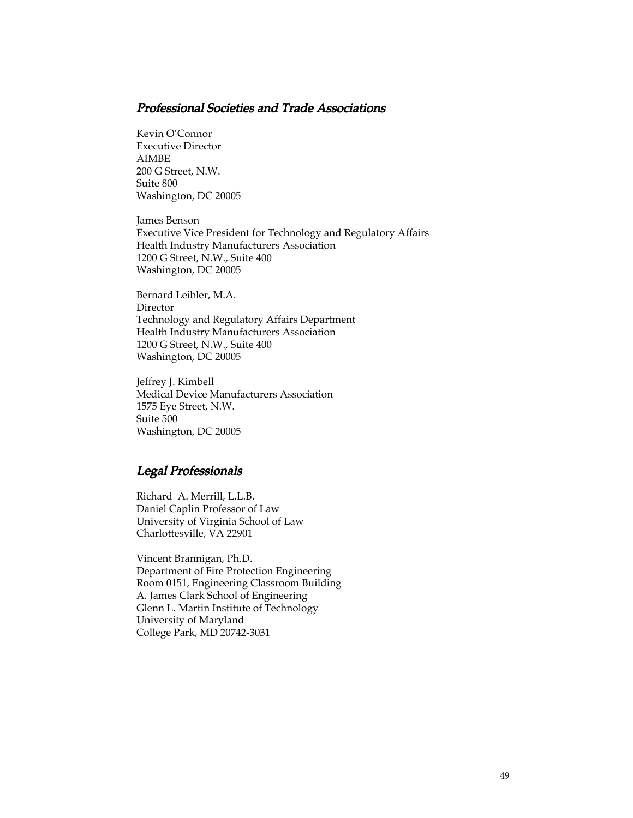#### Professional Societies and Trade Associations

Kevin O'Connor Executive Director AIMBE 200 G Street, N.W. Suite 800 Washington, DC 20005

James Benson Executive Vice President for Technology and Regulatory Affairs Health Industry Manufacturers Association 1200 G Street, N.W., Suite 400 Washington, DC 20005

Bernard Leibler, M.A. Director Technology and Regulatory Affairs Department Health Industry Manufacturers Association 1200 G Street, N.W., Suite 400 Washington, DC 20005

Jeffrey J. Kimbell Medical Device Manufacturers Association 1575 Eye Street, N.W. Suite 500 Washington, DC 20005

#### Legal Professionals

Richard A. Merrill, L.L.B. Daniel Caplin Professor of Law University of Virginia School of Law Charlottesville, VA 22901

Vincent Brannigan, Ph.D. Department of Fire Protection Engineering Room 0151, Engineering Classroom Building A. James Clark School of Engineering Glenn L. Martin Institute of Technology University of Maryland College Park, MD 20742-3031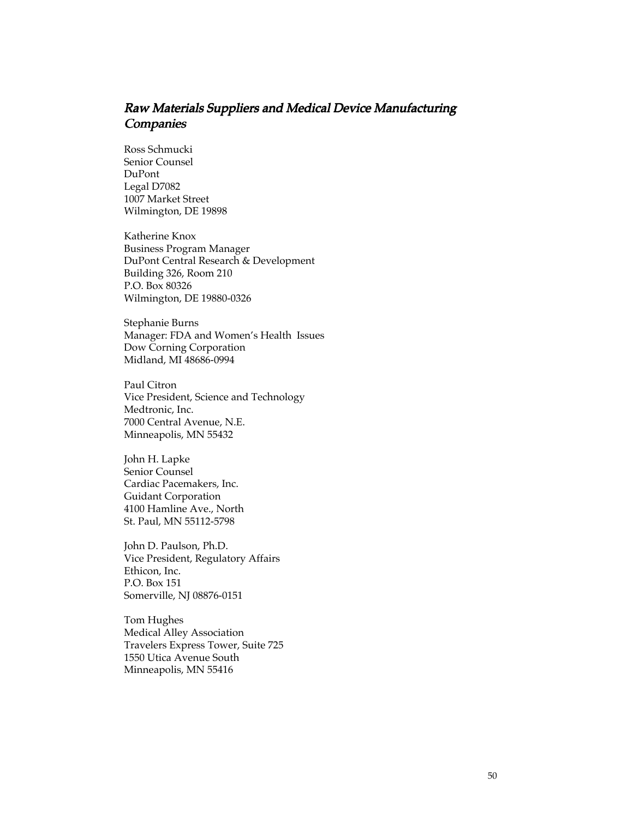#### Raw Materials Suppliers and Medical Device Manufacturing **Companies**

Ross Schmucki Senior Counsel DuPont Legal D7082 1007 Market Street Wilmington, DE 19898

Katherine Knox Business Program Manager DuPont Central Research & Development Building 326, Room 210 P.O. Box 80326 Wilmington, DE 19880-0326

Stephanie Burns Manager: FDA and Women's Health Issues Dow Corning Corporation Midland, MI 48686-0994

Paul Citron Vice President, Science and Technology Medtronic, Inc. 7000 Central Avenue, N.E. Minneapolis, MN 55432

John H. Lapke Senior Counsel Cardiac Pacemakers, Inc. Guidant Corporation 4100 Hamline Ave., North St. Paul, MN 55112-5798

John D. Paulson, Ph.D. Vice President, Regulatory Affairs Ethicon, Inc. P.O. Box 151 Somerville, NJ 08876-0151

Tom Hughes Medical Alley Association Travelers Express Tower, Suite 725 1550 Utica Avenue South Minneapolis, MN 55416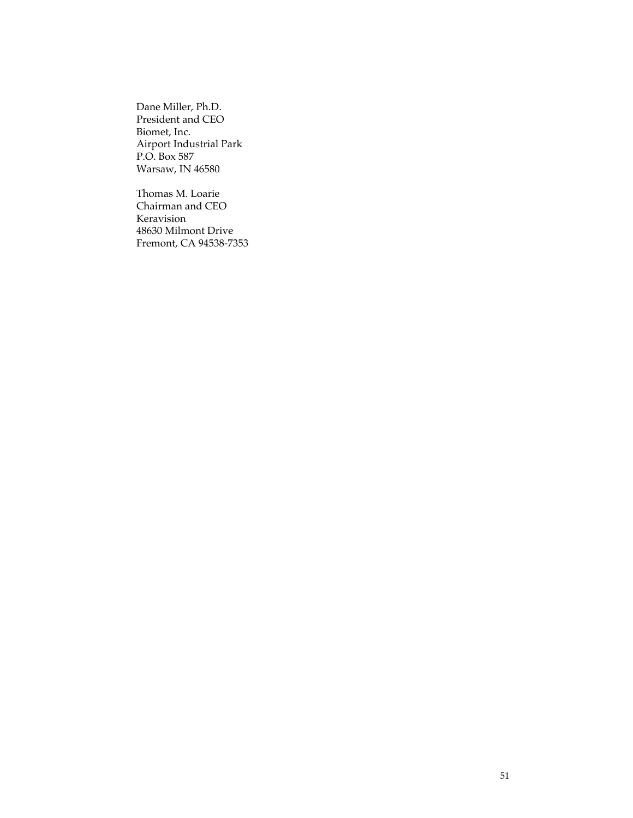Dane Miller, Ph.D. President and CEO Biomet, Inc. Airport Industrial Park P.O. Box 587 Warsaw, IN 46580

Thomas M. Loarie Chairman and CEO Keravision 48630 Milmont Drive Fremont, CA 94538-7353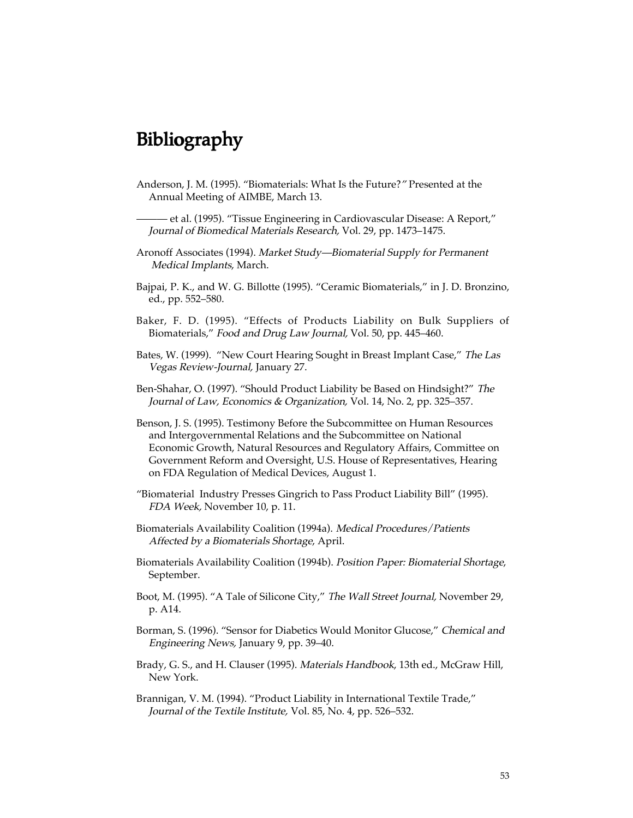# Bibliography

Anderson, J. M. (1995). "Biomaterials: What Is the Future?" Presented at the Annual Meeting of AIMBE, March 13.

——— et al. (1995). "Tissue Engineering in Cardiovascular Disease: A Report," Journal of Biomedical Materials Research, Vol. 29, pp. 1473–1475.

- Aronoff Associates (1994). Market Study—Biomaterial Supply for Permanent Medical Implants, March.
- Bajpai, P. K., and W. G. Billotte (1995). "Ceramic Biomaterials," in J. D. Bronzino, ed., pp. 552–580.
- Baker, F. D. (1995). "Effects of Products Liability on Bulk Suppliers of Biomaterials," Food and Drug Law Journal, Vol. 50, pp. 445–460.
- Bates, W. (1999). "New Court Hearing Sought in Breast Implant Case," The Las Vegas Review-Journal, January 27.
- Ben-Shahar, O. (1997). "Should Product Liability be Based on Hindsight?" The Journal of Law, Economics & Organization, Vol. 14, No. 2, pp. 325–357.
- Benson, J. S. (1995). Testimony Before the Subcommittee on Human Resources and Intergovernmental Relations and the Subcommittee on National Economic Growth, Natural Resources and Regulatory Affairs, Committee on Government Reform and Oversight, U.S. House of Representatives, Hearing on FDA Regulation of Medical Devices, August 1.
- "Biomaterial Industry Presses Gingrich to Pass Product Liability Bill" (1995). FDA Week, November 10, p. 11.
- Biomaterials Availability Coalition (1994a). Medical Procedures/Patients Affected by a Biomaterials Shortage, April.
- Biomaterials Availability Coalition (1994b). Position Paper: Biomaterial Shortage, September.
- Boot, M. (1995). "A Tale of Silicone City," The Wall Street Journal, November 29, p. A14.
- Borman, S. (1996). "Sensor for Diabetics Would Monitor Glucose," Chemical and Engineering News, January 9, pp. 39–40.
- Brady, G. S., and H. Clauser (1995). Materials Handbook, 13th ed., McGraw Hill, New York.
- Brannigan, V. M. (1994). "Product Liability in International Textile Trade," Journal of the Textile Institute, Vol. 85, No. 4, pp. 526–532.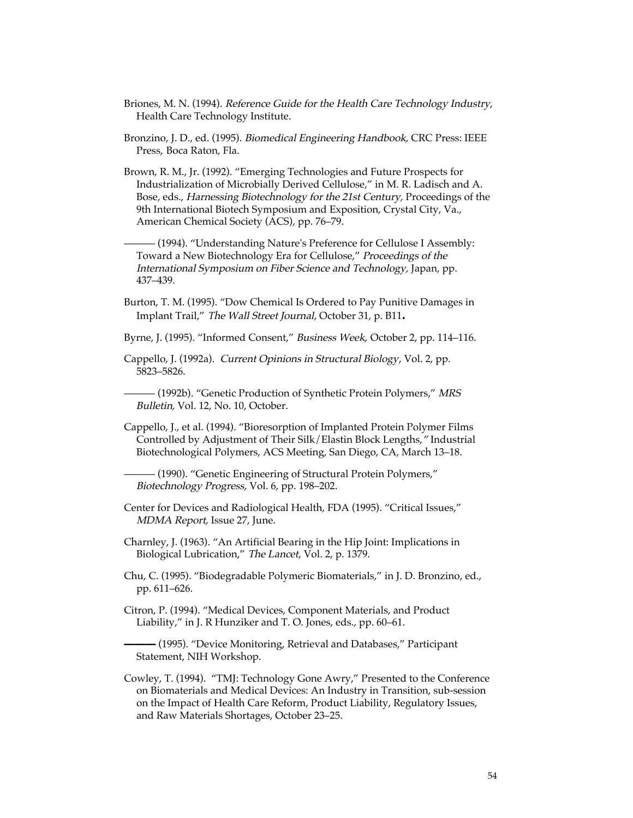- Briones, M. N. (1994). Reference Guide for the Health Care Technology Industry, Health Care Technology Institute.
- Bronzino, J. D., ed. (1995). *Biomedical Engineering Handbook,* CRC Press: IEEE Press, Boca Raton, Fla.
- Brown, R. M., Jr. (1992). "Emerging Technologies and Future Prospects for Industrialization of Microbially Derived Cellulose," in M. R. Ladisch and A. Bose, eds., Harnessing Biotechnology for the 21st Century, Proceedings of the 9th International Biotech Symposium and Exposition, Crystal City, Va., American Chemical Society (ACS), pp. 76–79.

- (1994). "Understanding Nature's Preference for Cellulose I Assembly: Toward a New Biotechnology Era for Cellulose," Proceedings of the International Symposium on Fiber Science and Technology, Japan, pp. 437–439.

- Burton, T. M. (1995). "Dow Chemical Is Ordered to Pay Punitive Damages in Implant Trail," The Wall Street Journal, October 31, p. B11.
- Byrne, J. (1995). "Informed Consent," Business Week, October 2, pp. 114–116.
- Cappello, J. (1992a). Current Opinions in Structural Biology, Vol. 2, pp. 5823–5826.
- (1992b). "Genetic Production of Synthetic Protein Polymers," MRS Bulletin, Vol. 12, No. 10, October.
- Cappello, J., et al. (1994). "Bioresorption of Implanted Protein Polymer Films Controlled by Adjustment of Their Silk/Elastin Block Lengths," Industrial Biotechnological Polymers, ACS Meeting, San Diego, CA, March 13–18.
	- ——— (1990). "Genetic Engineering of Structural Protein Polymers," Biotechnology Progress, Vol. 6, pp. 198–202.
- Center for Devices and Radiological Health, FDA (1995). "Critical Issues," MDMA Report, Issue 27, June.
- Charnley, J. (1963). "An Artificial Bearing in the Hip Joint: Implications in Biological Lubrication," The Lancet, Vol. 2, p. 1379.
- Chu, C. (1995). "Biodegradable Polymeric Biomaterials," in J. D. Bronzino, ed., pp. 611–626.
- Citron, P. (1994). "Medical Devices, Component Materials, and Product Liability," in J. R Hunziker and T. O. Jones, eds., pp. 60–61.

– (1995). "Device Monitoring, Retrieval and Databases," Participant Statement, NIH Workshop.

Cowley, T. (1994). "TMJ: Technology Gone Awry," Presented to the Conference on Biomaterials and Medical Devices: An Industry in Transition, sub-session on the Impact of Health Care Reform, Product Liability, Regulatory Issues, and Raw Materials Shortages, October 23–25.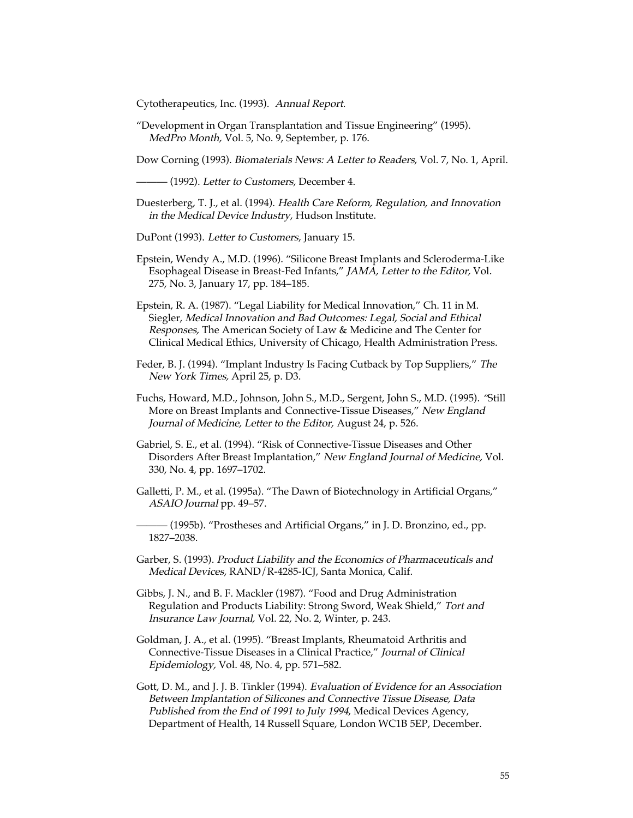Cytotherapeutics, Inc. (1993). Annual Report.

"Development in Organ Transplantation and Tissue Engineering" (1995). MedPro Month, Vol. 5, No. 9, September, p. 176.

Dow Corning (1993). Biomaterials News: A Letter to Readers, Vol. 7, No. 1, April.

– (1992). *Letter to Customers, December* 4.

- Duesterberg, T. J., et al. (1994). Health Care Reform, Regulation, and Innovation in the Medical Device Industry, Hudson Institute.
- DuPont (1993). Letter to Customers, January 15.
- Epstein, Wendy A., M.D. (1996). "Silicone Breast Implants and Scleroderma-Like Esophageal Disease in Breast-Fed Infants," JAMA, Letter to the Editor, Vol. 275, No. 3, January 17, pp. 184–185.
- Epstein, R. A. (1987). "Legal Liability for Medical Innovation," Ch. 11 in M. Siegler, Medical Innovation and Bad Outcomes: Legal, Social and Ethical Responses, The American Society of Law & Medicine and The Center for Clinical Medical Ethics, University of Chicago, Health Administration Press.
- Feder, B. J. (1994). "Implant Industry Is Facing Cutback by Top Suppliers," The New York Times, April 25, p. D3.
- Fuchs, Howard, M.D., Johnson, John S., M.D., Sergent, John S., M.D. (1995). "Still More on Breast Implants and Connective-Tissue Diseases," New England Journal of Medicine, Letter to the Editor, August 24, p. 526.
- Gabriel, S. E., et al. (1994). "Risk of Connective-Tissue Diseases and Other Disorders After Breast Implantation," New England Journal of Medicine, Vol. 330, No. 4, pp. 1697–1702.
- Galletti, P. M., et al. (1995a). "The Dawn of Biotechnology in Artificial Organs," ASAIO Journal pp. 49–57.
- (1995b). "Prostheses and Artificial Organs," in J. D. Bronzino, ed., pp. 1827–2038.
- Garber, S. (1993). Product Liability and the Economics of Pharmaceuticals and Medical Devices, RAND/R-4285-ICJ, Santa Monica, Calif.
- Gibbs, J. N., and B. F. Mackler (1987). "Food and Drug Administration Regulation and Products Liability: Strong Sword, Weak Shield," Tort and Insurance Law Journal, Vol. 22, No. 2, Winter, p. 243.
- Goldman, J. A., et al. (1995). "Breast Implants, Rheumatoid Arthritis and Connective-Tissue Diseases in a Clinical Practice," Journal of Clinical Epidemiology, Vol. 48, No. 4, pp. 571–582.
- Gott, D. M., and J. J. B. Tinkler (1994). Evaluation of Evidence for an Association Between Implantation of Silicones and Connective Tissue Disease, Data Published from the End of 1991 to July 1994, Medical Devices Agency, Department of Health, 14 Russell Square, London WC1B 5EP, December.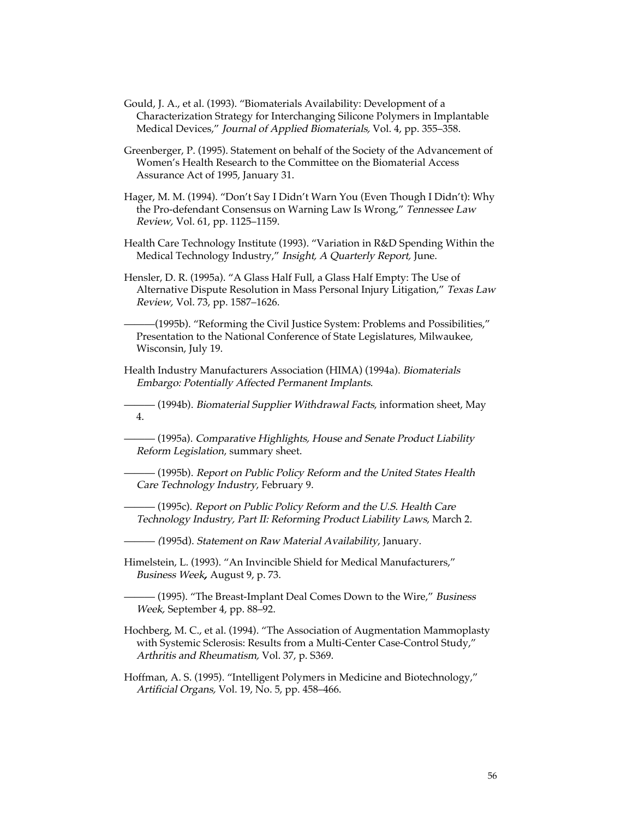- Gould, J. A., et al. (1993). "Biomaterials Availability: Development of a Characterization Strategy for Interchanging Silicone Polymers in Implantable Medical Devices," Journal of Applied Biomaterials, Vol. 4, pp. 355–358.
- Greenberger, P. (1995). Statement on behalf of the Society of the Advancement of Women's Health Research to the Committee on the Biomaterial Access Assurance Act of 1995, January 31.
- Hager, M. M. (1994). "Don't Say I Didn't Warn You (Even Though I Didn't): Why the Pro-defendant Consensus on Warning Law Is Wrong," Tennessee Law Review, Vol. 61, pp. 1125–1159.
- Health Care Technology Institute (1993). "Variation in R&D Spending Within the Medical Technology Industry," Insight, A Quarterly Report, June.
- Hensler, D. R. (1995a). "A Glass Half Full, a Glass Half Empty: The Use of Alternative Dispute Resolution in Mass Personal Injury Litigation," Texas Law Review, Vol. 73, pp. 1587–1626.

———(1995b). "Reforming the Civil Justice System: Problems and Possibilities," Presentation to the National Conference of State Legislatures, Milwaukee, Wisconsin, July 19.

- Health Industry Manufacturers Association (HIMA) (1994a). Biomaterials Embargo: Potentially Affected Permanent Implants.
	- (1994b). *Biomaterial Supplier Withdrawal Facts,* information sheet, May 4.

— (1995a). Comparative Highlights, House and Senate Product Liability Reform Legislation, summary sheet.

— (1995b). *Report on Public Policy Reform and the United States Health* Care Technology Industry, February 9.

——— (1995c). Report on Public Policy Reform and the U.S. Health Care Technology Industry, Part II: Reforming Product Liability Laws, March 2.

- (1995d). *Statement on Raw Material Availability,* January.
- Himelstein, L. (1993). "An Invincible Shield for Medical Manufacturers," Business Week, August 9, p. 73.

— (1995). "The Breast-Implant Deal Comes Down to the Wire," *Business* Week, September 4, pp. 88–92.

- Hochberg, M. C., et al. (1994). "The Association of Augmentation Mammoplasty with Systemic Sclerosis: Results from a Multi-Center Case-Control Study," Arthritis and Rheumatism, Vol. 37, p. S369.
- Hoffman, A. S. (1995). "Intelligent Polymers in Medicine and Biotechnology," Artificial Organs, Vol. 19, No. 5, pp. 458–466.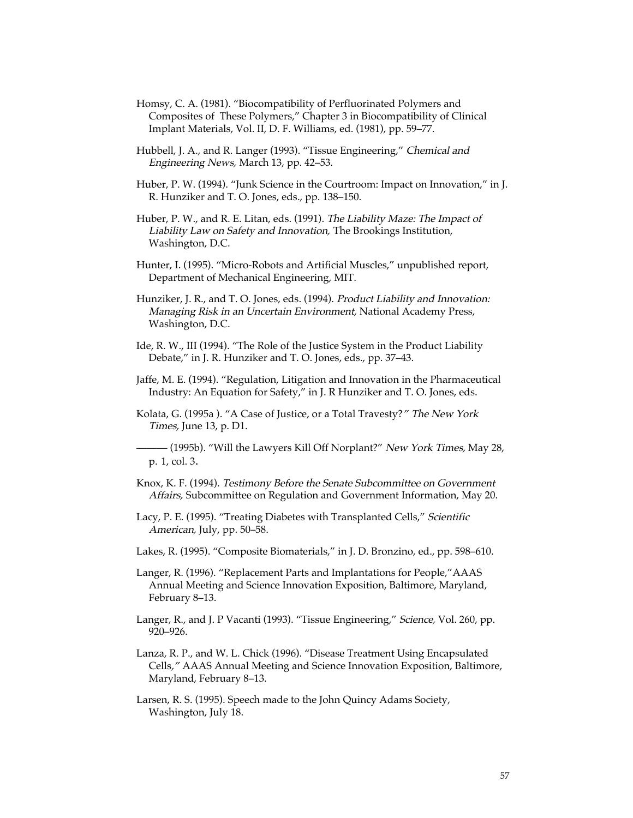- Homsy, C. A. (1981). "Biocompatibility of Perfluorinated Polymers and Composites of These Polymers," Chapter 3 in Biocompatibility of Clinical Implant Materials, Vol. II, D. F. Williams, ed. (1981), pp. 59–77.
- Hubbell, J. A., and R. Langer (1993). "Tissue Engineering," Chemical and Engineering News, March 13, pp. 42–53.
- Huber, P. W. (1994). "Junk Science in the Courtroom: Impact on Innovation," in J. R. Hunziker and T. O. Jones, eds., pp. 138–150.
- Huber, P. W., and R. E. Litan, eds. (1991). The Liability Maze: The Impact of Liability Law on Safety and Innovation, The Brookings Institution, Washington, D.C.
- Hunter, I. (1995). "Micro-Robots and Artificial Muscles," unpublished report, Department of Mechanical Engineering, MIT.
- Hunziker, J. R., and T. O. Jones, eds. (1994). Product Liability and Innovation: Managing Risk in an Uncertain Environment, National Academy Press, Washington, D.C.
- Ide, R. W., III (1994). "The Role of the Justice System in the Product Liability Debate," in J. R. Hunziker and T. O. Jones, eds., pp. 37–43.
- Jaffe, M. E. (1994). "Regulation, Litigation and Innovation in the Pharmaceutical Industry: An Equation for Safety," in J. R Hunziker and T. O. Jones, eds.
- Kolata, G. (1995a ). "A Case of Justice, or a Total Travesty?" The New York Times, June 13, p. D1.
- (1995b). "Will the Lawyers Kill Off Norplant?" New York Times, May 28, p. 1, col. 3.
- Knox, K. F. (1994). Testimony Before the Senate Subcommittee on Government Affairs, Subcommittee on Regulation and Government Information, May 20.
- Lacy, P. E. (1995). "Treating Diabetes with Transplanted Cells," Scientific American, July, pp. 50–58.
- Lakes, R. (1995). "Composite Biomaterials," in J. D. Bronzino, ed., pp. 598–610.
- Langer, R. (1996). "Replacement Parts and Implantations for People,"AAAS Annual Meeting and Science Innovation Exposition, Baltimore, Maryland, February 8–13.
- Langer, R., and J. P Vacanti (1993). "Tissue Engineering," Science, Vol. 260, pp. 920–926.
- Lanza, R. P., and W. L. Chick (1996). "Disease Treatment Using Encapsulated Cells," AAAS Annual Meeting and Science Innovation Exposition, Baltimore, Maryland, February 8–13.
- Larsen, R. S. (1995). Speech made to the John Quincy Adams Society, Washington, July 18.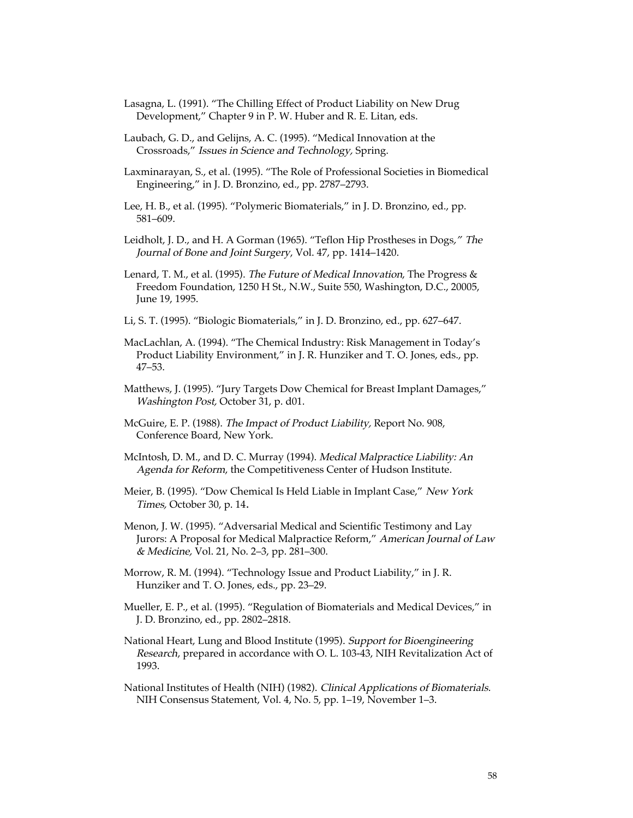- Lasagna, L. (1991). "The Chilling Effect of Product Liability on New Drug Development," Chapter 9 in P. W. Huber and R. E. Litan, eds.
- Laubach, G. D., and Gelijns, A. C. (1995). "Medical Innovation at the Crossroads," Issues in Science and Technology, Spring.
- Laxminarayan, S., et al. (1995). "The Role of Professional Societies in Biomedical Engineering," in J. D. Bronzino, ed., pp. 2787–2793.
- Lee, H. B., et al. (1995). "Polymeric Biomaterials," in J. D. Bronzino, ed., pp. 581–609.
- Leidholt, J. D., and H. A Gorman (1965). "Teflon Hip Prostheses in Dogs," The Journal of Bone and Joint Surgery, Vol. 47, pp. 1414–1420.
- Lenard, T. M., et al. (1995). *The Future of Medical Innovation*, The Progress & Freedom Foundation, 1250 H St., N.W., Suite 550, Washington, D.C., 20005, June 19, 1995.
- Li, S. T. (1995). "Biologic Biomaterials," in J. D. Bronzino, ed., pp. 627–647.
- MacLachlan, A. (1994). "The Chemical Industry: Risk Management in Today's Product Liability Environment," in J. R. Hunziker and T. O. Jones, eds., pp. 47–53.
- Matthews, J. (1995). "Jury Targets Dow Chemical for Breast Implant Damages," Washington Post, October 31, p. d01.
- McGuire, E. P. (1988). The Impact of Product Liability, Report No. 908, Conference Board, New York.
- McIntosh, D. M., and D. C. Murray (1994). Medical Malpractice Liability: An Agenda for Reform, the Competitiveness Center of Hudson Institute.
- Meier, B. (1995). "Dow Chemical Is Held Liable in Implant Case," New York Times, October 30, p. 14.
- Menon, J. W. (1995). "Adversarial Medical and Scientific Testimony and Lay Jurors: A Proposal for Medical Malpractice Reform," American Journal of Law & Medicine, Vol. 21, No. 2–3, pp. 281–300.
- Morrow, R. M. (1994). "Technology Issue and Product Liability," in J. R. Hunziker and T. O. Jones, eds., pp. 23–29.
- Mueller, E. P., et al. (1995). "Regulation of Biomaterials and Medical Devices," in J. D. Bronzino, ed., pp. 2802–2818.
- National Heart, Lung and Blood Institute (1995). Support for Bioengineering Research, prepared in accordance with O. L. 103-43, NIH Revitalization Act of 1993.
- National Institutes of Health (NIH) (1982). Clinical Applications of Biomaterials. NIH Consensus Statement, Vol. 4, No. 5, pp. 1–19, November 1–3.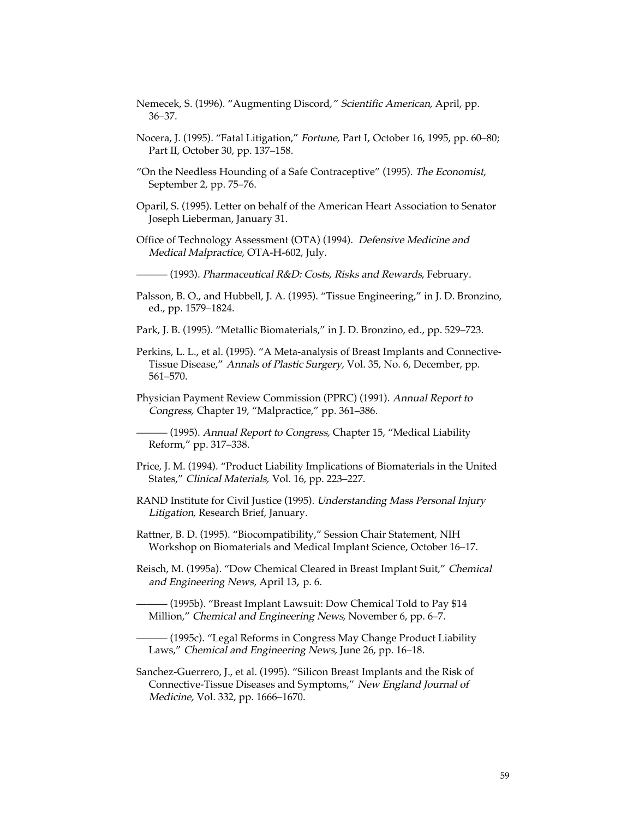- Nemecek, S. (1996). "Augmenting Discord," Scientific American, April, pp. 36–37.
- Nocera, J. (1995). "Fatal Litigation," Fortune, Part I, October 16, 1995, pp. 60–80; Part II, October 30, pp. 137–158.
- "On the Needless Hounding of a Safe Contraceptive" (1995). The Economist, September 2, pp. 75–76.
- Oparil, S. (1995). Letter on behalf of the American Heart Association to Senator Joseph Lieberman, January 31.
- Office of Technology Assessment (OTA) (1994). Defensive Medicine and Medical Malpractice, OTA-H-602, July.
- (1993). *Pharmaceutical R&D: Costs, Risks and Rewards, February*.
- Palsson, B. O., and Hubbell, J. A. (1995). "Tissue Engineering," in J. D. Bronzino, ed., pp. 1579–1824.
- Park, J. B. (1995). "Metallic Biomaterials," in J. D. Bronzino, ed., pp. 529–723.
- Perkins, L. L., et al. (1995). "A Meta-analysis of Breast Implants and Connective-Tissue Disease," Annals of Plastic Surgery, Vol. 35, No. 6, December, pp. 561–570.
- Physician Payment Review Commission (PPRC) (1991). Annual Report to Congress, Chapter 19, "Malpractice," pp. 361–386.
- (1995). *Annual Report to Congress,* Chapter 15, "Medical Liability Reform," pp. 317–338.
- Price, J. M. (1994). "Product Liability Implications of Biomaterials in the United States," Clinical Materials, Vol. 16, pp. 223–227.
- RAND Institute for Civil Justice (1995). Understanding Mass Personal Injury Litigation, Research Brief, January.
- Rattner, B. D. (1995). "Biocompatibility," Session Chair Statement, NIH Workshop on Biomaterials and Medical Implant Science, October 16–17.
- Reisch, M. (1995a). "Dow Chemical Cleared in Breast Implant Suit," Chemical and Engineering News, April 13, p. 6.
- (1995b). "Breast Implant Lawsuit: Dow Chemical Told to Pay \$14 Million," Chemical and Engineering News, November 6, pp. 6–7.

— (1995c). "Legal Reforms in Congress May Change Product Liability Laws," Chemical and Engineering News, June 26, pp. 16–18.

Sanchez-Guerrero, J., et al. (1995). "Silicon Breast Implants and the Risk of Connective-Tissue Diseases and Symptoms," New England Journal of Medicine, Vol. 332, pp. 1666–1670.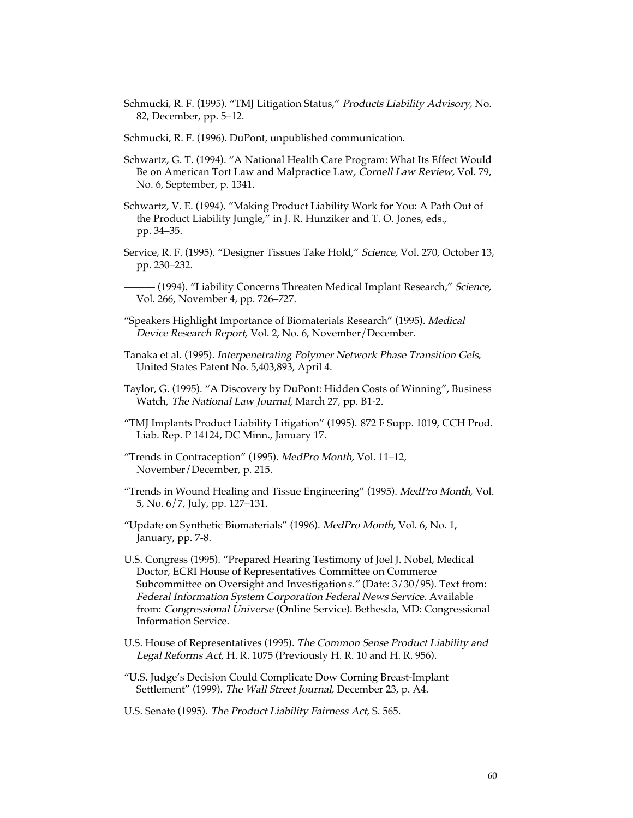- Schmucki, R. F. (1995). "TMJ Litigation Status," Products Liability Advisory, No. 82, December, pp. 5–12.
- Schmucki, R. F. (1996). DuPont, unpublished communication.
- Schwartz, G. T. (1994). "A National Health Care Program: What Its Effect Would Be on American Tort Law and Malpractice Law, Cornell Law Review, Vol. 79, No. 6, September, p. 1341.
- Schwartz, V. E. (1994). "Making Product Liability Work for You: A Path Out of the Product Liability Jungle," in J. R. Hunziker and T. O. Jones, eds., pp. 34–35.
- Service, R. F. (1995). "Designer Tissues Take Hold," Science, Vol. 270, October 13, pp. 230–232.
	- (1994). "Liability Concerns Threaten Medical Implant Research," *Science,* Vol. 266, November 4, pp. 726–727.
- "Speakers Highlight Importance of Biomaterials Research" (1995). Medical Device Research Report, Vol. 2, No. 6, November/December.
- Tanaka et al. (1995). Interpenetrating Polymer Network Phase Transition Gels, United States Patent No. 5,403,893, April 4.
- Taylor, G. (1995). "A Discovery by DuPont: Hidden Costs of Winning", Business Watch, The National Law Journal, March 27, pp. B1-2.
- "TMJ Implants Product Liability Litigation" (1995). 872 F Supp. 1019, CCH Prod. Liab. Rep. P 14124, DC Minn., January 17.
- "Trends in Contraception" (1995). MedPro Month, Vol. 11–12, November/December, p. 215.
- "Trends in Wound Healing and Tissue Engineering" (1995). MedPro Month, Vol. 5, No. 6/7, July, pp. 127–131.
- "Update on Synthetic Biomaterials" (1996). MedPro Month, Vol. 6, No. 1, January, pp. 7-8.
- U.S. Congress (1995). "Prepared Hearing Testimony of Joel J. Nobel, Medical Doctor, ECRI House of Representatives Committee on Commerce Subcommittee on Oversight and Investigations." (Date: 3/30/95). Text from: Federal Information System Corporation Federal News Service. Available from: Congressional Universe (Online Service). Bethesda, MD: Congressional Information Service.
- U.S. House of Representatives (1995). The Common Sense Product Liability and Legal Reforms Act, H. R. 1075 (Previously H. R. 10 and H. R. 956).
- "U.S. Judge's Decision Could Complicate Dow Corning Breast-Implant Settlement" (1999). The Wall Street Journal, December 23, p. A4.
- U.S. Senate (1995). The Product Liability Fairness Act, S. 565.